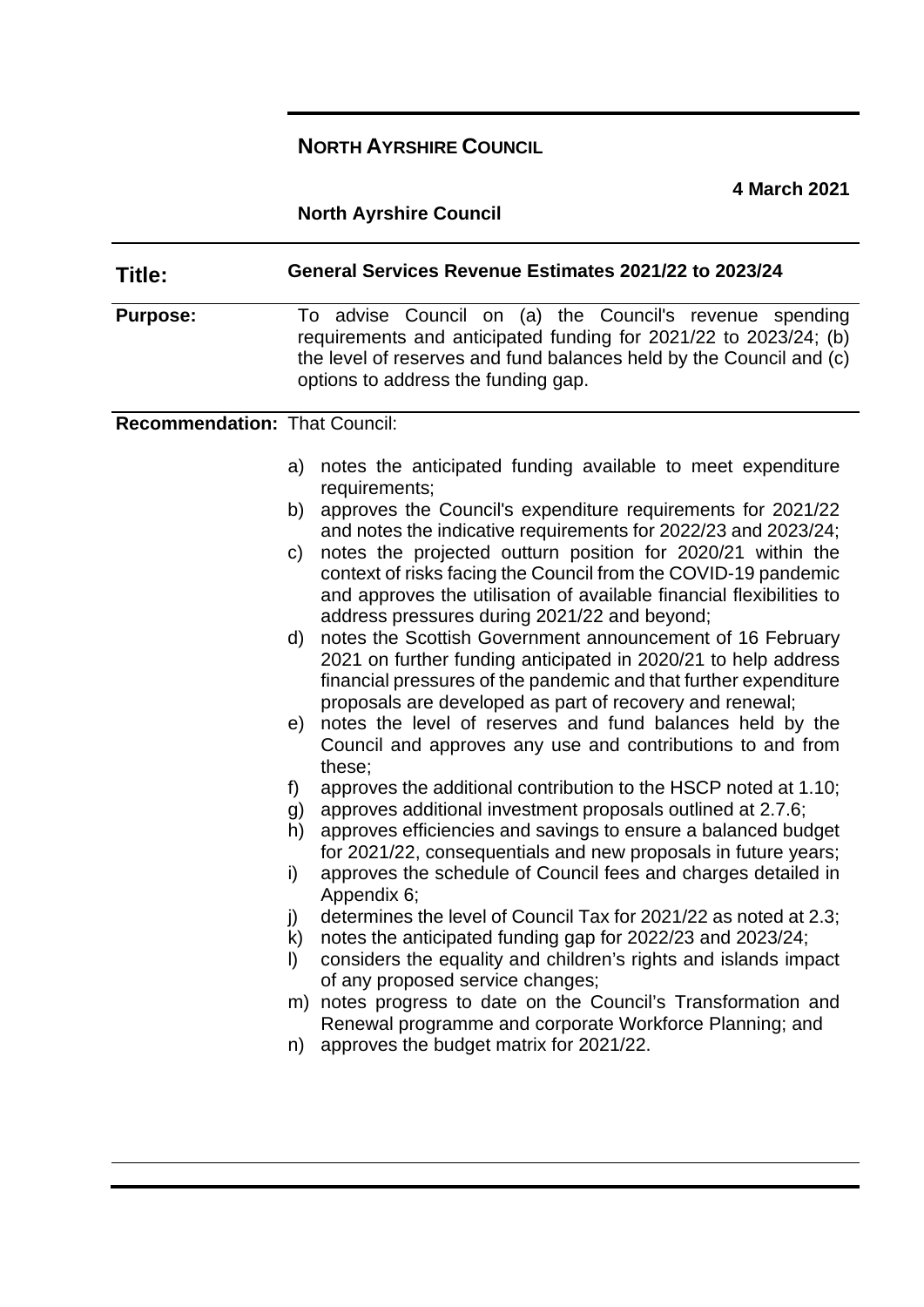# **NORTH AYRSHIRE COUNCIL**

**4 March 2021**

# **North Ayrshire Council**

| Title:                               | General Services Revenue Estimates 2021/22 to 2023/24                                                                                                                                                                                                                                                                                                                                                                                                                                                                                                                                                                                                                                                                                                                                                                                                                                                                                                                                                                                                                                                                                                                                                                                                                                                                                                                                                                                                                                                                                                 |
|--------------------------------------|-------------------------------------------------------------------------------------------------------------------------------------------------------------------------------------------------------------------------------------------------------------------------------------------------------------------------------------------------------------------------------------------------------------------------------------------------------------------------------------------------------------------------------------------------------------------------------------------------------------------------------------------------------------------------------------------------------------------------------------------------------------------------------------------------------------------------------------------------------------------------------------------------------------------------------------------------------------------------------------------------------------------------------------------------------------------------------------------------------------------------------------------------------------------------------------------------------------------------------------------------------------------------------------------------------------------------------------------------------------------------------------------------------------------------------------------------------------------------------------------------------------------------------------------------------|
| <b>Purpose:</b>                      | To advise Council on (a) the Council's revenue spending<br>requirements and anticipated funding for 2021/22 to 2023/24; (b)<br>the level of reserves and fund balances held by the Council and (c)<br>options to address the funding gap.                                                                                                                                                                                                                                                                                                                                                                                                                                                                                                                                                                                                                                                                                                                                                                                                                                                                                                                                                                                                                                                                                                                                                                                                                                                                                                             |
| <b>Recommendation: That Council:</b> |                                                                                                                                                                                                                                                                                                                                                                                                                                                                                                                                                                                                                                                                                                                                                                                                                                                                                                                                                                                                                                                                                                                                                                                                                                                                                                                                                                                                                                                                                                                                                       |
|                                      | notes the anticipated funding available to meet expenditure<br>a)<br>requirements;<br>approves the Council's expenditure requirements for 2021/22<br>b)<br>and notes the indicative requirements for 2022/23 and 2023/24;<br>notes the projected outturn position for 2020/21 within the<br>C)<br>context of risks facing the Council from the COVID-19 pandemic<br>and approves the utilisation of available financial flexibilities to<br>address pressures during 2021/22 and beyond;<br>notes the Scottish Government announcement of 16 February<br>d)<br>2021 on further funding anticipated in 2020/21 to help address<br>financial pressures of the pandemic and that further expenditure<br>proposals are developed as part of recovery and renewal;<br>notes the level of reserves and fund balances held by the<br>e)<br>Council and approves any use and contributions to and from<br>these;<br>approves the additional contribution to the HSCP noted at 1.10;<br>f)<br>approves additional investment proposals outlined at 2.7.6;<br>g)<br>approves efficiencies and savings to ensure a balanced budget<br>h)<br>for 2021/22, consequentials and new proposals in future years;<br>approves the schedule of Council fees and charges detailed in<br>i)<br>Appendix 6;<br>determines the level of Council Tax for 2021/22 as noted at 2.3;<br>j)<br>notes the anticipated funding gap for 2022/23 and 2023/24;<br>k)<br>considers the equality and children's rights and islands impact<br>$\vert$<br>of any proposed service changes; |
|                                      | notes progress to date on the Council's Transformation and<br>m)<br>Renewal programme and corporate Workforce Planning; and<br>n) approves the budget matrix for 2021/22.                                                                                                                                                                                                                                                                                                                                                                                                                                                                                                                                                                                                                                                                                                                                                                                                                                                                                                                                                                                                                                                                                                                                                                                                                                                                                                                                                                             |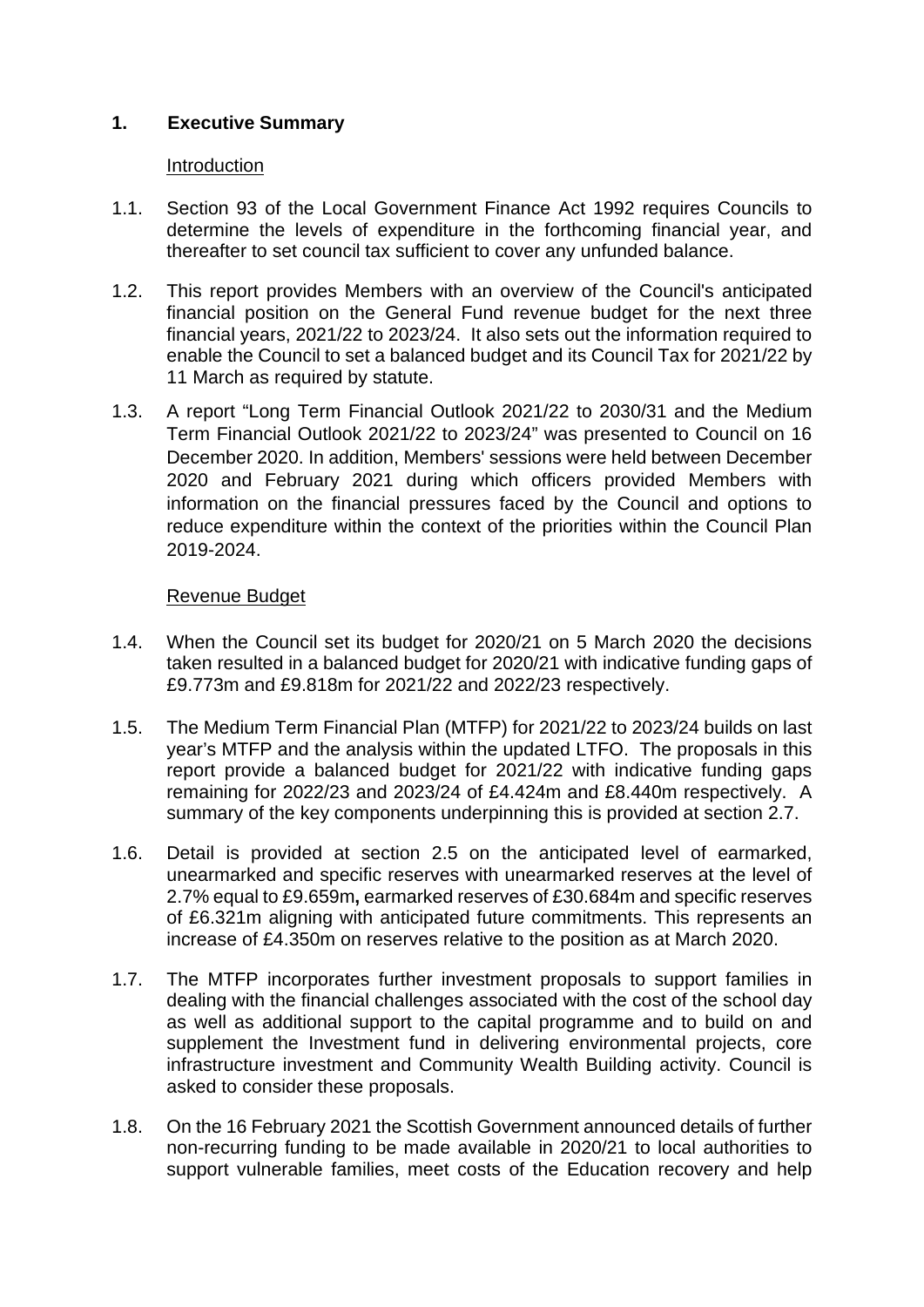## **1. Executive Summary**

#### Introduction

- 1.1. Section 93 of the Local Government Finance Act 1992 requires Councils to determine the levels of expenditure in the forthcoming financial year, and thereafter to set council tax sufficient to cover any unfunded balance.
- 1.2. This report provides Members with an overview of the Council's anticipated financial position on the General Fund revenue budget for the next three financial years, 2021/22 to 2023/24. It also sets out the information required to enable the Council to set a balanced budget and its Council Tax for 2021/22 by 11 March as required by statute.
- 1.3. A report "Long Term Financial Outlook 2021/22 to 2030/31 and the Medium Term Financial Outlook 2021/22 to 2023/24" was presented to Council on 16 December 2020. In addition, Members' sessions were held between December 2020 and February 2021 during which officers provided Members with information on the financial pressures faced by the Council and options to reduce expenditure within the context of the priorities within the Council Plan 2019-2024.

### Revenue Budget

- 1.4. When the Council set its budget for 2020/21 on 5 March 2020 the decisions taken resulted in a balanced budget for 2020/21 with indicative funding gaps of £9.773m and £9.818m for 2021/22 and 2022/23 respectively.
- 1.5. The Medium Term Financial Plan (MTFP) for 2021/22 to 2023/24 builds on last year's MTFP and the analysis within the updated LTFO. The proposals in this report provide a balanced budget for 2021/22 with indicative funding gaps remaining for 2022/23 and 2023/24 of £4.424m and £8.440m respectively. A summary of the key components underpinning this is provided at section 2.7.
- 1.6. Detail is provided at section 2.5 on the anticipated level of earmarked, unearmarked and specific reserves with unearmarked reserves at the level of 2.7% equal to £9.659m**,** earmarked reserves of £30.684m and specific reserves of £6.321m aligning with anticipated future commitments. This represents an increase of £4.350m on reserves relative to the position as at March 2020.
- 1.7. The MTFP incorporates further investment proposals to support families in dealing with the financial challenges associated with the cost of the school day as well as additional support to the capital programme and to build on and supplement the Investment fund in delivering environmental projects, core infrastructure investment and Community Wealth Building activity. Council is asked to consider these proposals.
- 1.8. On the 16 February 2021 the Scottish Government announced details of further non-recurring funding to be made available in 2020/21 to local authorities to support vulnerable families, meet costs of the Education recovery and help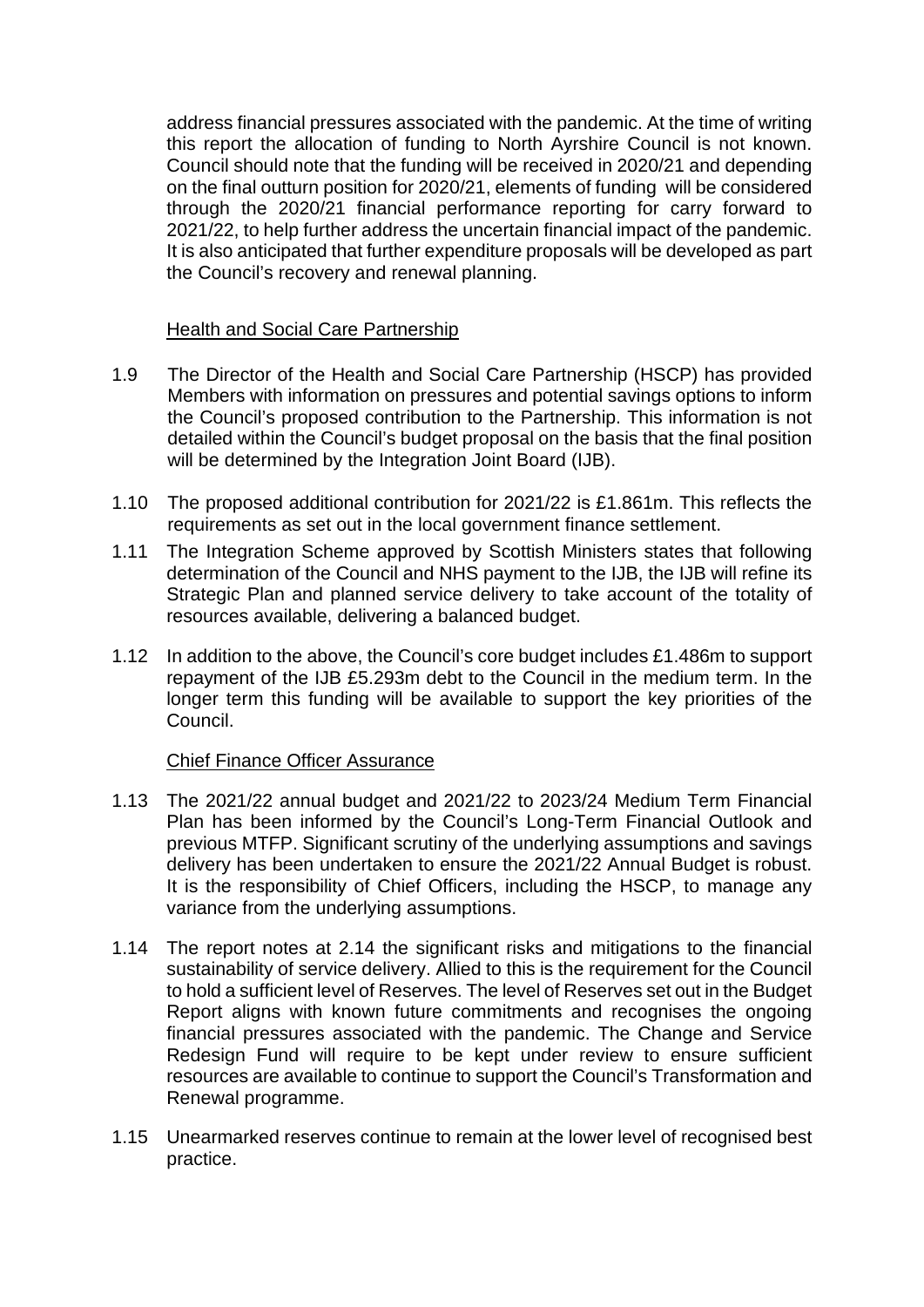address financial pressures associated with the pandemic. At the time of writing this report the allocation of funding to North Ayrshire Council is not known. Council should note that the funding will be received in 2020/21 and depending on the final outturn position for 2020/21, elements of funding will be considered through the 2020/21 financial performance reporting for carry forward to 2021/22, to help further address the uncertain financial impact of the pandemic. It is also anticipated that further expenditure proposals will be developed as part the Council's recovery and renewal planning.

### Health and Social Care Partnership

- 1.9 The Director of the Health and Social Care Partnership (HSCP) has provided Members with information on pressures and potential savings options to inform the Council's proposed contribution to the Partnership. This information is not detailed within the Council's budget proposal on the basis that the final position will be determined by the Integration Joint Board (IJB).
- 1.10 The proposed additional contribution for 2021/22 is £1.861m. This reflects the requirements as set out in the local government finance settlement.
- 1.11 The Integration Scheme approved by Scottish Ministers states that following determination of the Council and NHS payment to the IJB, the IJB will refine its Strategic Plan and planned service delivery to take account of the totality of resources available, delivering a balanced budget.
- 1.12 In addition to the above, the Council's core budget includes £1.486m to support repayment of the IJB £5.293m debt to the Council in the medium term. In the longer term this funding will be available to support the key priorities of the Council.

### Chief Finance Officer Assurance

- 1.13 The 2021/22 annual budget and 2021/22 to 2023/24 Medium Term Financial Plan has been informed by the Council's Long-Term Financial Outlook and previous MTFP. Significant scrutiny of the underlying assumptions and savings delivery has been undertaken to ensure the 2021/22 Annual Budget is robust. It is the responsibility of Chief Officers, including the HSCP, to manage any variance from the underlying assumptions.
- 1.14 The report notes at 2.14 the significant risks and mitigations to the financial sustainability of service delivery. Allied to this is the requirement for the Council to hold a sufficient level of Reserves. The level of Reserves set out in the Budget Report aligns with known future commitments and recognises the ongoing financial pressures associated with the pandemic. The Change and Service Redesign Fund will require to be kept under review to ensure sufficient resources are available to continue to support the Council's Transformation and Renewal programme.
- 1.15 Unearmarked reserves continue to remain at the lower level of recognised best practice.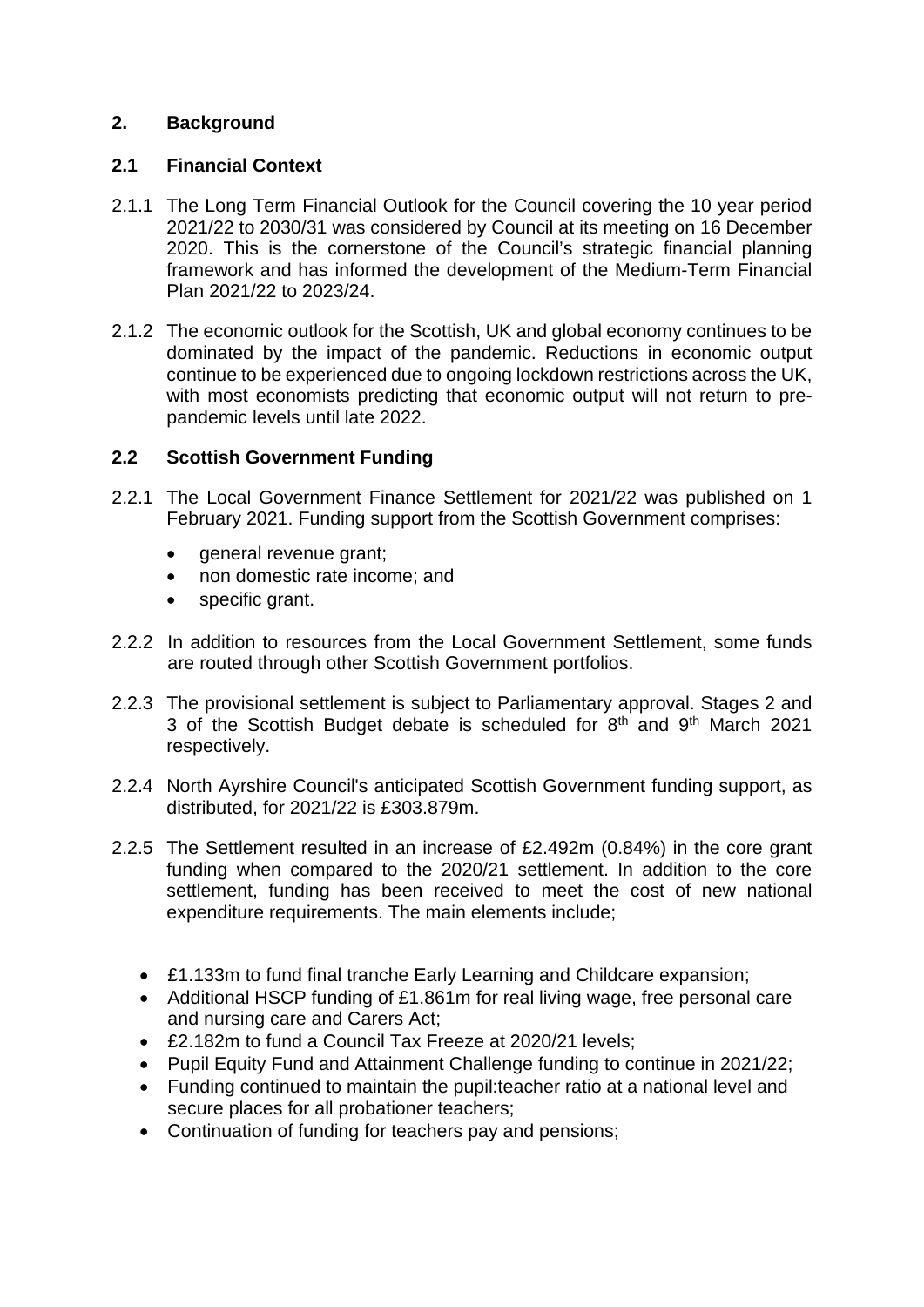## **2. Background**

### **2.1 Financial Context**

- 2.1.1 The Long Term Financial Outlook for the Council covering the 10 year period 2021/22 to 2030/31 was considered by Council at its meeting on 16 December 2020. This is the cornerstone of the Council's strategic financial planning framework and has informed the development of the Medium-Term Financial Plan 2021/22 to 2023/24.
- 2.1.2 The economic outlook for the Scottish, UK and global economy continues to be dominated by the impact of the pandemic. Reductions in economic output continue to be experienced due to ongoing lockdown restrictions across the UK, with most economists predicting that economic output will not return to prepandemic levels until late 2022.

## **2.2 Scottish Government Funding**

- 2.2.1 The Local Government Finance Settlement for 2021/22 was published on 1 February 2021. Funding support from the Scottish Government comprises:
	- general revenue grant:
	- non domestic rate income; and
	- specific grant.
- 2.2.2 In addition to resources from the Local Government Settlement, some funds are routed through other Scottish Government portfolios.
- 2.2.3 The provisional settlement is subject to Parliamentary approval. Stages 2 and 3 of the Scottish Budget debate is scheduled for 8<sup>th</sup> and 9<sup>th</sup> March 2021 respectively.
- 2.2.4 North Ayrshire Council's anticipated Scottish Government funding support, as distributed, for 2021/22 is £303.879m.
- 2.2.5 The Settlement resulted in an increase of £2.492m (0.84%) in the core grant funding when compared to the 2020/21 settlement. In addition to the core settlement, funding has been received to meet the cost of new national expenditure requirements. The main elements include;
	- £1.133m to fund final tranche Early Learning and Childcare expansion;
	- Additional HSCP funding of £1.861m for real living wage, free personal care and nursing care and Carers Act;
	- £2.182m to fund a Council Tax Freeze at 2020/21 levels;
	- Pupil Equity Fund and Attainment Challenge funding to continue in 2021/22;
	- Funding continued to maintain the pupil:teacher ratio at a national level and secure places for all probationer teachers;
	- Continuation of funding for teachers pay and pensions;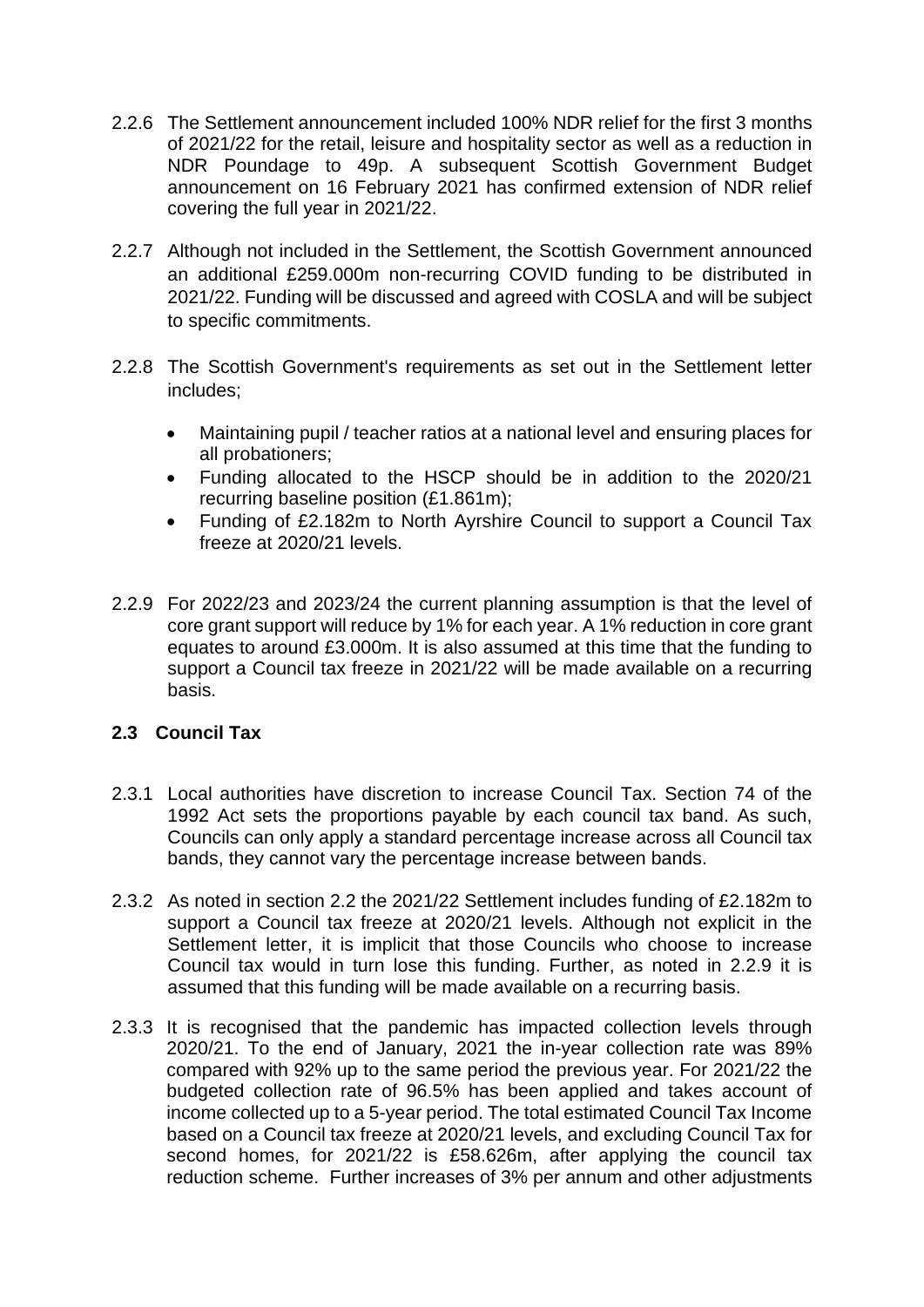- 2.2.6 The Settlement announcement included 100% NDR relief for the first 3 months of 2021/22 for the retail, leisure and hospitality sector as well as a reduction in NDR Poundage to 49p. A subsequent Scottish Government Budget announcement on 16 February 2021 has confirmed extension of NDR relief covering the full year in 2021/22.
- 2.2.7 Although not included in the Settlement, the Scottish Government announced an additional £259.000m non-recurring COVID funding to be distributed in 2021/22. Funding will be discussed and agreed with COSLA and will be subject to specific commitments.
- 2.2.8 The Scottish Government's requirements as set out in the Settlement letter includes;
	- Maintaining pupil / teacher ratios at a national level and ensuring places for all probationers;
	- Funding allocated to the HSCP should be in addition to the 2020/21 recurring baseline position (£1.861m);
	- Funding of £2.182m to North Ayrshire Council to support a Council Tax freeze at 2020/21 levels.
- 2.2.9 For 2022/23 and 2023/24 the current planning assumption is that the level of core grant support will reduce by 1% for each year. A 1% reduction in core grant equates to around £3.000m. It is also assumed at this time that the funding to support a Council tax freeze in 2021/22 will be made available on a recurring basis.

## **2.3 Council Tax**

- 2.3.1 Local authorities have discretion to increase Council Tax. Section 74 of the 1992 Act sets the proportions payable by each council tax band. As such, Councils can only apply a standard percentage increase across all Council tax bands, they cannot vary the percentage increase between bands.
- 2.3.2 As noted in section 2.2 the 2021/22 Settlement includes funding of £2.182m to support a Council tax freeze at 2020/21 levels. Although not explicit in the Settlement letter, it is implicit that those Councils who choose to increase Council tax would in turn lose this funding. Further, as noted in 2.2.9 it is assumed that this funding will be made available on a recurring basis.
- 2.3.3 It is recognised that the pandemic has impacted collection levels through 2020/21. To the end of January, 2021 the in-year collection rate was 89% compared with 92% up to the same period the previous year. For 2021/22 the budgeted collection rate of 96.5% has been applied and takes account of income collected up to a 5-year period. The total estimated Council Tax Income based on a Council tax freeze at 2020/21 levels, and excluding Council Tax for second homes, for 2021/22 is £58.626m, after applying the council tax reduction scheme. Further increases of 3% per annum and other adjustments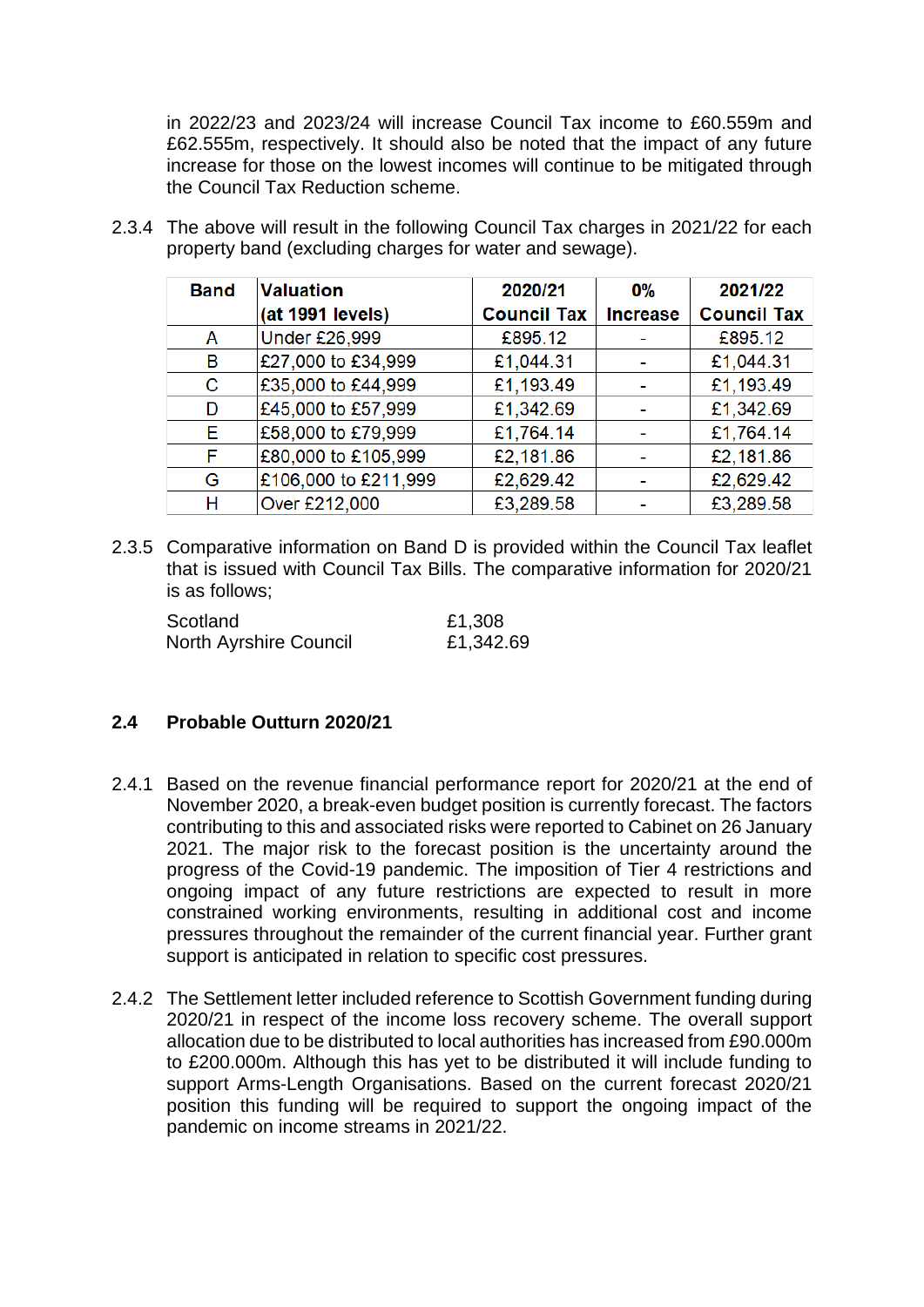in 2022/23 and 2023/24 will increase Council Tax income to £60.559m and £62.555m, respectively. It should also be noted that the impact of any future increase for those on the lowest incomes will continue to be mitigated through the Council Tax Reduction scheme.

| <b>Band</b> | <b>Valuation</b>     | 2020/21            | 0%              | 2021/22            |
|-------------|----------------------|--------------------|-----------------|--------------------|
|             | (at 1991 levels)     | <b>Council Tax</b> | <b>Increase</b> | <b>Council Tax</b> |
| A           | <b>Under £26,999</b> | £895.12            |                 | £895.12            |
| в           | £27,000 to £34,999   | £1,044.31          |                 | £1,044.31          |
| С           | £35,000 to £44,999   | £1,193.49          |                 | £1,193.49          |
| D           | £45,000 to £57,999   | £1,342.69          |                 | £1,342.69          |
| E.          | £58,000 to £79,999   | £1,764.14          |                 | £1,764.14          |
| F           | £80,000 to £105,999  | £2,181.86          |                 | £2,181.86          |
| G           | £106,000 to £211,999 | £2,629.42          |                 | £2,629.42          |
| н           | Over £212,000        | £3,289.58          |                 | £3,289.58          |

2.3.4 The above will result in the following Council Tax charges in 2021/22 for each property band (excluding charges for water and sewage).

2.3.5 Comparative information on Band D is provided within the Council Tax leaflet that is issued with Council Tax Bills. The comparative information for 2020/21 is as follows;

| Scotland                      | £1,308    |
|-------------------------------|-----------|
| <b>North Ayrshire Council</b> | £1,342.69 |

## **2.4 Probable Outturn 2020/21**

- 2.4.1 Based on the revenue financial performance report for 2020/21 at the end of November 2020, a break-even budget position is currently forecast. The factors contributing to this and associated risks were reported to Cabinet on 26 January 2021. The major risk to the forecast position is the uncertainty around the progress of the Covid-19 pandemic. The imposition of Tier 4 restrictions and ongoing impact of any future restrictions are expected to result in more constrained working environments, resulting in additional cost and income pressures throughout the remainder of the current financial year. Further grant support is anticipated in relation to specific cost pressures.
- 2.4.2 The Settlement letter included reference to Scottish Government funding during 2020/21 in respect of the income loss recovery scheme. The overall support allocation due to be distributed to local authorities has increased from £90.000m to £200.000m. Although this has yet to be distributed it will include funding to support Arms-Length Organisations. Based on the current forecast 2020/21 position this funding will be required to support the ongoing impact of the pandemic on income streams in 2021/22.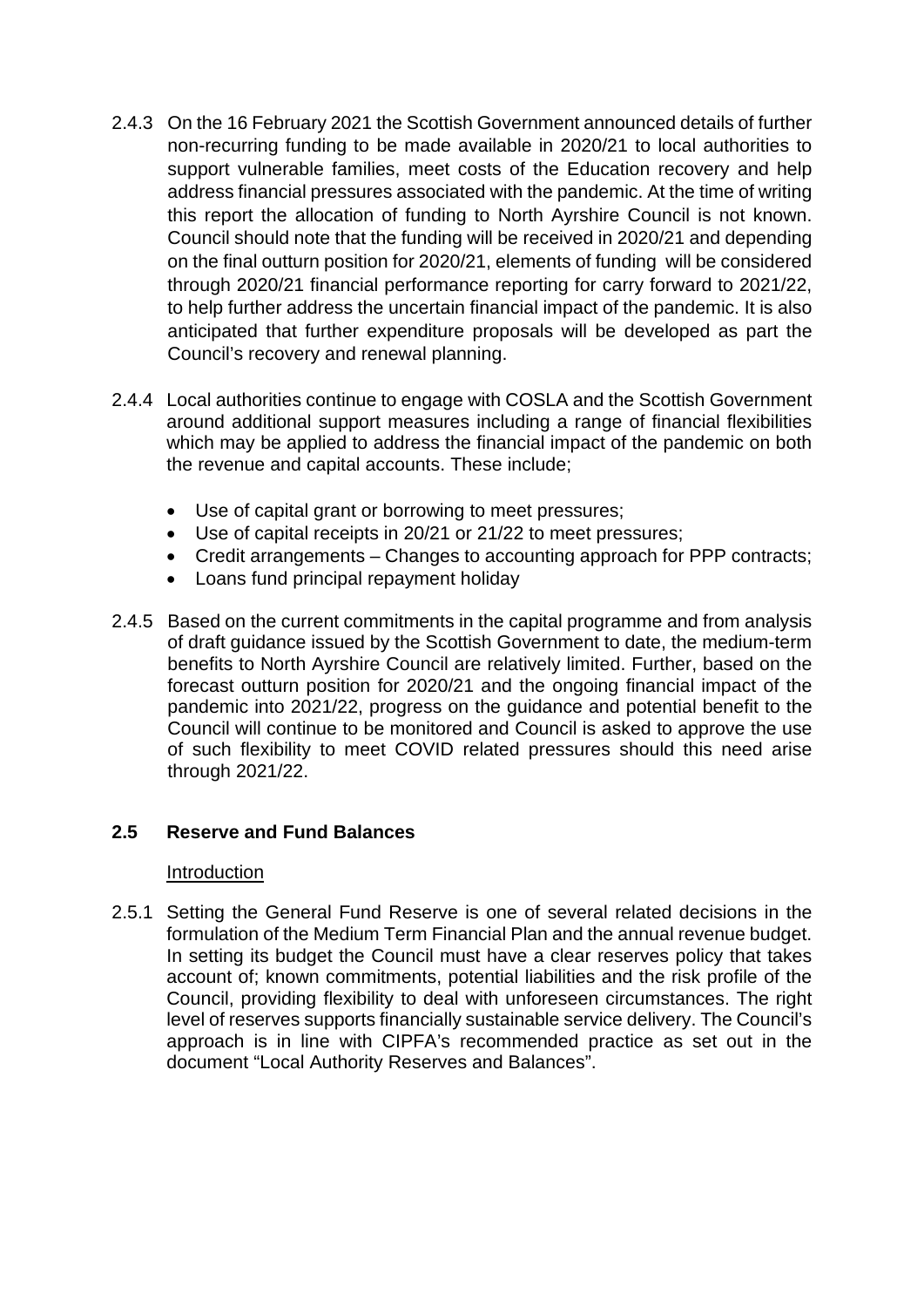- 2.4.3 On the 16 February 2021 the Scottish Government announced details of further non-recurring funding to be made available in 2020/21 to local authorities to support vulnerable families, meet costs of the Education recovery and help address financial pressures associated with the pandemic. At the time of writing this report the allocation of funding to North Ayrshire Council is not known. Council should note that the funding will be received in 2020/21 and depending on the final outturn position for 2020/21, elements of funding will be considered through 2020/21 financial performance reporting for carry forward to 2021/22, to help further address the uncertain financial impact of the pandemic. It is also anticipated that further expenditure proposals will be developed as part the Council's recovery and renewal planning.
- 2.4.4 Local authorities continue to engage with COSLA and the Scottish Government around additional support measures including a range of financial flexibilities which may be applied to address the financial impact of the pandemic on both the revenue and capital accounts. These include;
	- Use of capital grant or borrowing to meet pressures;
	- Use of capital receipts in 20/21 or 21/22 to meet pressures;
	- Credit arrangements Changes to accounting approach for PPP contracts;
	- Loans fund principal repayment holiday
- 2.4.5 Based on the current commitments in the capital programme and from analysis of draft guidance issued by the Scottish Government to date, the medium-term benefits to North Ayrshire Council are relatively limited. Further, based on the forecast outturn position for 2020/21 and the ongoing financial impact of the pandemic into 2021/22, progress on the guidance and potential benefit to the Council will continue to be monitored and Council is asked to approve the use of such flexibility to meet COVID related pressures should this need arise through 2021/22.

### **2.5 Reserve and Fund Balances**

#### Introduction

2.5.1 Setting the General Fund Reserve is one of several related decisions in the formulation of the Medium Term Financial Plan and the annual revenue budget. In setting its budget the Council must have a clear reserves policy that takes account of; known commitments, potential liabilities and the risk profile of the Council, providing flexibility to deal with unforeseen circumstances. The right level of reserves supports financially sustainable service delivery. The Council's approach is in line with CIPFA's recommended practice as set out in the document "Local Authority Reserves and Balances".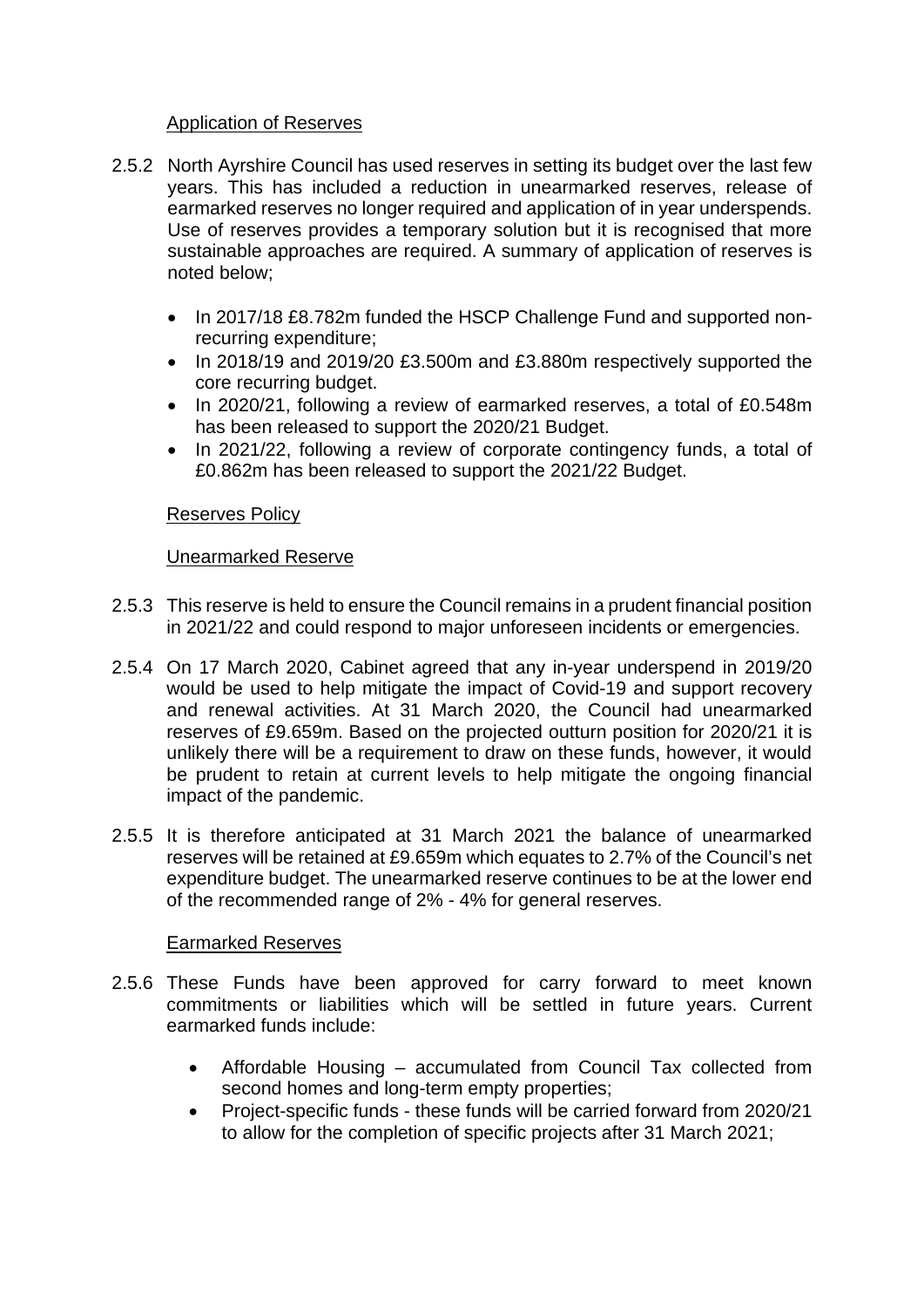### Application of Reserves

- 2.5.2 North Ayrshire Council has used reserves in setting its budget over the last few years. This has included a reduction in unearmarked reserves, release of earmarked reserves no longer required and application of in year underspends. Use of reserves provides a temporary solution but it is recognised that more sustainable approaches are required. A summary of application of reserves is noted below;
	- In 2017/18 £8.782m funded the HSCP Challenge Fund and supported nonrecurring expenditure;
	- In 2018/19 and 2019/20 £3.500m and £3.880m respectively supported the core recurring budget.
	- In 2020/21, following a review of earmarked reserves, a total of £0.548m has been released to support the 2020/21 Budget.
	- In 2021/22, following a review of corporate contingency funds, a total of £0.862m has been released to support the 2021/22 Budget.

### Reserves Policy

## Unearmarked Reserve

- 2.5.3 This reserve is held to ensure the Council remains in a prudent financial position in 2021/22 and could respond to major unforeseen incidents or emergencies.
- 2.5.4 On 17 March 2020, Cabinet agreed that any in-year underspend in 2019/20 would be used to help mitigate the impact of Covid-19 and support recovery and renewal activities. At 31 March 2020, the Council had unearmarked reserves of £9.659m. Based on the projected outturn position for 2020/21 it is unlikely there will be a requirement to draw on these funds, however, it would be prudent to retain at current levels to help mitigate the ongoing financial impact of the pandemic.
- 2.5.5 It is therefore anticipated at 31 March 2021 the balance of unearmarked reserves will be retained at £9.659m which equates to 2.7% of the Council's net expenditure budget. The unearmarked reserve continues to be at the lower end of the recommended range of 2% - 4% for general reserves.

### Earmarked Reserves

- 2.5.6 These Funds have been approved for carry forward to meet known commitments or liabilities which will be settled in future years. Current earmarked funds include:
	- Affordable Housing accumulated from Council Tax collected from second homes and long-term empty properties;
	- Project-specific funds these funds will be carried forward from 2020/21 to allow for the completion of specific projects after 31 March 2021;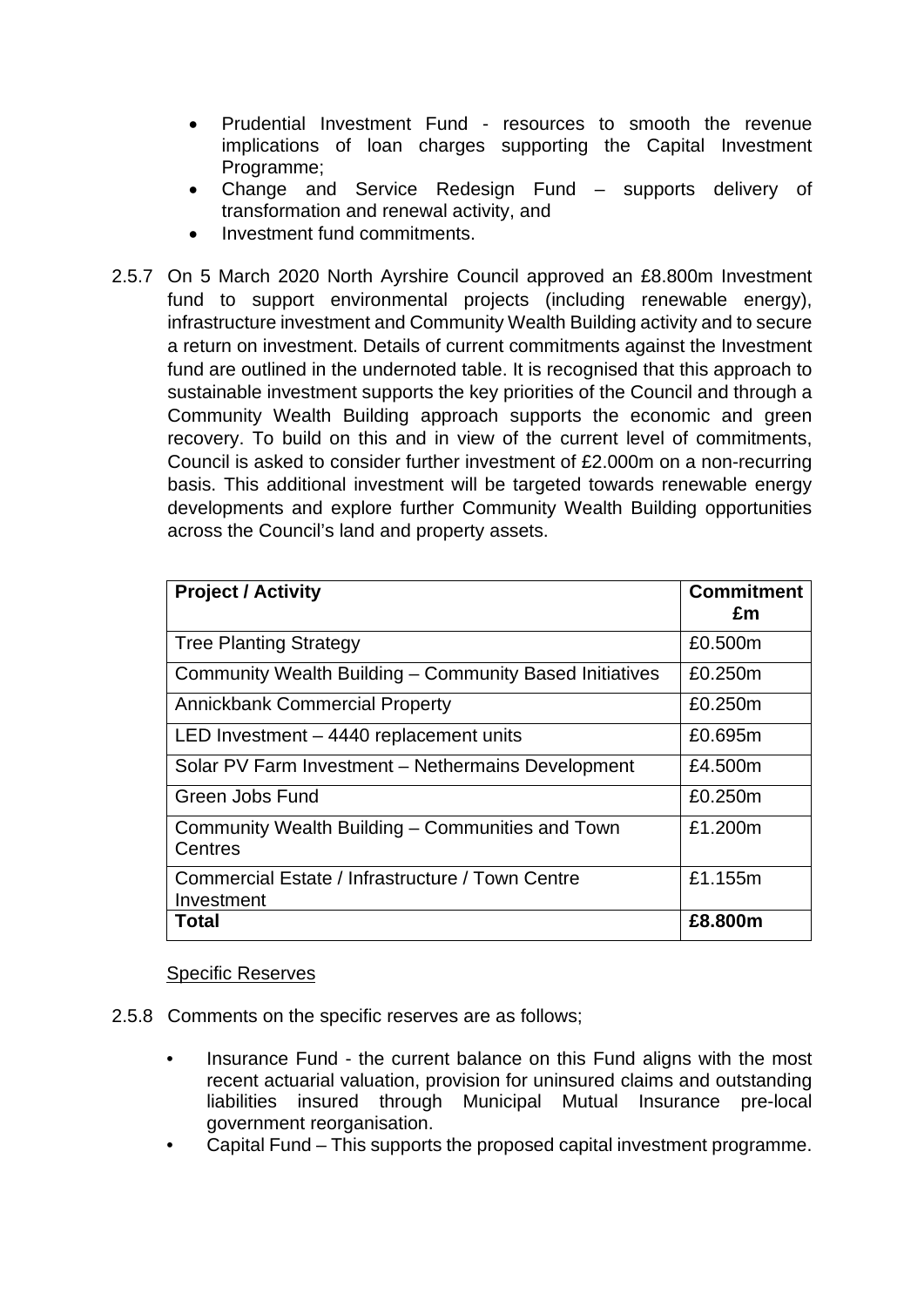- Prudential Investment Fund resources to smooth the revenue implications of loan charges supporting the Capital Investment Programme;
- Change and Service Redesign Fund supports delivery of transformation and renewal activity, and
- Investment fund commitments.
- 2.5.7 On 5 March 2020 North Ayrshire Council approved an £8.800m Investment fund to support environmental projects (including renewable energy), infrastructure investment and Community Wealth Building activity and to secure a return on investment. Details of current commitments against the Investment fund are outlined in the undernoted table. It is recognised that this approach to sustainable investment supports the key priorities of the Council and through a Community Wealth Building approach supports the economic and green recovery. To build on this and in view of the current level of commitments, Council is asked to consider further investment of £2.000m on a non-recurring basis. This additional investment will be targeted towards renewable energy developments and explore further Community Wealth Building opportunities across the Council's land and property assets.

| <b>Project / Activity</b>                                      | <b>Commitment</b><br>£m |
|----------------------------------------------------------------|-------------------------|
| <b>Tree Planting Strategy</b>                                  | £0.500m                 |
| Community Wealth Building - Community Based Initiatives        | £0.250m                 |
| <b>Annickbank Commercial Property</b>                          | £0.250m                 |
| LED Investment - 4440 replacement units                        | £0.695m                 |
| Solar PV Farm Investment - Nethermains Development             | £4.500m                 |
| Green Jobs Fund                                                | £0.250m                 |
| Community Wealth Building – Communities and Town<br>Centres    | £1.200m                 |
| Commercial Estate / Infrastructure / Town Centre<br>Investment | £1.155m                 |
| Total                                                          | £8,800m                 |

### Specific Reserves

- 2.5.8 Comments on the specific reserves are as follows;
	- Insurance Fund the current balance on this Fund aligns with the most recent actuarial valuation, provision for uninsured claims and outstanding liabilities insured through Municipal Mutual Insurance pre-local government reorganisation.
	- Capital Fund This supports the proposed capital investment programme.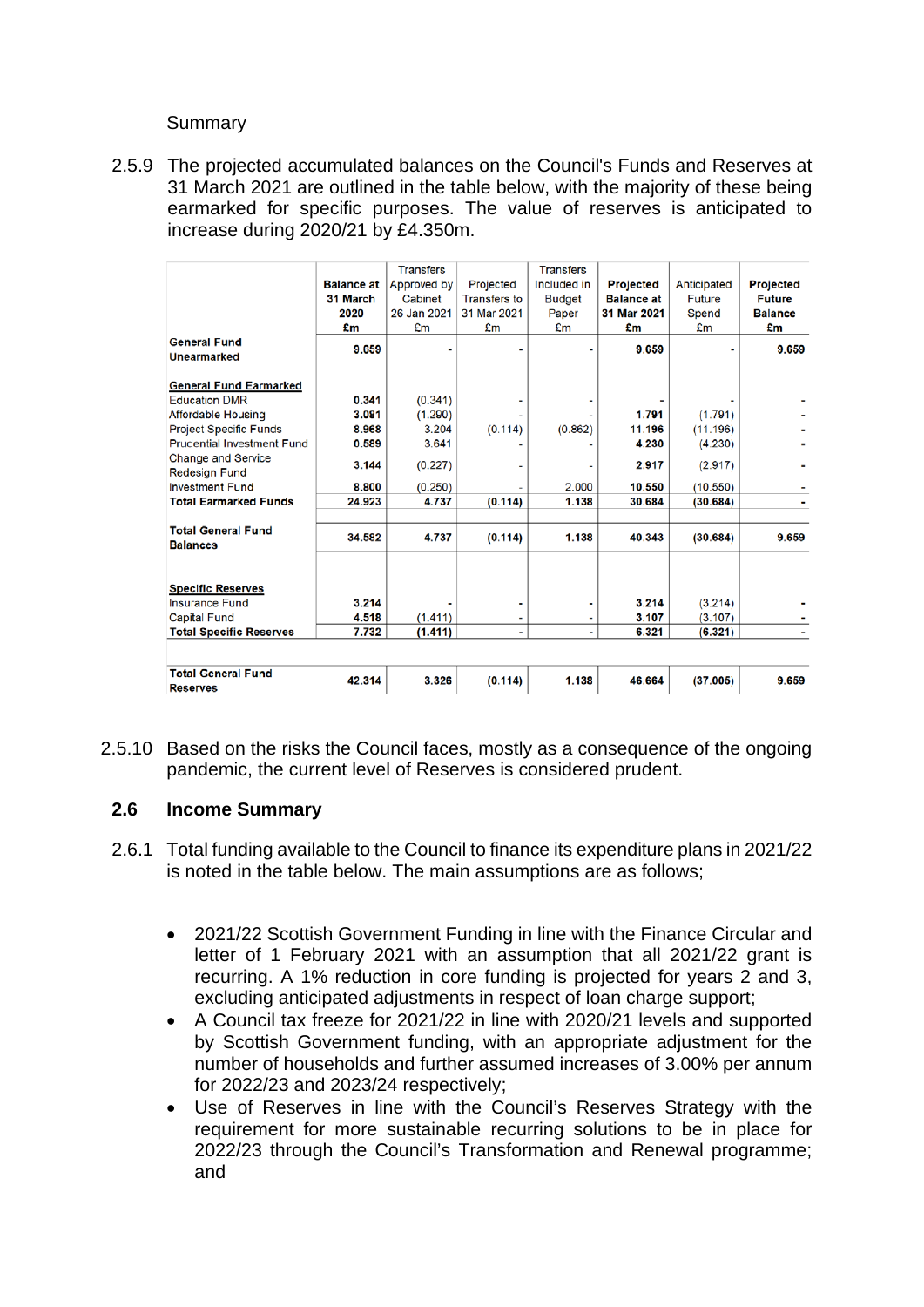### Summary

2.5.9 The projected accumulated balances on the Council's Funds and Reserves at 31 March 2021 are outlined in the table below, with the majority of these being earmarked for specific purposes. The value of reserves is anticipated to increase during 2020/21 by £4.350m.

| <b>General Fund</b>                          | <b>Balance at</b><br>31 March<br>2020<br>£m | <b>Transfers</b><br>Approved by<br>Cabinet<br>26 Jan 2021<br>£m | Projected<br><b>Transfers to</b><br>31 Mar 2021<br>£m | <b>Transfers</b><br>Included in<br><b>Budget</b><br>Paper<br>£m | <b>Projected</b><br><b>Balance at</b><br>31 Mar 2021<br>£m | Anticipated<br>Future<br>Spend<br>£m | Projected<br><b>Future</b><br><b>Balance</b><br>£m |
|----------------------------------------------|---------------------------------------------|-----------------------------------------------------------------|-------------------------------------------------------|-----------------------------------------------------------------|------------------------------------------------------------|--------------------------------------|----------------------------------------------------|
| <b>Unearmarked</b>                           | 9.659                                       |                                                                 |                                                       |                                                                 | 9.659                                                      |                                      | 9.659                                              |
| <b>General Fund Earmarked</b>                |                                             |                                                                 |                                                       |                                                                 |                                                            |                                      |                                                    |
| <b>Education DMR</b>                         | 0.341                                       | (0.341)                                                         |                                                       |                                                                 |                                                            |                                      |                                                    |
| Affordable Housing                           | 3.081                                       | (1.290)                                                         |                                                       |                                                                 | 1.791                                                      | (1.791)                              |                                                    |
| <b>Project Specific Funds</b>                | 8.968                                       | 3.204                                                           | (0.114)                                               | (0.862)                                                         | 11.196                                                     | (11.196)                             |                                                    |
| <b>Prudential Investment Fund</b>            | 0.589                                       | 3.641                                                           |                                                       |                                                                 | 4.230                                                      | (4.230)                              |                                                    |
| Change and Service<br><b>Redesign Fund</b>   | 3.144                                       | (0.227)                                                         |                                                       |                                                                 | 2.917                                                      | (2.917)                              |                                                    |
| <b>Investment Fund</b>                       | 8.800                                       | (0.250)                                                         |                                                       | 2.000                                                           | 10.550                                                     | (10.550)                             |                                                    |
| <b>Total Earmarked Funds</b>                 | 24.923                                      | 4.737                                                           | (0.114)                                               | 1.138                                                           | 30.684                                                     | (30.684)                             |                                                    |
|                                              |                                             |                                                                 |                                                       |                                                                 |                                                            |                                      |                                                    |
| <b>Total General Fund</b><br><b>Balances</b> | 34.582                                      | 4.737                                                           | (0.114)                                               | 1.138                                                           | 40.343                                                     | (30.684)                             | 9.659                                              |
| <b>Specific Reserves</b>                     |                                             |                                                                 |                                                       |                                                                 |                                                            |                                      |                                                    |
| <b>Insurance Fund</b>                        | 3.214                                       |                                                                 |                                                       |                                                                 | 3.214                                                      | (3.214)                              |                                                    |
| <b>Capital Fund</b>                          | 4.518                                       | (1.411)                                                         |                                                       |                                                                 | 3.107                                                      | (3.107)                              |                                                    |
| <b>Total Specific Reserves</b>               | 7.732                                       | (1.411)                                                         | ۰                                                     | ۰                                                               | 6.321                                                      | (6.321)                              |                                                    |
|                                              |                                             |                                                                 |                                                       |                                                                 |                                                            |                                      |                                                    |
| <b>Total General Fund</b><br><b>Reserves</b> | 42.314                                      | 3.326                                                           | (0.114)                                               | 1.138                                                           | 46.664                                                     | (37.005)                             | 9.659                                              |

2.5.10 Based on the risks the Council faces, mostly as a consequence of the ongoing pandemic, the current level of Reserves is considered prudent.

## **2.6 Income Summary**

- 2.6.1 Total funding available to the Council to finance its expenditure plans in 2021/22 is noted in the table below. The main assumptions are as follows;
	- 2021/22 Scottish Government Funding in line with the Finance Circular and letter of 1 February 2021 with an assumption that all 2021/22 grant is recurring. A 1% reduction in core funding is projected for years 2 and 3, excluding anticipated adjustments in respect of loan charge support;
	- A Council tax freeze for 2021/22 in line with 2020/21 levels and supported by Scottish Government funding, with an appropriate adjustment for the number of households and further assumed increases of 3.00% per annum for 2022/23 and 2023/24 respectively;
	- Use of Reserves in line with the Council's Reserves Strategy with the requirement for more sustainable recurring solutions to be in place for 2022/23 through the Council's Transformation and Renewal programme; and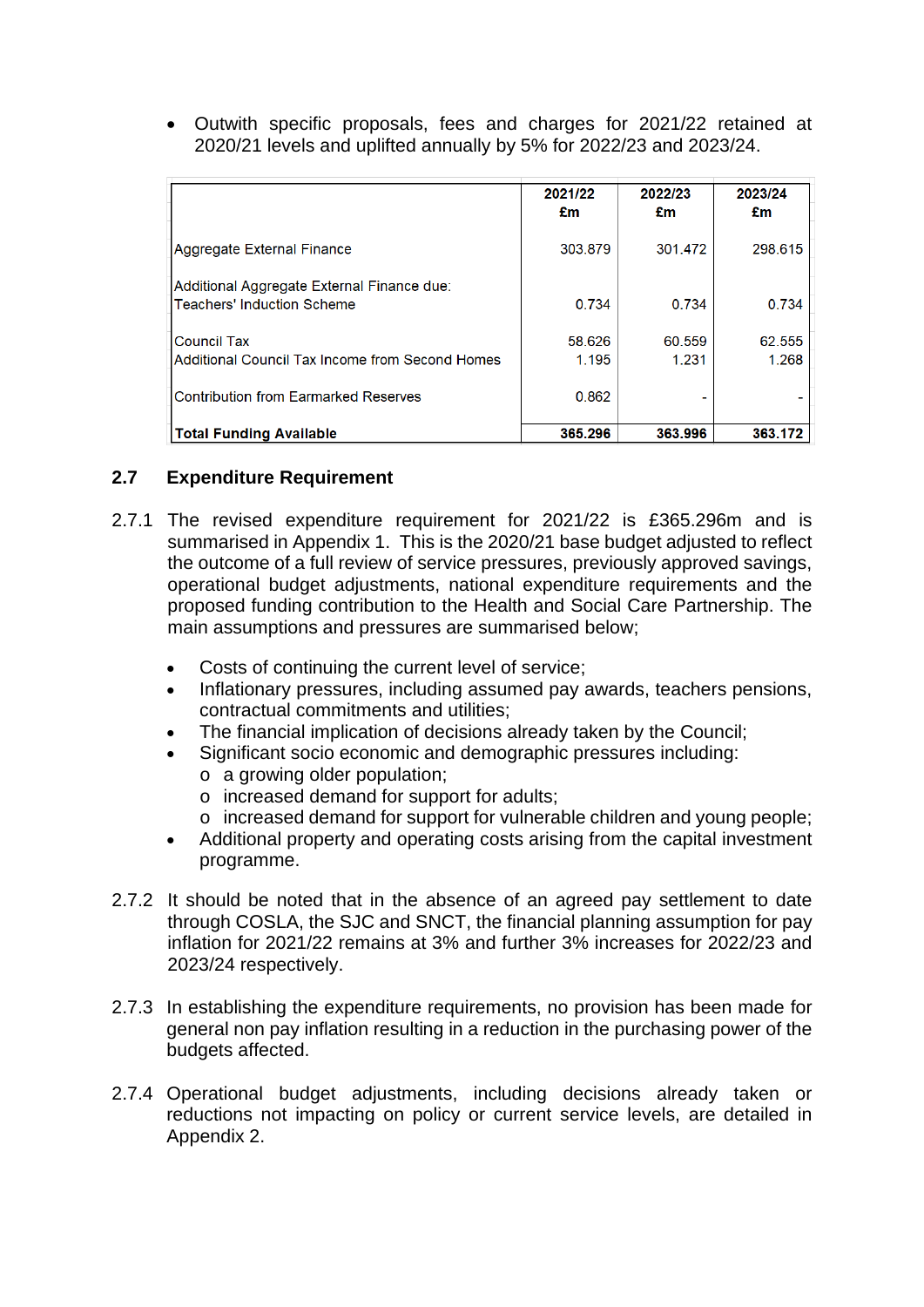• Outwith specific proposals, fees and charges for 2021/22 retained at 2020/21 levels and uplifted annually by 5% for 2022/23 and 2023/24.

|                                                                          | 2021/22<br>£m   | 2022/23<br>£m   | 2023/24<br>£m   |
|--------------------------------------------------------------------------|-----------------|-----------------|-----------------|
| Aggregate External Finance                                               | 303.879         | 301.472         | 298.615         |
| Additional Aggregate External Finance due:<br>Teachers' Induction Scheme | 0.734           | 0.734           | 0.734           |
| <b>Council Tax</b><br>Additional Council Tax Income from Second Homes    | 58.626<br>1.195 | 60.559<br>1.231 | 62.555<br>1.268 |
| <b>Contribution from Earmarked Reserves</b>                              | 0.862           |                 |                 |
| <b>Total Funding Available</b>                                           | 365,296         | 363.996         | 363.172         |

## **2.7 Expenditure Requirement**

- 2.7.1 The revised expenditure requirement for 2021/22 is £365.296m and is summarised in Appendix 1. This is the 2020/21 base budget adjusted to reflect the outcome of a full review of service pressures, previously approved savings, operational budget adjustments, national expenditure requirements and the proposed funding contribution to the Health and Social Care Partnership. The main assumptions and pressures are summarised below;
	- Costs of continuing the current level of service;
	- Inflationary pressures, including assumed pay awards, teachers pensions, contractual commitments and utilities;
	- The financial implication of decisions already taken by the Council:
	- Significant socio economic and demographic pressures including:
		- o a growing older population;
		- o increased demand for support for adults;
		- o increased demand for support for vulnerable children and young people;
	- Additional property and operating costs arising from the capital investment programme.
- 2.7.2 It should be noted that in the absence of an agreed pay settlement to date through COSLA, the SJC and SNCT, the financial planning assumption for pay inflation for 2021/22 remains at 3% and further 3% increases for 2022/23 and 2023/24 respectively.
- 2.7.3 In establishing the expenditure requirements, no provision has been made for general non pay inflation resulting in a reduction in the purchasing power of the budgets affected.
- 2.7.4 Operational budget adjustments, including decisions already taken or reductions not impacting on policy or current service levels, are detailed in Appendix 2.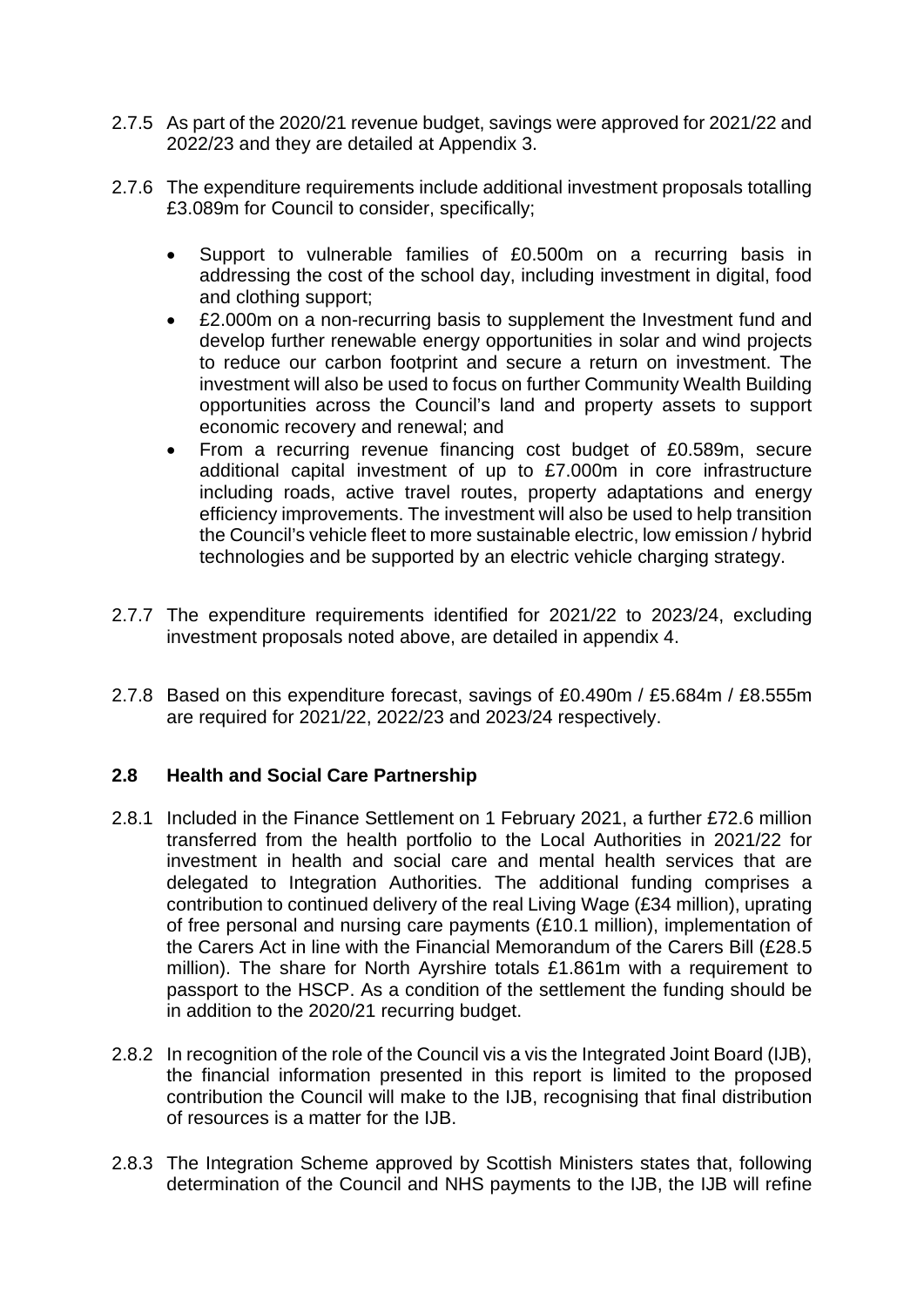- 2.7.5 As part of the 2020/21 revenue budget, savings were approved for 2021/22 and 2022/23 and they are detailed at Appendix 3.
- 2.7.6 The expenditure requirements include additional investment proposals totalling £3.089m for Council to consider, specifically;
	- Support to vulnerable families of £0.500m on a recurring basis in addressing the cost of the school day, including investment in digital, food and clothing support;
	- £2.000m on a non-recurring basis to supplement the Investment fund and develop further renewable energy opportunities in solar and wind projects to reduce our carbon footprint and secure a return on investment. The investment will also be used to focus on further Community Wealth Building opportunities across the Council's land and property assets to support economic recovery and renewal; and
	- From a recurring revenue financing cost budget of £0.589m, secure additional capital investment of up to £7.000m in core infrastructure including roads, active travel routes, property adaptations and energy efficiency improvements. The investment will also be used to help transition the Council's vehicle fleet to more sustainable electric, low emission / hybrid technologies and be supported by an electric vehicle charging strategy.
- 2.7.7 The expenditure requirements identified for 2021/22 to 2023/24, excluding investment proposals noted above, are detailed in appendix 4.
- 2.7.8 Based on this expenditure forecast, savings of £0.490m / £5.684m / £8.555m are required for 2021/22, 2022/23 and 2023/24 respectively.

## **2.8 Health and Social Care Partnership**

- 2.8.1 Included in the Finance Settlement on 1 February 2021, a further £72.6 million transferred from the health portfolio to the Local Authorities in 2021/22 for investment in health and social care and mental health services that are delegated to Integration Authorities. The additional funding comprises a contribution to continued delivery of the real Living Wage (£34 million), uprating of free personal and nursing care payments (£10.1 million), implementation of the Carers Act in line with the Financial Memorandum of the Carers Bill (£28.5 million). The share for North Ayrshire totals £1.861m with a requirement to passport to the HSCP. As a condition of the settlement the funding should be in addition to the 2020/21 recurring budget.
- 2.8.2 In recognition of the role of the Council vis a vis the Integrated Joint Board (IJB), the financial information presented in this report is limited to the proposed contribution the Council will make to the IJB, recognising that final distribution of resources is a matter for the IJB.
- 2.8.3 The Integration Scheme approved by Scottish Ministers states that, following determination of the Council and NHS payments to the IJB, the IJB will refine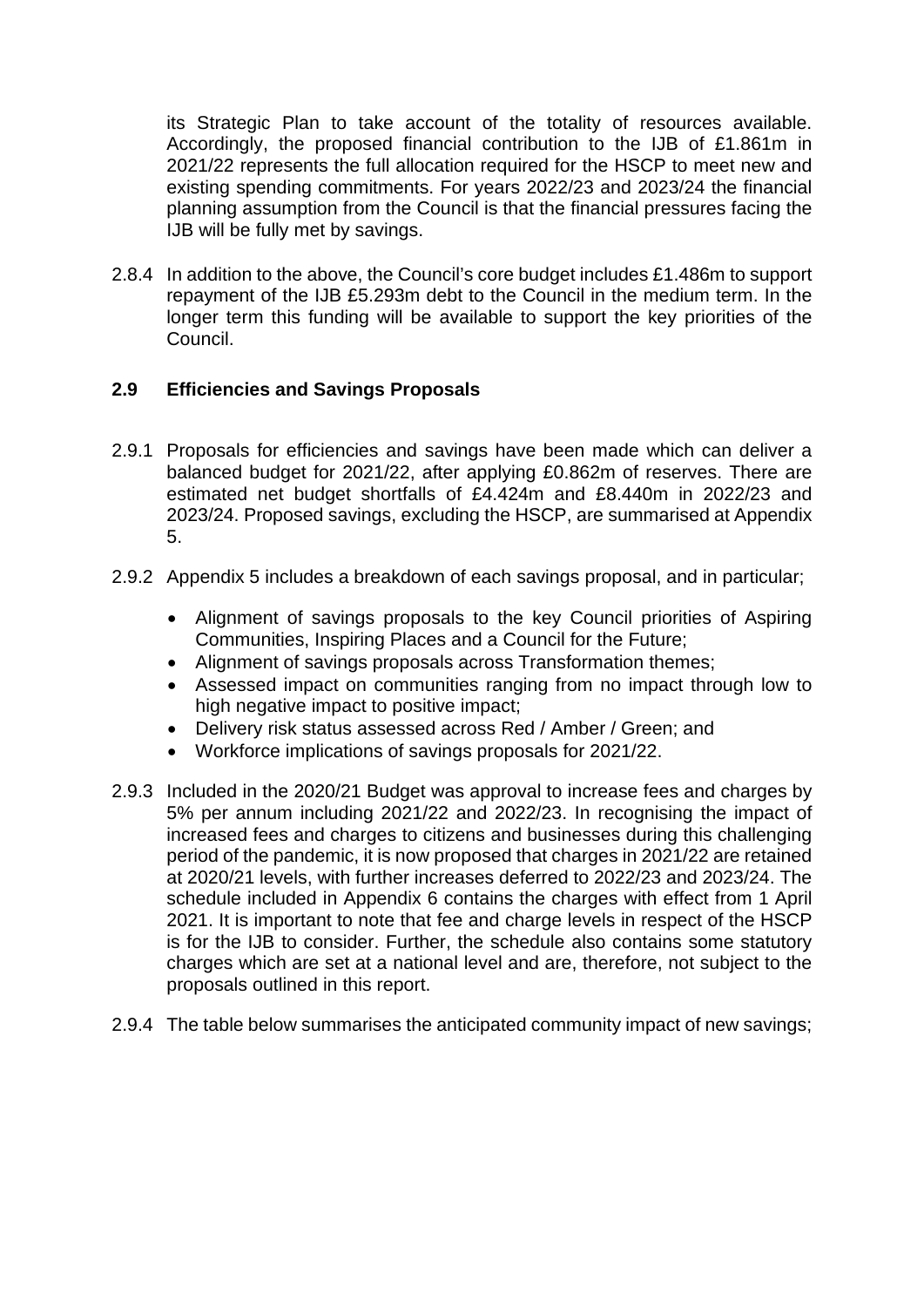its Strategic Plan to take account of the totality of resources available. Accordingly, the proposed financial contribution to the IJB of £1.861m in 2021/22 represents the full allocation required for the HSCP to meet new and existing spending commitments. For years 2022/23 and 2023/24 the financial planning assumption from the Council is that the financial pressures facing the IJB will be fully met by savings.

2.8.4 In addition to the above, the Council's core budget includes £1.486m to support repayment of the IJB £5.293m debt to the Council in the medium term. In the longer term this funding will be available to support the key priorities of the Council.

## **2.9 Efficiencies and Savings Proposals**

- 2.9.1 Proposals for efficiencies and savings have been made which can deliver a balanced budget for 2021/22, after applying £0.862m of reserves. There are estimated net budget shortfalls of £4.424m and £8.440m in 2022/23 and 2023/24. Proposed savings, excluding the HSCP, are summarised at Appendix 5.
- 2.9.2 Appendix 5 includes a breakdown of each savings proposal, and in particular;
	- Alignment of savings proposals to the key Council priorities of Aspiring Communities, Inspiring Places and a Council for the Future;
	- Alignment of savings proposals across Transformation themes;
	- Assessed impact on communities ranging from no impact through low to high negative impact to positive impact:
	- Delivery risk status assessed across Red / Amber / Green; and
	- Workforce implications of savings proposals for 2021/22.
- 2.9.3 Included in the 2020/21 Budget was approval to increase fees and charges by 5% per annum including 2021/22 and 2022/23. In recognising the impact of increased fees and charges to citizens and businesses during this challenging period of the pandemic, it is now proposed that charges in 2021/22 are retained at 2020/21 levels, with further increases deferred to 2022/23 and 2023/24. The schedule included in Appendix 6 contains the charges with effect from 1 April 2021. It is important to note that fee and charge levels in respect of the HSCP is for the IJB to consider. Further, the schedule also contains some statutory charges which are set at a national level and are, therefore, not subject to the proposals outlined in this report.
- 2.9.4 The table below summarises the anticipated community impact of new savings;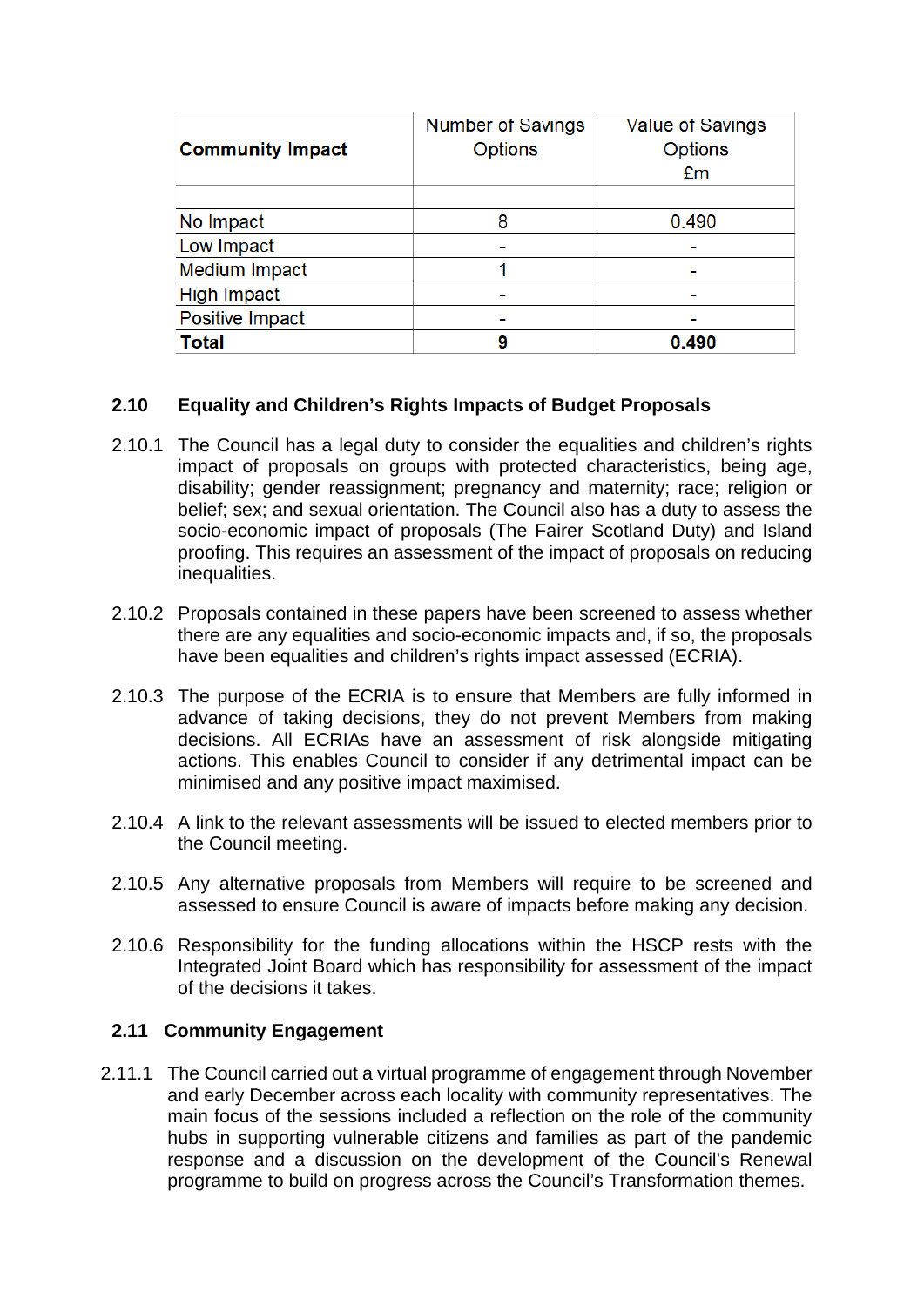| <b>Community Impact</b> | <b>Number of Savings</b><br><b>Options</b> | Value of Savings<br><b>Options</b> |
|-------------------------|--------------------------------------------|------------------------------------|
|                         |                                            | £m                                 |
|                         |                                            |                                    |
| No Impact               | 8                                          | 0.490                              |
| Low Impact              |                                            |                                    |
| <b>Medium Impact</b>    |                                            |                                    |
| <b>High Impact</b>      |                                            |                                    |
| Positive Impact         |                                            |                                    |
| <b>Total</b>            |                                            | 0.490                              |

## **2.10 Equality and Children's Rights Impacts of Budget Proposals**

- 2.10.1 The Council has a legal duty to consider the equalities and children's rights impact of proposals on groups with protected characteristics, being age, disability; gender reassignment; pregnancy and maternity; race; religion or belief; sex; and sexual orientation. The Council also has a duty to assess the socio-economic impact of proposals (The Fairer Scotland Duty) and Island proofing. This requires an assessment of the impact of proposals on reducing inequalities.
- 2.10.2 Proposals contained in these papers have been screened to assess whether there are any equalities and socio-economic impacts and, if so, the proposals have been equalities and children's rights impact assessed (ECRIA).
- 2.10.3 The purpose of the ECRIA is to ensure that Members are fully informed in advance of taking decisions, they do not prevent Members from making decisions. All ECRIAs have an assessment of risk alongside mitigating actions. This enables Council to consider if any detrimental impact can be minimised and any positive impact maximised.
- 2.10.4 A link to the relevant assessments will be issued to elected members prior to the Council meeting.
- 2.10.5 Any alternative proposals from Members will require to be screened and assessed to ensure Council is aware of impacts before making any decision.
- 2.10.6 Responsibility for the funding allocations within the HSCP rests with the Integrated Joint Board which has responsibility for assessment of the impact of the decisions it takes.

### **2.11 Community Engagement**

2.11.1 The Council carried out a virtual programme of engagement through November and early December across each locality with community representatives. The main focus of the sessions included a reflection on the role of the community hubs in supporting vulnerable citizens and families as part of the pandemic response and a discussion on the development of the Council's Renewal programme to build on progress across the Council's Transformation themes.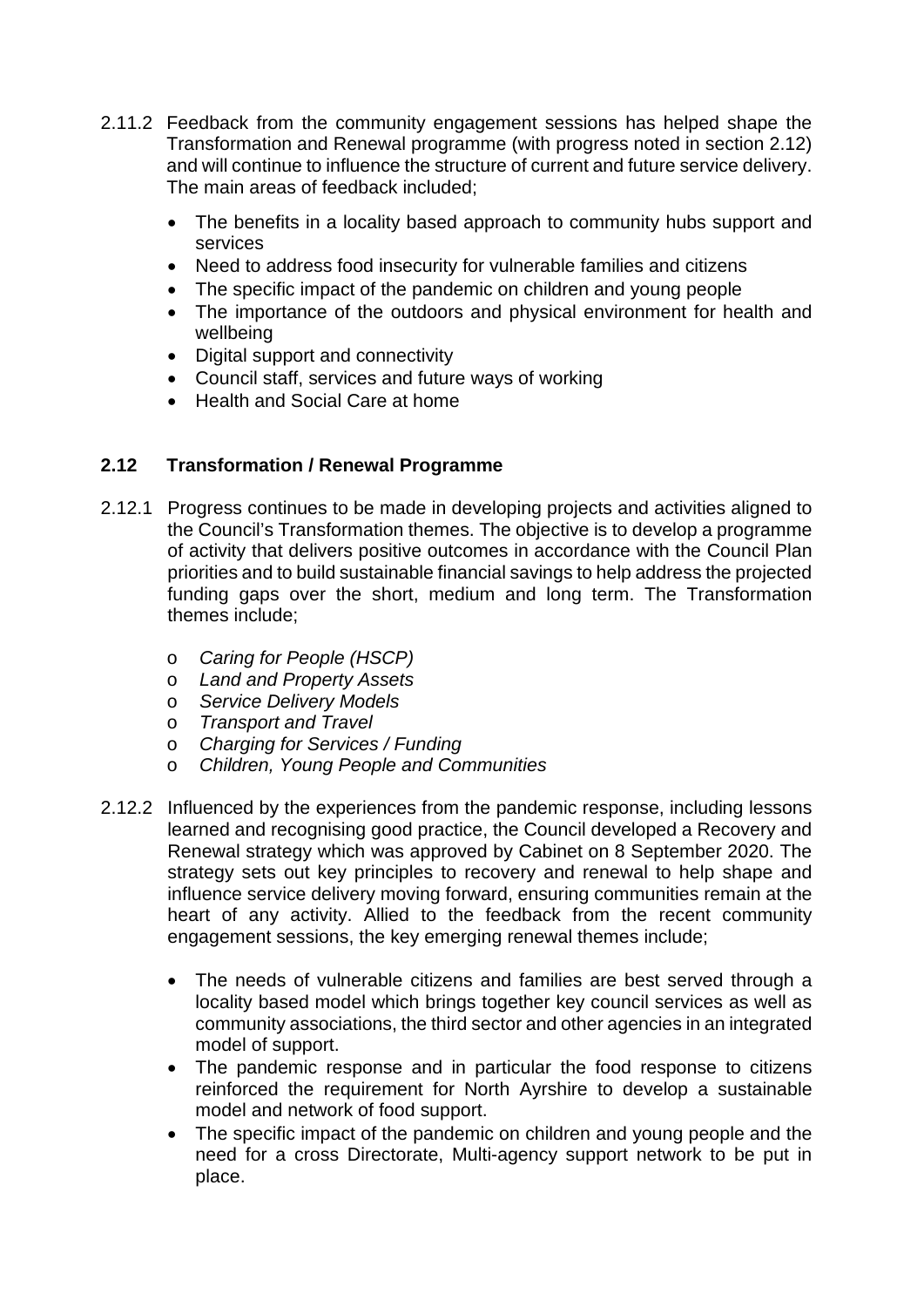- 2.11.2 Feedback from the community engagement sessions has helped shape the Transformation and Renewal programme (with progress noted in section 2.12) and will continue to influence the structure of current and future service delivery. The main areas of feedback included;
	- The benefits in a locality based approach to community hubs support and services
	- Need to address food insecurity for vulnerable families and citizens
	- The specific impact of the pandemic on children and young people
	- The importance of the outdoors and physical environment for health and wellbeing
	- Digital support and connectivity
	- Council staff, services and future ways of working
	- Health and Social Care at home

## **2.12 Transformation / Renewal Programme**

- 2.12.1 Progress continues to be made in developing projects and activities aligned to the Council's Transformation themes. The objective is to develop a programme of activity that delivers positive outcomes in accordance with the Council Plan priorities and to build sustainable financial savings to help address the projected funding gaps over the short, medium and long term. The Transformation themes include;
	- o *Caring for People (HSCP)*
	- o *Land and Property Assets*
	- o *Service Delivery Models*
	- o *Transport and Travel*
	- o *Charging for Services / Funding*
	- o *Children, Young People and Communities*
- 2.12.2 Influenced by the experiences from the pandemic response, including lessons learned and recognising good practice, the Council developed a Recovery and Renewal strategy which was approved by Cabinet on 8 September 2020. The strategy sets out key principles to recovery and renewal to help shape and influence service delivery moving forward, ensuring communities remain at the heart of any activity. Allied to the feedback from the recent community engagement sessions, the key emerging renewal themes include;
	- The needs of vulnerable citizens and families are best served through a locality based model which brings together key council services as well as community associations, the third sector and other agencies in an integrated model of support.
	- The pandemic response and in particular the food response to citizens reinforced the requirement for North Ayrshire to develop a sustainable model and network of food support.
	- The specific impact of the pandemic on children and young people and the need for a cross Directorate, Multi-agency support network to be put in place.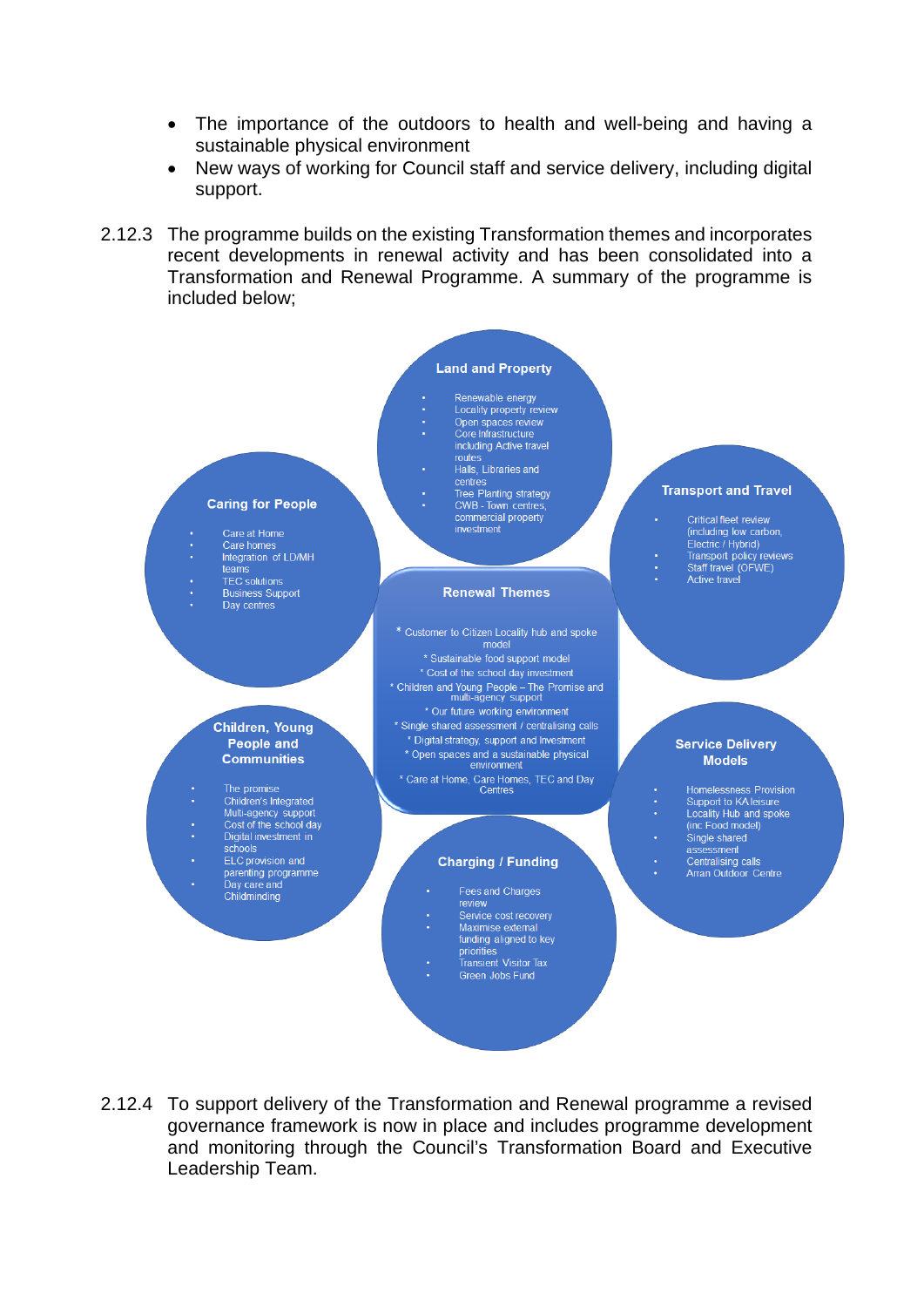- The importance of the outdoors to health and well-being and having a sustainable physical environment
- New ways of working for Council staff and service delivery, including digital support.
- 2.12.3 The programme builds on the existing Transformation themes and incorporates recent developments in renewal activity and has been consolidated into a Transformation and Renewal Programme. A summary of the programme is included below;



2.12.4 To support delivery of the Transformation and Renewal programme a revised governance framework is now in place and includes programme development and monitoring through the Council's Transformation Board and Executive Leadership Team.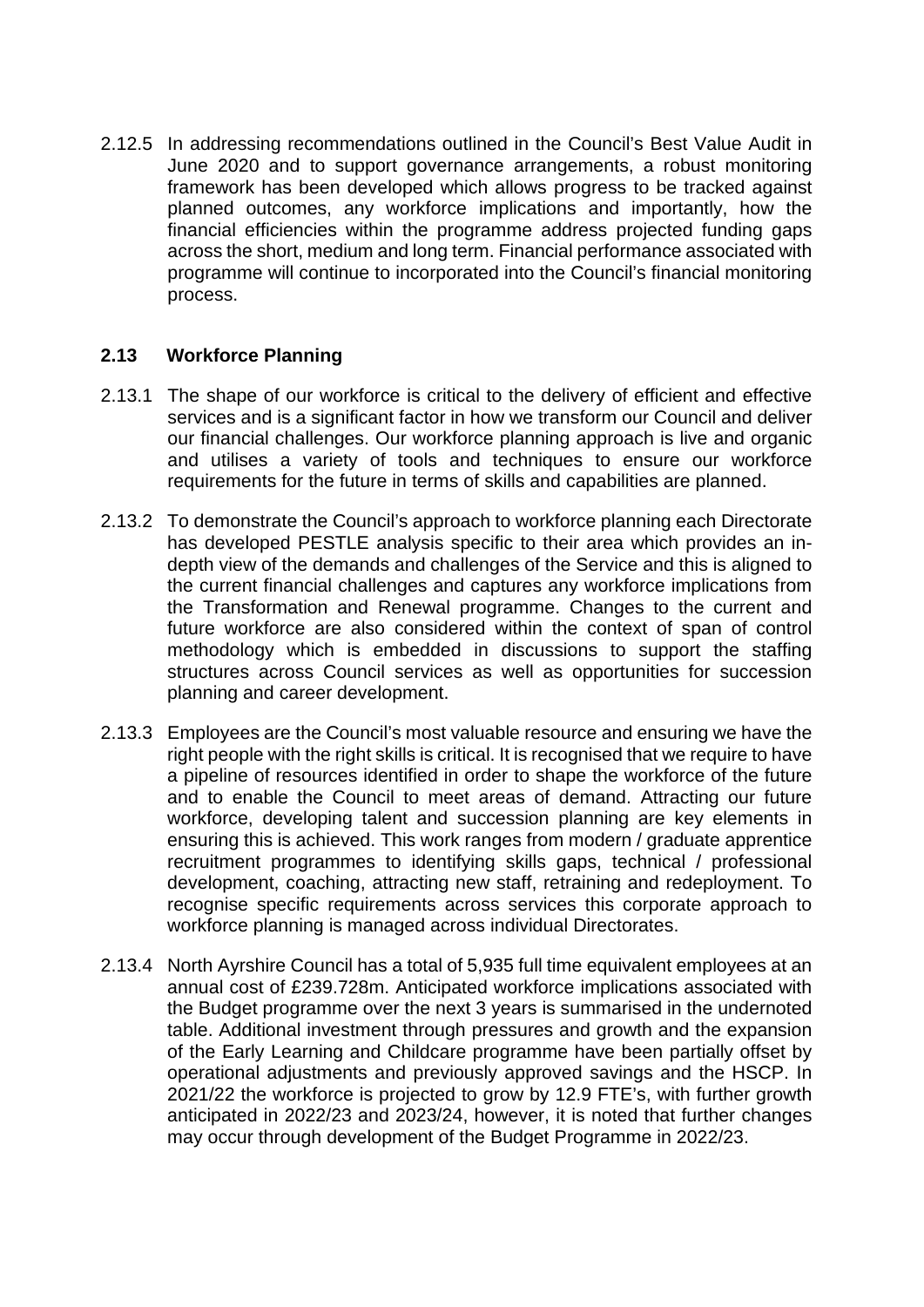2.12.5 In addressing recommendations outlined in the Council's Best Value Audit in June 2020 and to support governance arrangements, a robust monitoring framework has been developed which allows progress to be tracked against planned outcomes, any workforce implications and importantly, how the financial efficiencies within the programme address projected funding gaps across the short, medium and long term. Financial performance associated with programme will continue to incorporated into the Council's financial monitoring process.

### **2.13 Workforce Planning**

- 2.13.1 The shape of our workforce is critical to the delivery of efficient and effective services and is a significant factor in how we transform our Council and deliver our financial challenges. Our workforce planning approach is live and organic and utilises a variety of tools and techniques to ensure our workforce requirements for the future in terms of skills and capabilities are planned.
- 2.13.2 To demonstrate the Council's approach to workforce planning each Directorate has developed PESTLE analysis specific to their area which provides an indepth view of the demands and challenges of the Service and this is aligned to the current financial challenges and captures any workforce implications from the Transformation and Renewal programme. Changes to the current and future workforce are also considered within the context of span of control methodology which is embedded in discussions to support the staffing structures across Council services as well as opportunities for succession planning and career development.
- 2.13.3 Employees are the Council's most valuable resource and ensuring we have the right people with the right skills is critical. It is recognised that we require to have a pipeline of resources identified in order to shape the workforce of the future and to enable the Council to meet areas of demand. Attracting our future workforce, developing talent and succession planning are key elements in ensuring this is achieved. This work ranges from modern / graduate apprentice recruitment programmes to identifying skills gaps, technical / professional development, coaching, attracting new staff, retraining and redeployment. To recognise specific requirements across services this corporate approach to workforce planning is managed across individual Directorates.
- 2.13.4 North Ayrshire Council has a total of 5,935 full time equivalent employees at an annual cost of £239.728m. Anticipated workforce implications associated with the Budget programme over the next 3 years is summarised in the undernoted table. Additional investment through pressures and growth and the expansion of the Early Learning and Childcare programme have been partially offset by operational adjustments and previously approved savings and the HSCP. In 2021/22 the workforce is projected to grow by 12.9 FTE's, with further growth anticipated in 2022/23 and 2023/24, however, it is noted that further changes may occur through development of the Budget Programme in 2022/23.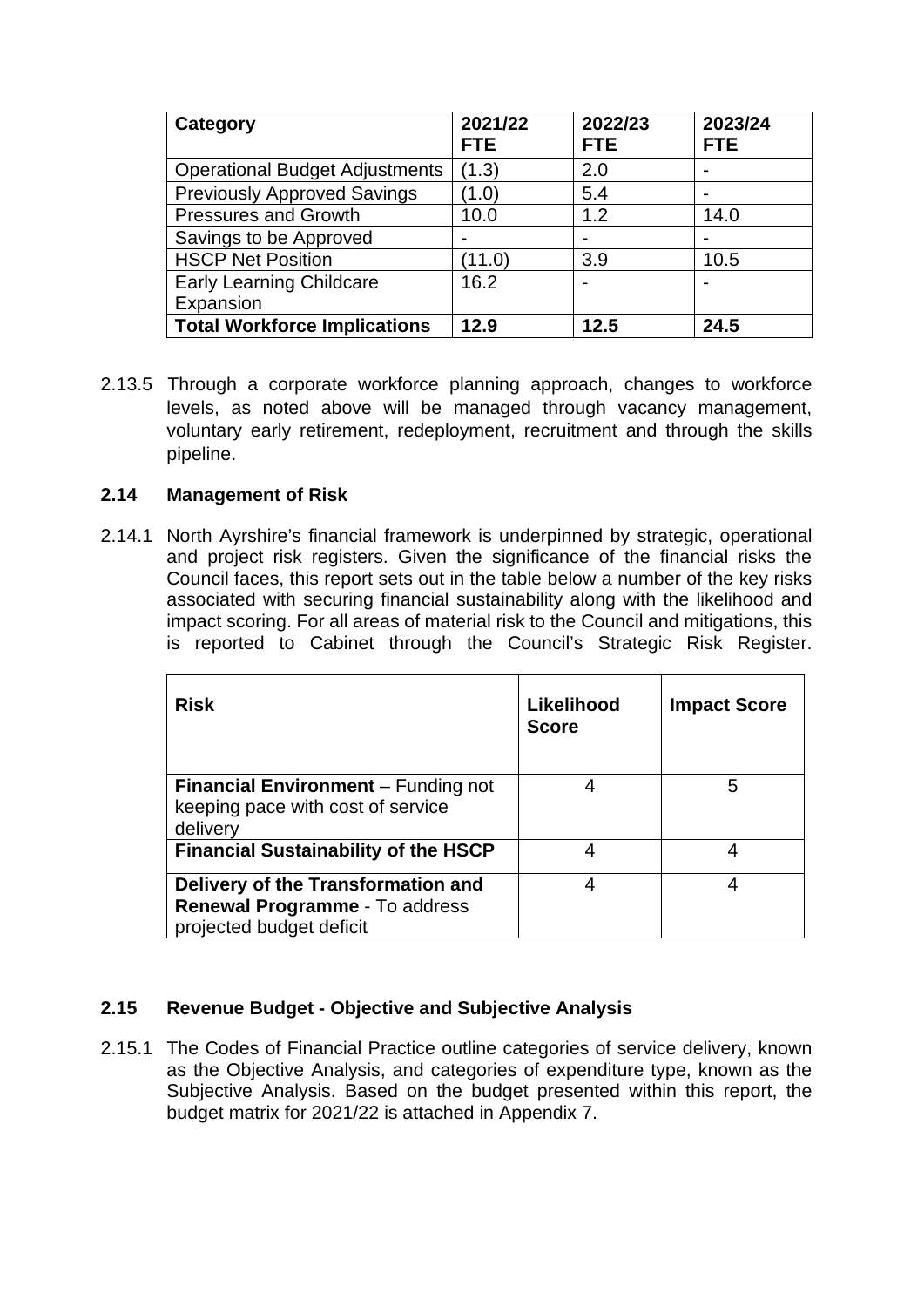| Category                              | 2021/22<br><b>FTE</b>    | 2022/23<br><b>FTE</b>    | 2023/24<br><b>FTE</b> |
|---------------------------------------|--------------------------|--------------------------|-----------------------|
| <b>Operational Budget Adjustments</b> | (1.3)                    | 2.0                      |                       |
| <b>Previously Approved Savings</b>    | (1.0)                    | 5.4                      |                       |
| <b>Pressures and Growth</b>           | 10.0                     | 1.2                      | 14.0                  |
| Savings to be Approved                | $\overline{\phantom{0}}$ | $\overline{\phantom{0}}$ |                       |
| <b>HSCP Net Position</b>              | (11.0)                   | 3.9                      | 10.5                  |
| <b>Early Learning Childcare</b>       | 16.2                     | $\overline{\phantom{a}}$ |                       |
| Expansion                             |                          |                          |                       |
| <b>Total Workforce Implications</b>   | 12.9                     | 12.5                     | 24.5                  |

2.13.5 Through a corporate workforce planning approach, changes to workforce levels, as noted above will be managed through vacancy management, voluntary early retirement, redeployment, recruitment and through the skills pipeline.

### **2.14 Management of Risk**

2.14.1 North Ayrshire's financial framework is underpinned by strategic, operational and project risk registers. Given the significance of the financial risks the Council faces, this report sets out in the table below a number of the key risks associated with securing financial sustainability along with the likelihood and impact scoring. For all areas of material risk to the Council and mitigations, this is reported to Cabinet through the Council's Strategic Risk Register.

| <b>Risk</b>                                                                                      | Likelihood<br><b>Score</b> | <b>Impact Score</b> |
|--------------------------------------------------------------------------------------------------|----------------------------|---------------------|
| <b>Financial Environment</b> – Funding not<br>keeping pace with cost of service<br>delivery      |                            | 5                   |
| <b>Financial Sustainability of the HSCP</b>                                                      | 4                          | 4                   |
| Delivery of the Transformation and<br>Renewal Programme - To address<br>projected budget deficit | 4                          | 4                   |

## **2.15 Revenue Budget - Objective and Subjective Analysis**

2.15.1 The Codes of Financial Practice outline categories of service delivery, known as the Objective Analysis, and categories of expenditure type, known as the Subjective Analysis. Based on the budget presented within this report, the budget matrix for 2021/22 is attached in Appendix 7.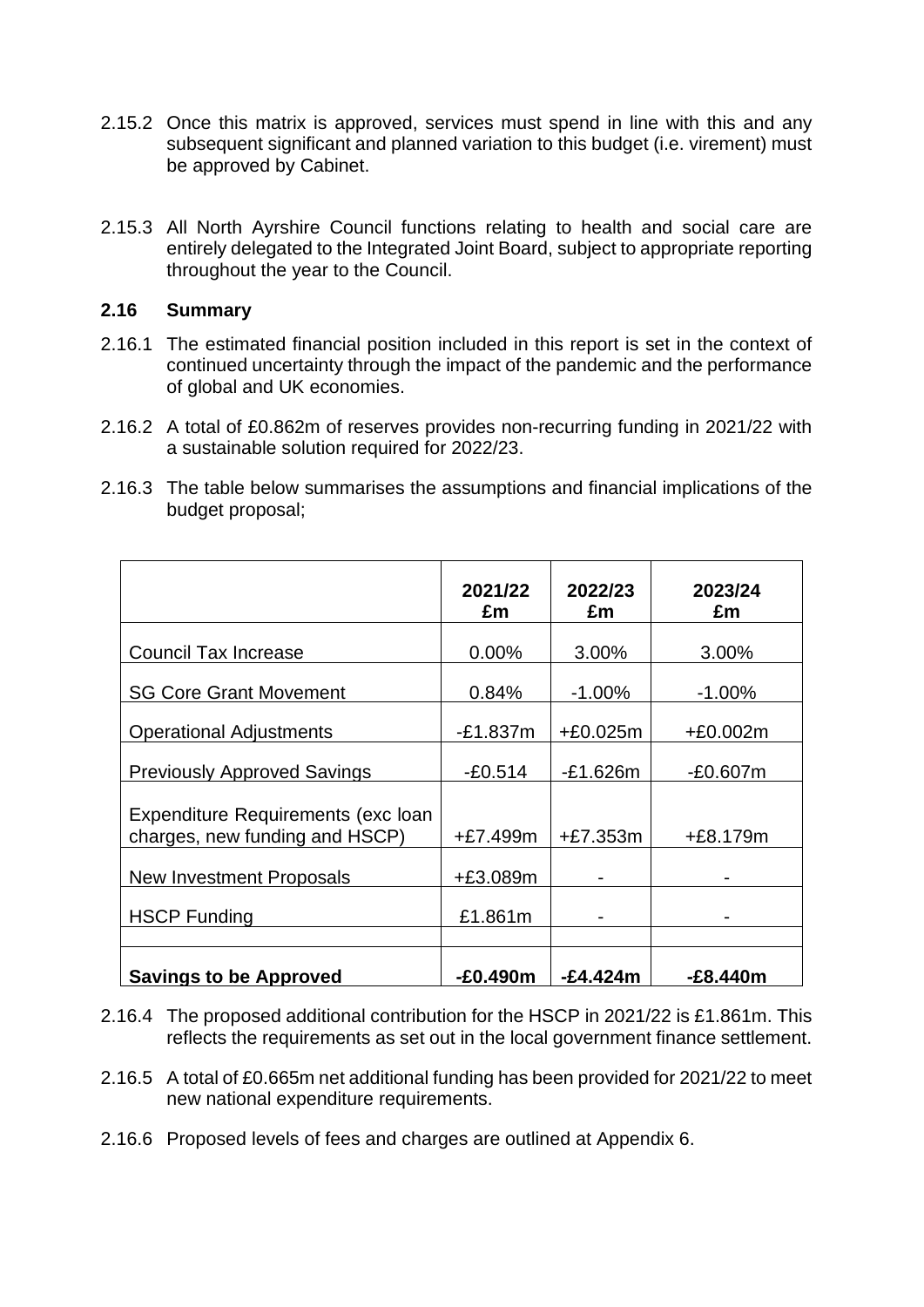- 2.15.2 Once this matrix is approved, services must spend in line with this and any subsequent significant and planned variation to this budget (i.e. virement) must be approved by Cabinet.
- 2.15.3 All North Ayrshire Council functions relating to health and social care are entirely delegated to the Integrated Joint Board, subject to appropriate reporting throughout the year to the Council.

#### **2.16 Summary**

- 2.16.1 The estimated financial position included in this report is set in the context of continued uncertainty through the impact of the pandemic and the performance of global and UK economies.
- 2.16.2 A total of £0.862m of reserves provides non-recurring funding in 2021/22 with a sustainable solution required for 2022/23.
- 2.16.3 The table below summarises the assumptions and financial implications of the budget proposal;

|                                                                      | 2021/22<br>£m | 2022/23<br>£m | 2023/24<br>£m |
|----------------------------------------------------------------------|---------------|---------------|---------------|
| <b>Council Tax Increase</b>                                          | $0.00\%$      | 3.00%         | 3.00%         |
| <b>SG Core Grant Movement</b>                                        | 0.84%         | $-1.00%$      | $-1.00%$      |
| <b>Operational Adjustments</b>                                       | $-E1.837m$    | $+£0.025m$    | +£0.002m      |
| <b>Previously Approved Savings</b>                                   | $-E0.514$     | $-E1.626m$    | $-E0.607m$    |
| Expenditure Requirements (exc loan<br>charges, new funding and HSCP) | $+£7.499m$    | $+£7.353m$    | +£8.179m      |
| New Investment Proposals                                             | +£3.089m      |               |               |
| <b>HSCP Funding</b>                                                  | £1.861m       |               |               |
|                                                                      |               |               |               |
| <b>Savings to be Approved</b>                                        | $-£0.490m$    | -£4.424m      | $-E8.440m$    |

- 2.16.4 The proposed additional contribution for the HSCP in 2021/22 is £1.861m. This reflects the requirements as set out in the local government finance settlement.
- 2.16.5 A total of £0.665m net additional funding has been provided for 2021/22 to meet new national expenditure requirements.
- 2.16.6 Proposed levels of fees and charges are outlined at Appendix 6.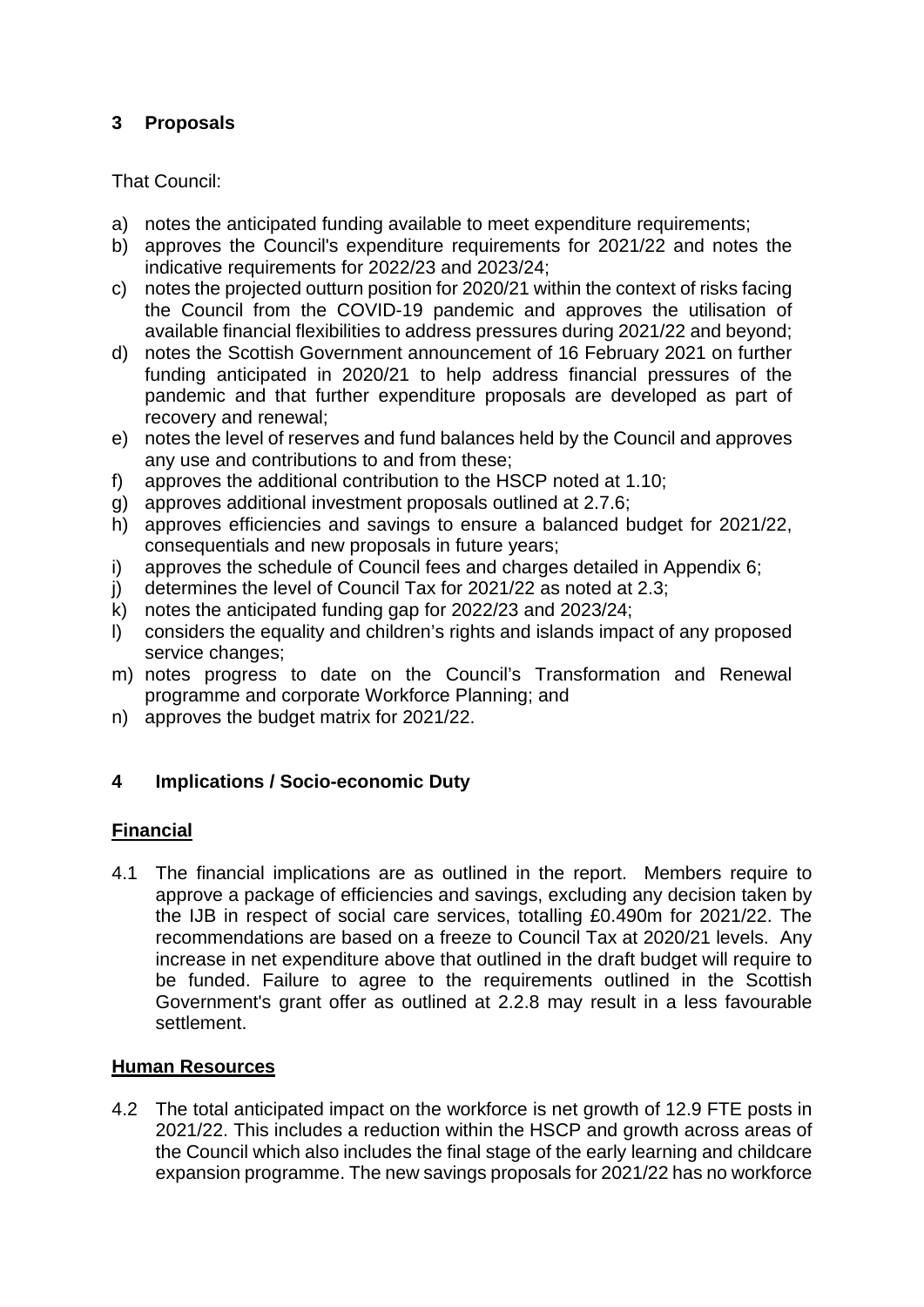## **3 Proposals**

## That Council:

- a) notes the anticipated funding available to meet expenditure requirements;
- b) approves the Council's expenditure requirements for 2021/22 and notes the indicative requirements for 2022/23 and 2023/24;
- c) notes the projected outturn position for 2020/21 within the context of risks facing the Council from the COVID-19 pandemic and approves the utilisation of available financial flexibilities to address pressures during 2021/22 and beyond;
- d) notes the Scottish Government announcement of 16 February 2021 on further funding anticipated in 2020/21 to help address financial pressures of the pandemic and that further expenditure proposals are developed as part of recovery and renewal;
- e) notes the level of reserves and fund balances held by the Council and approves any use and contributions to and from these;
- f) approves the additional contribution to the HSCP noted at 1.10;
- g) approves additional investment proposals outlined at 2.7.6;
- h) approves efficiencies and savings to ensure a balanced budget for 2021/22, consequentials and new proposals in future years;
- i) approves the schedule of Council fees and charges detailed in Appendix 6;
- j) determines the level of Council Tax for 2021/22 as noted at 2.3;
- k) notes the anticipated funding gap for 2022/23 and 2023/24;
- l) considers the equality and children's rights and islands impact of any proposed service changes:
- m) notes progress to date on the Council's Transformation and Renewal programme and corporate Workforce Planning; and
- n) approves the budget matrix for 2021/22.

## **4 Implications / Socio-economic Duty**

## **Financial**

4.1 The financial implications are as outlined in the report. Members require to approve a package of efficiencies and savings, excluding any decision taken by the IJB in respect of social care services, totalling £0.490m for 2021/22. The recommendations are based on a freeze to Council Tax at 2020/21 levels. Any increase in net expenditure above that outlined in the draft budget will require to be funded. Failure to agree to the requirements outlined in the Scottish Government's grant offer as outlined at 2.2.8 may result in a less favourable settlement.

## **Human Resources**

4.2 The total anticipated impact on the workforce is net growth of 12.9 FTE posts in 2021/22. This includes a reduction within the HSCP and growth across areas of the Council which also includes the final stage of the early learning and childcare expansion programme. The new savings proposals for 2021/22 has no workforce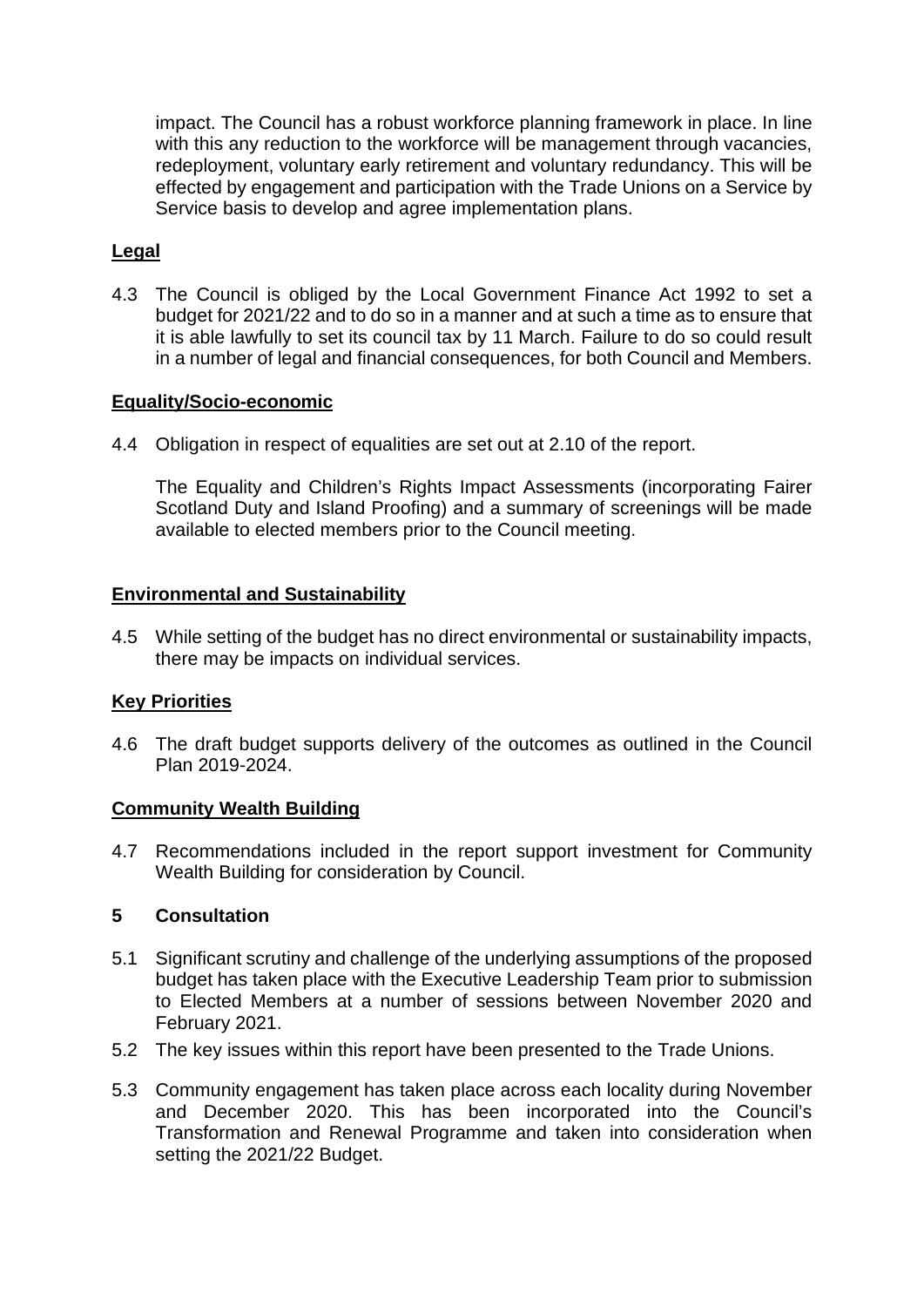impact. The Council has a robust workforce planning framework in place. In line with this any reduction to the workforce will be management through vacancies, redeployment, voluntary early retirement and voluntary redundancy. This will be effected by engagement and participation with the Trade Unions on a Service by Service basis to develop and agree implementation plans.

## **Legal**

4.3 The Council is obliged by the Local Government Finance Act 1992 to set a budget for 2021/22 and to do so in a manner and at such a time as to ensure that it is able lawfully to set its council tax by 11 March. Failure to do so could result in a number of legal and financial consequences, for both Council and Members.

### **Equality/Socio-economic**

4.4 Obligation in respect of equalities are set out at 2.10 of the report.

The Equality and Children's Rights Impact Assessments (incorporating Fairer Scotland Duty and Island Proofing) and a summary of screenings will be made available to elected members prior to the Council meeting.

## **Environmental and Sustainability**

4.5 While setting of the budget has no direct environmental or sustainability impacts, there may be impacts on individual services.

### **Key Priorities**

4.6 The draft budget supports delivery of the outcomes as outlined in the Council Plan 2019-2024.

### **Community Wealth Building**

4.7 Recommendations included in the report support investment for Community Wealth Building for consideration by Council.

### **5 Consultation**

- 5.1 Significant scrutiny and challenge of the underlying assumptions of the proposed budget has taken place with the Executive Leadership Team prior to submission to Elected Members at a number of sessions between November 2020 and February 2021.
- 5.2 The key issues within this report have been presented to the Trade Unions.
- 5.3 Community engagement has taken place across each locality during November and December 2020. This has been incorporated into the Council's Transformation and Renewal Programme and taken into consideration when setting the 2021/22 Budget.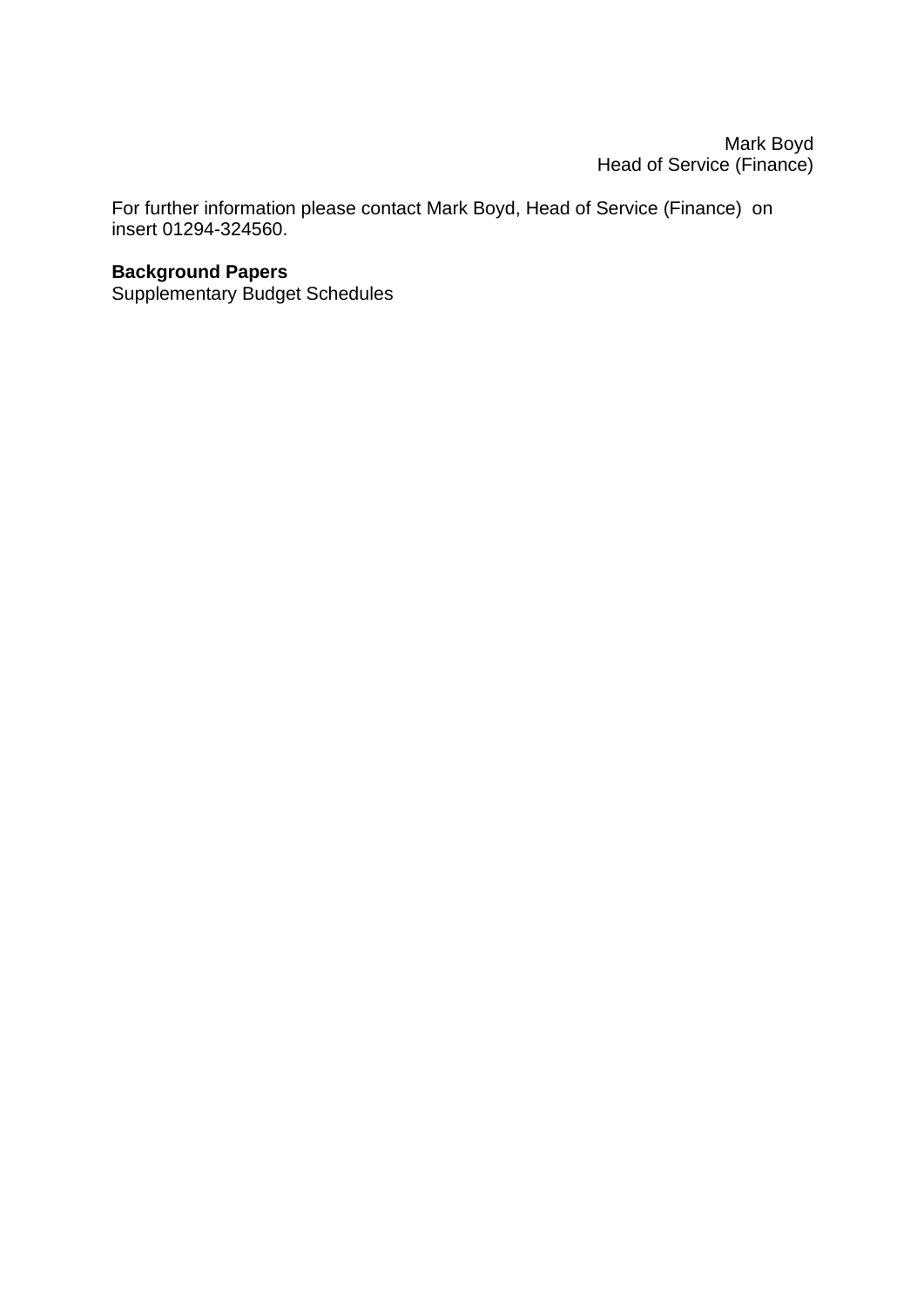Mark Boyd Head of Service (Finance)

For further information please contact Mark Boyd, Head of Service (Finance) on insert 01294-324560.

## **Background Papers**

Supplementary Budget Schedules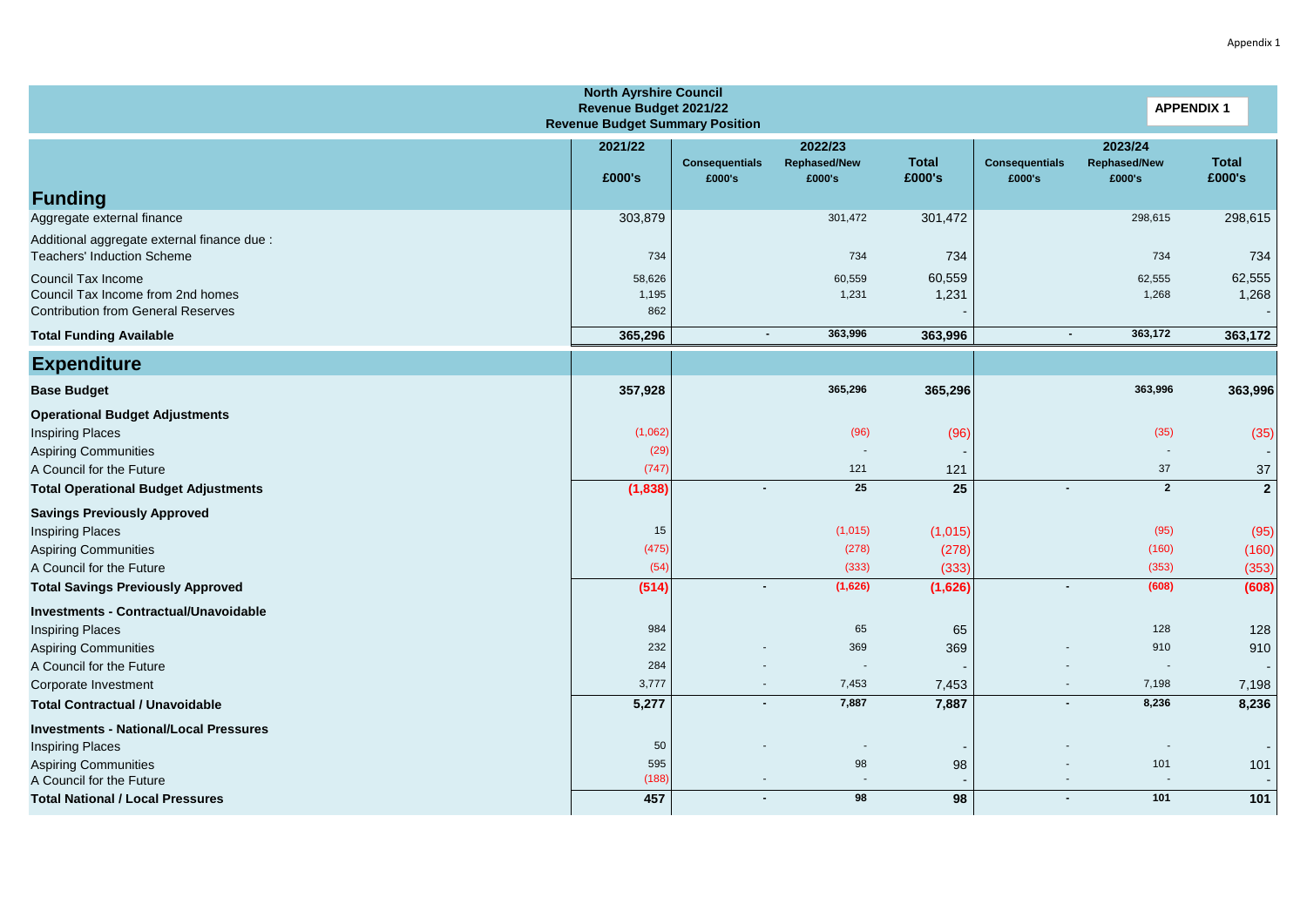| <b>North Ayrshire Council</b><br>Revenue Budget 2021/22<br><b>Revenue Budget Summary Position</b>    |                        |                                 |                                          |                        |                                 | <b>APPENDIX 1</b>                        |                        |
|------------------------------------------------------------------------------------------------------|------------------------|---------------------------------|------------------------------------------|------------------------|---------------------------------|------------------------------------------|------------------------|
|                                                                                                      | 2021/22<br>£000's      | <b>Consequentials</b><br>£000's | 2022/23<br><b>Rephased/New</b><br>£000's | <b>Total</b><br>£000's | <b>Consequentials</b><br>£000's | 2023/24<br><b>Rephased/New</b><br>£000's | <b>Total</b><br>£000's |
| <b>Funding</b>                                                                                       |                        |                                 |                                          |                        |                                 |                                          |                        |
| Aggregate external finance                                                                           | 303,879                |                                 | 301,472                                  | 301,472                |                                 | 298,615                                  | 298,615                |
| Additional aggregate external finance due :<br><b>Teachers' Induction Scheme</b>                     | 734                    |                                 | 734                                      | 734                    |                                 | 734                                      | 734                    |
| Council Tax Income<br>Council Tax Income from 2nd homes<br><b>Contribution from General Reserves</b> | 58,626<br>1,195<br>862 |                                 | 60,559<br>1,231                          | 60,559<br>1,231        |                                 | 62,555<br>1,268                          | 62,555<br>1,268        |
| <b>Total Funding Available</b>                                                                       | 365,296                | $\blacksquare$                  | 363,996                                  | 363,996                | $\blacksquare$                  | 363,172                                  | 363,172                |
| <b>Expenditure</b>                                                                                   |                        |                                 |                                          |                        |                                 |                                          |                        |
| <b>Base Budget</b>                                                                                   | 357,928                |                                 | 365,296                                  | 365,296                |                                 | 363,996                                  | 363,996                |
| <b>Operational Budget Adjustments</b>                                                                | (1,062)                |                                 | (96)                                     | (96)                   |                                 | (35)                                     | (35)                   |
| <b>Inspiring Places</b><br><b>Aspiring Communities</b>                                               | (29)                   |                                 |                                          |                        |                                 |                                          | ۰                      |
| A Council for the Future                                                                             | (747)                  |                                 | 121                                      | 121                    |                                 | 37                                       | 37                     |
| <b>Total Operational Budget Adjustments</b>                                                          | (1, 838)               |                                 | 25                                       | $\overline{25}$        |                                 | $\overline{2}$                           | $\mathbf{2}$           |
| <b>Savings Previously Approved</b>                                                                   |                        |                                 |                                          |                        |                                 |                                          |                        |
| <b>Inspiring Places</b>                                                                              | 15                     |                                 | (1,015)                                  | (1,015)                |                                 | (95)                                     | (95)                   |
| <b>Aspiring Communities</b>                                                                          | (475)                  |                                 | (278)                                    | (278)                  |                                 | (160)                                    | (160)                  |
| A Council for the Future                                                                             | (54)                   |                                 | (333)                                    | (333)                  |                                 | (353)                                    | (353)                  |
| <b>Total Savings Previously Approved</b>                                                             | (514)                  |                                 | (1,626)                                  | (1,626)                | $\blacksquare$                  | (608)                                    | (608)                  |
| <b>Investments - Contractual/Unavoidable</b>                                                         |                        |                                 |                                          |                        |                                 |                                          |                        |
| <b>Inspiring Places</b>                                                                              | 984                    |                                 | 65                                       | 65                     |                                 | 128                                      | 128                    |
| <b>Aspiring Communities</b><br>A Council for the Future                                              | 232<br>284             |                                 | 369                                      | 369                    |                                 | 910<br>$\sim$                            | 910                    |
| Corporate Investment                                                                                 | 3,777                  | $\overline{\phantom{a}}$        | 7,453                                    | 7,453                  | ٠                               | 7,198                                    | 7,198                  |
| <b>Total Contractual / Unavoidable</b>                                                               | 5,277                  | $\blacksquare$                  | 7,887                                    | 7,887                  | $\blacksquare$                  | 8,236                                    | 8,236                  |
| <b>Investments - National/Local Pressures</b>                                                        |                        |                                 |                                          |                        |                                 |                                          |                        |
| <b>Inspiring Places</b>                                                                              | 50                     |                                 |                                          |                        |                                 |                                          |                        |
| <b>Aspiring Communities</b>                                                                          | 595                    |                                 | 98                                       | 98                     |                                 | 101                                      | 101                    |
| A Council for the Future                                                                             | (188)                  |                                 |                                          |                        |                                 |                                          |                        |
| <b>Total National / Local Pressures</b>                                                              | 457                    |                                 | 98                                       | 98                     | $\blacksquare$                  | 101                                      | 101                    |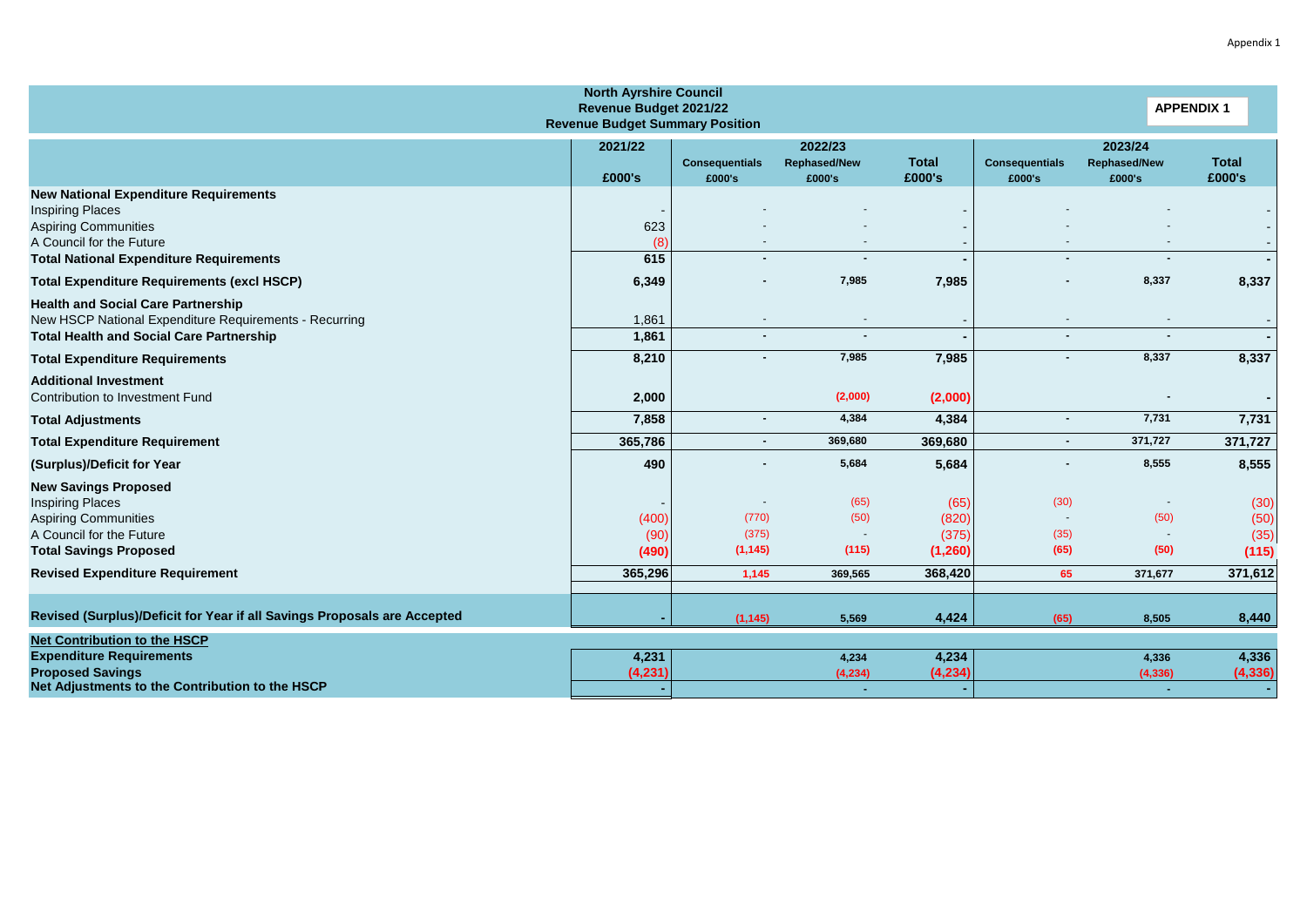| <b>North Ayrshire Council</b><br>Revenue Budget 2021/22<br><b>Revenue Budget Summary Position</b>                                                                                    |                        |                                 |                                          |                                    |                                 |                                          | <b>APPENDIX 1</b>             |
|--------------------------------------------------------------------------------------------------------------------------------------------------------------------------------------|------------------------|---------------------------------|------------------------------------------|------------------------------------|---------------------------------|------------------------------------------|-------------------------------|
|                                                                                                                                                                                      | 2021/22<br>£000's      | <b>Consequentials</b><br>£000's | 2022/23<br><b>Rephased/New</b><br>£000's | <b>Total</b><br>£000's             | <b>Consequentials</b><br>£000's | 2023/24<br><b>Rephased/New</b><br>£000's | <b>Total</b><br>£000's        |
| <b>New National Expenditure Requirements</b><br><b>Inspiring Places</b><br><b>Aspiring Communities</b><br>A Council for the Future<br><b>Total National Expenditure Requirements</b> | 623<br>(8)<br>615      |                                 |                                          |                                    |                                 |                                          |                               |
| <b>Total Expenditure Requirements (excl HSCP)</b>                                                                                                                                    | 6,349                  |                                 | 7,985                                    | 7,985                              |                                 | 8,337                                    | 8,337                         |
| <b>Health and Social Care Partnership</b><br>New HSCP National Expenditure Requirements - Recurring<br><b>Total Health and Social Care Partnership</b>                               | 1,861<br>1,861         |                                 |                                          |                                    | $\overline{a}$                  | $\sim$                                   | $\blacksquare$                |
| <b>Total Expenditure Requirements</b>                                                                                                                                                | 8,210                  |                                 | 7,985                                    | 7,985                              | $\blacksquare$                  | 8,337                                    | 8,337                         |
| <b>Additional Investment</b><br>Contribution to Investment Fund                                                                                                                      | 2,000                  |                                 | (2,000)                                  | (2,000)                            |                                 |                                          | $\blacksquare$                |
| <b>Total Adjustments</b>                                                                                                                                                             | 7,858                  |                                 | 4,384                                    | 4,384                              | $\overline{\phantom{0}}$        | 7,731                                    | 7,731                         |
| <b>Total Expenditure Requirement</b>                                                                                                                                                 | 365,786                |                                 | 369,680                                  | 369,680                            | $\blacksquare$                  | 371,727                                  | 371,727                       |
| (Surplus)/Deficit for Year                                                                                                                                                           | 490                    |                                 | 5,684                                    | 5,684                              |                                 | 8,555                                    | 8,555                         |
| <b>New Savings Proposed</b><br><b>Inspiring Places</b><br><b>Aspiring Communities</b><br>A Council for the Future<br><b>Total Savings Proposed</b>                                   | (400)<br>(90)<br>(490) | (770)<br>(375)<br>(1, 145)      | (65)<br>(50)<br>(115)                    | (65)<br>(820)<br>(375)<br>(1, 260) | (30)<br>(35)<br>(65)            | $\sim$<br>(50)<br>$\sim$<br>(50)         | (30)<br>(50)<br>(35)<br>(115) |
| <b>Revised Expenditure Requirement</b>                                                                                                                                               | 365,296                | 1,145                           | 369,565                                  | 368,420                            | 65                              | 371,677                                  | 371,612                       |
| Revised (Surplus)/Deficit for Year if all Savings Proposals are Accepted<br><b>Net Contribution to the HSCP</b>                                                                      |                        | (1, 145)                        | 5,569                                    | 4,424                              | (65)                            | 8,505                                    | 8,440                         |
| <b>Expenditure Requirements</b><br><b>Proposed Savings</b><br>Net Adjustments to the Contribution to the HSCP                                                                        | 4,231<br>(4, 231)      |                                 | 4,234<br>(4, 234)                        | 4,234<br>(4, 234)                  |                                 | 4,336<br>(4, 336)                        | 4,336<br>(4, 336)             |

Appendix 1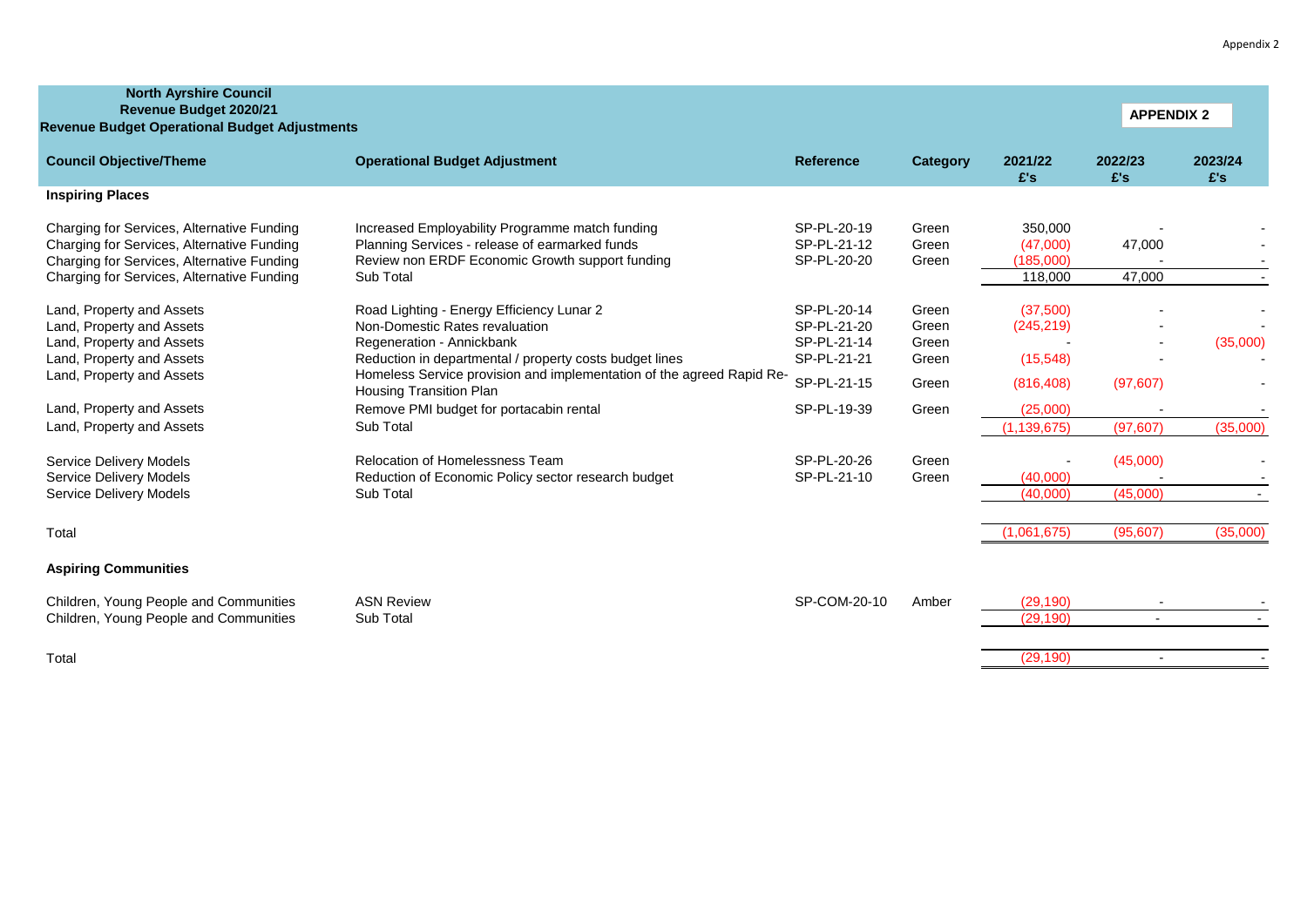| <b>North Ayrshire Council</b><br>Revenue Budget 2020/21<br><b>Revenue Budget Operational Budget Adjustments</b>                                                                      |                                                                                                                                                                   |                                           |                         |                                             | <b>APPENDIX 2</b>        |                |
|--------------------------------------------------------------------------------------------------------------------------------------------------------------------------------------|-------------------------------------------------------------------------------------------------------------------------------------------------------------------|-------------------------------------------|-------------------------|---------------------------------------------|--------------------------|----------------|
| <b>Council Objective/Theme</b>                                                                                                                                                       | <b>Operational Budget Adjustment</b>                                                                                                                              | <b>Reference</b>                          | Category                | 2021/22<br>E's                              | 2022/23<br>£'s           | 2023/24<br>E's |
| <b>Inspiring Places</b>                                                                                                                                                              |                                                                                                                                                                   |                                           |                         |                                             |                          |                |
| Charging for Services, Alternative Funding<br>Charging for Services, Alternative Funding<br>Charging for Services, Alternative Funding<br>Charging for Services, Alternative Funding | Increased Employability Programme match funding<br>Planning Services - release of earmarked funds<br>Review non ERDF Economic Growth support funding<br>Sub Total | SP-PL-20-19<br>SP-PL-21-12<br>SP-PL-20-20 | Green<br>Green<br>Green | 350,000<br>(47,000)<br>(185,000)<br>118,000 | 47,000<br>47,000         |                |
| Land, Property and Assets<br>Land, Property and Assets<br>Land, Property and Assets                                                                                                  | Road Lighting - Energy Efficiency Lunar 2<br>Non-Domestic Rates revaluation<br>Regeneration - Annickbank                                                          | SP-PL-20-14<br>SP-PL-21-20<br>SP-PL-21-14 | Green<br>Green<br>Green | (37,500)<br>(245, 219)                      |                          | (35,000)       |
| Land, Property and Assets<br>Land, Property and Assets                                                                                                                               | Reduction in departmental / property costs budget lines<br>Homeless Service provision and implementation of the agreed Rapid Re-<br>Housing Transition Plan       | SP-PL-21-21<br>SP-PL-21-15                | Green<br>Green          | (15, 548)<br>(816, 408)                     | (97, 607)                |                |
| Land, Property and Assets<br>Land, Property and Assets                                                                                                                               | Remove PMI budget for portacabin rental<br>Sub Total                                                                                                              | SP-PL-19-39                               | Green                   | (25,000)<br>(1, 139, 675)                   | (97, 607)                | (35,000)       |
| <b>Service Delivery Models</b><br><b>Service Delivery Models</b><br><b>Service Delivery Models</b>                                                                                   | Relocation of Homelessness Team<br>Reduction of Economic Policy sector research budget<br>Sub Total                                                               | SP-PL-20-26<br>SP-PL-21-10                | Green<br>Green          | (40,000)<br>(40,000)                        | (45,000)<br>(45,000)     |                |
| Total                                                                                                                                                                                |                                                                                                                                                                   |                                           |                         | (1,061,675)                                 | (95,607)                 | (35,000)       |
| <b>Aspiring Communities</b>                                                                                                                                                          |                                                                                                                                                                   |                                           |                         |                                             |                          |                |
| Children, Young People and Communities<br>Children, Young People and Communities                                                                                                     | <b>ASN Review</b><br>Sub Total                                                                                                                                    | SP-COM-20-10                              | Amber                   | (29.190)<br>(29, 190)                       | $\overline{\phantom{a}}$ |                |

Total (29,190) - -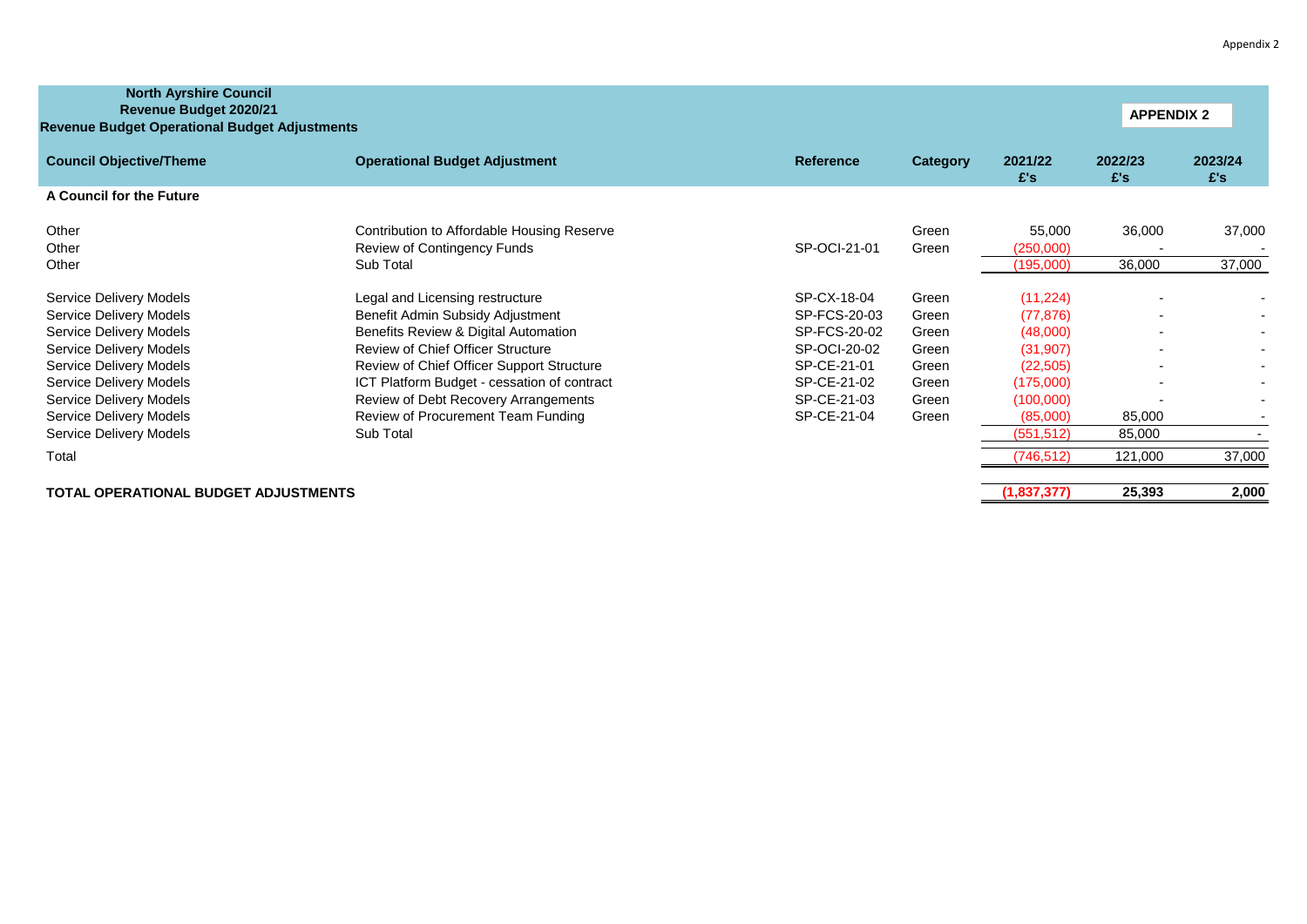| Appendix 2 |  |  |
|------------|--|--|
|------------|--|--|

| <b>North Ayrshire Council</b><br>Revenue Budget 2020/21<br><b>Revenue Budget Operational Budget Adjustments</b> |                                             |                  |          |                | <b>APPENDIX 2</b> |                |
|-----------------------------------------------------------------------------------------------------------------|---------------------------------------------|------------------|----------|----------------|-------------------|----------------|
| <b>Council Objective/Theme</b>                                                                                  | <b>Operational Budget Adjustment</b>        | <b>Reference</b> | Category | 2021/22<br>E's | 2022/23<br>£'s    | 2023/24<br>£'s |
| A Council for the Future                                                                                        |                                             |                  |          |                |                   |                |
| Other                                                                                                           | Contribution to Affordable Housing Reserve  |                  | Green    | 55,000         | 36,000            | 37,000         |
| Other                                                                                                           | Review of Contingency Funds                 | SP-OCI-21-01     | Green    | (250,000)      |                   |                |
| Other                                                                                                           | Sub Total                                   |                  |          | (195,000)      | 36,000            | 37,000         |
| Service Delivery Models                                                                                         | Legal and Licensing restructure             | SP-CX-18-04      | Green    | (11, 224)      |                   |                |
| Service Delivery Models                                                                                         | Benefit Admin Subsidy Adjustment            | SP-FCS-20-03     | Green    | (77, 876)      |                   |                |
| Service Delivery Models                                                                                         | Benefits Review & Digital Automation        | SP-FCS-20-02     | Green    | (48,000)       |                   |                |
| Service Delivery Models                                                                                         | <b>Review of Chief Officer Structure</b>    | SP-OCI-20-02     | Green    | (31, 907)      |                   |                |
| Service Delivery Models                                                                                         | Review of Chief Officer Support Structure   | SP-CE-21-01      | Green    | (22, 505)      |                   |                |
| Service Delivery Models                                                                                         | ICT Platform Budget - cessation of contract | SP-CE-21-02      | Green    | (175,000)      |                   |                |
| Service Delivery Models                                                                                         | Review of Debt Recovery Arrangements        | SP-CE-21-03      | Green    | (100,000)      |                   |                |
| Service Delivery Models                                                                                         | Review of Procurement Team Funding          | SP-CE-21-04      | Green    | (85,000)       | 85,000            |                |
| Service Delivery Models                                                                                         | Sub Total                                   |                  |          | (551, 512)     | 85,000            |                |
| Total                                                                                                           |                                             |                  |          | (746, 512)     | 121,000           | 37,000         |
| <b>TOTAL OPERATIONAL BUDGET ADJUSTMENTS</b>                                                                     |                                             |                  |          | (1,837,377)    | 25,393            | 2,000          |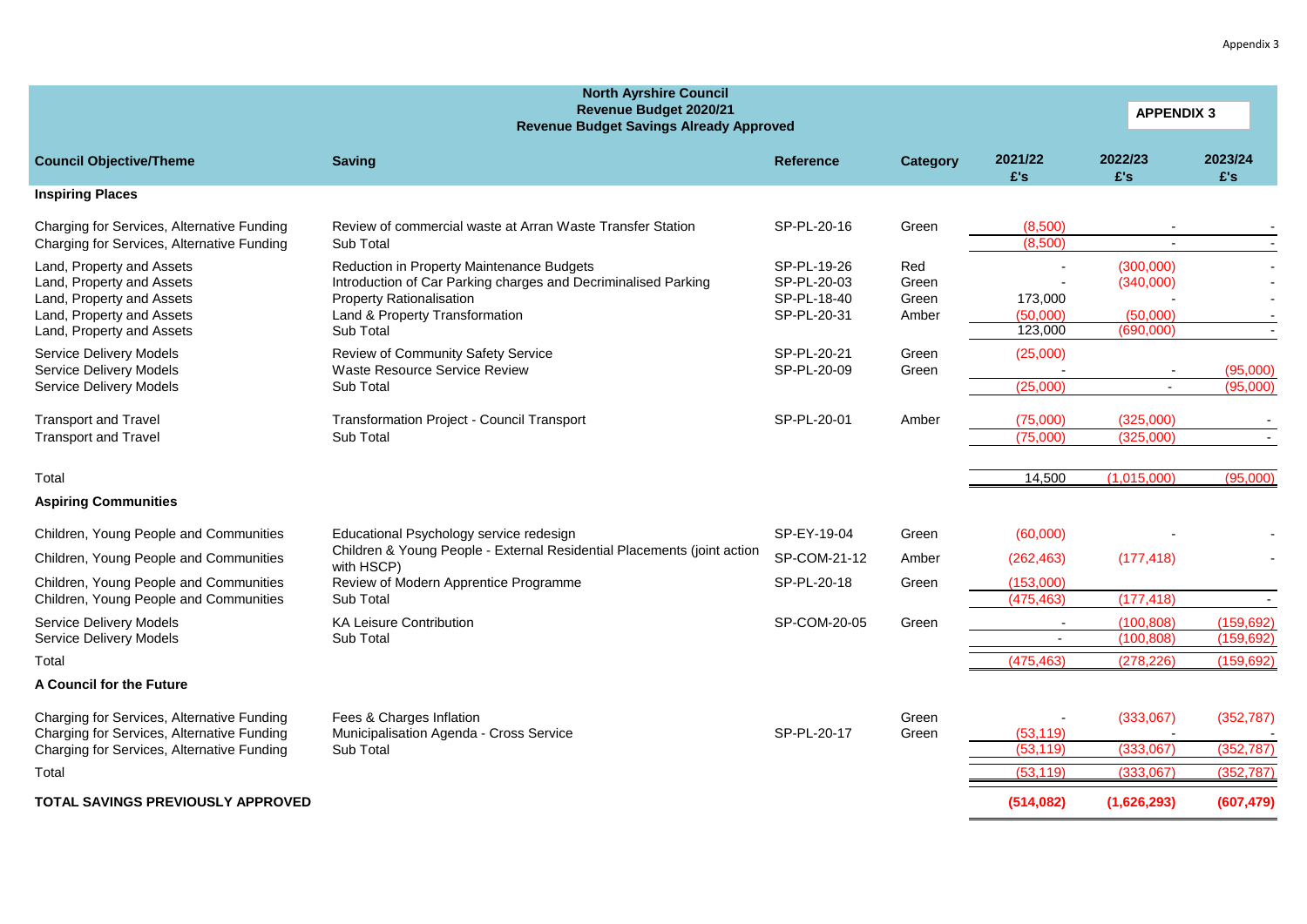|                                                                                                                                               | <b>North Ayrshire Council</b><br>Revenue Budget 2020/21<br><b>Revenue Budget Savings Already Approved</b>                                                                                     | <b>APPENDIX 3</b>                                        |                                |                                |                                                 |                          |
|-----------------------------------------------------------------------------------------------------------------------------------------------|-----------------------------------------------------------------------------------------------------------------------------------------------------------------------------------------------|----------------------------------------------------------|--------------------------------|--------------------------------|-------------------------------------------------|--------------------------|
| <b>Council Objective/Theme</b>                                                                                                                | <b>Saving</b>                                                                                                                                                                                 | <b>Reference</b>                                         | Category                       | 2021/22<br>£'s                 | 2022/23<br>£'s                                  | 2023/24<br>£'s           |
| <b>Inspiring Places</b>                                                                                                                       |                                                                                                                                                                                               |                                                          |                                |                                |                                                 |                          |
| Charging for Services, Alternative Funding<br>Charging for Services, Alternative Funding                                                      | Review of commercial waste at Arran Waste Transfer Station<br>Sub Total                                                                                                                       | SP-PL-20-16                                              | Green                          | (8,500)<br>(8,500)             |                                                 |                          |
| Land, Property and Assets<br>Land, Property and Assets<br>Land, Property and Assets<br>Land, Property and Assets<br>Land, Property and Assets | Reduction in Property Maintenance Budgets<br>Introduction of Car Parking charges and Decriminalised Parking<br><b>Property Rationalisation</b><br>Land & Property Transformation<br>Sub Total | SP-PL-19-26<br>SP-PL-20-03<br>SP-PL-18-40<br>SP-PL-20-31 | Red<br>Green<br>Green<br>Amber | 173,000<br>(50,000)<br>123,000 | (300,000)<br>(340,000)<br>(50,000)<br>(690,000) |                          |
| <b>Service Delivery Models</b><br><b>Service Delivery Models</b><br><b>Service Delivery Models</b>                                            | Review of Community Safety Service<br>Waste Resource Service Review<br>Sub Total                                                                                                              | SP-PL-20-21<br>SP-PL-20-09                               | Green<br>Green                 | (25,000)<br>(25,000)           | $\blacksquare$                                  | (95,000)<br>(95,000)     |
| <b>Transport and Travel</b><br><b>Transport and Travel</b>                                                                                    | Transformation Project - Council Transport<br>Sub Total                                                                                                                                       | SP-PL-20-01                                              | Amber                          | (75,000)<br>(75,000)           | (325,000)<br>(325,000)                          |                          |
| Total                                                                                                                                         |                                                                                                                                                                                               |                                                          |                                | 14,500                         | (1,015,000)                                     | (95,000)                 |
| <b>Aspiring Communities</b>                                                                                                                   |                                                                                                                                                                                               |                                                          |                                |                                |                                                 |                          |
| Children, Young People and Communities                                                                                                        | Educational Psychology service redesign                                                                                                                                                       | SP-EY-19-04                                              | Green                          | (60,000)                       |                                                 |                          |
| Children, Young People and Communities                                                                                                        | Children & Young People - External Residential Placements (joint action<br>with HSCP)                                                                                                         | SP-COM-21-12                                             | Amber                          | (262, 463)                     | (177, 418)                                      |                          |
| Children, Young People and Communities<br>Children, Young People and Communities                                                              | Review of Modern Apprentice Programme<br>Sub Total                                                                                                                                            | SP-PL-20-18                                              | Green                          | (153,000)<br>(475, 463)        | (177, 418)                                      | $\overline{\phantom{a}}$ |
| <b>Service Delivery Models</b>                                                                                                                | <b>KA Leisure Contribution</b>                                                                                                                                                                | SP-COM-20-05                                             | Green                          |                                | (100, 808)                                      | (159, 692)               |
| Service Delivery Models<br>Total                                                                                                              | Sub Total                                                                                                                                                                                     |                                                          |                                | (475, 463)                     | (100, 808)<br>(278, 226)                        | (159, 692)<br>(159, 692) |
| <b>A Council for the Future</b>                                                                                                               |                                                                                                                                                                                               |                                                          |                                |                                |                                                 |                          |
| Charging for Services, Alternative Funding<br>Charging for Services, Alternative Funding                                                      | Fees & Charges Inflation<br>Municipalisation Agenda - Cross Service                                                                                                                           | SP-PL-20-17                                              | Green<br>Green                 | (53, 119)                      | (333,067)                                       | (352, 787)               |
| Charging for Services, Alternative Funding                                                                                                    | Sub Total                                                                                                                                                                                     |                                                          |                                | (53, 119)                      | (333,067)                                       | (352, 787)<br>(352.787)  |
| Total                                                                                                                                         |                                                                                                                                                                                               |                                                          |                                | (53.119)                       | (333.067)                                       |                          |
| TOTAL SAVINGS PREVIOUSLY APPROVED                                                                                                             |                                                                                                                                                                                               |                                                          |                                | (514, 082)                     | (1,626,293)                                     | (607, 479)               |

Appendix 3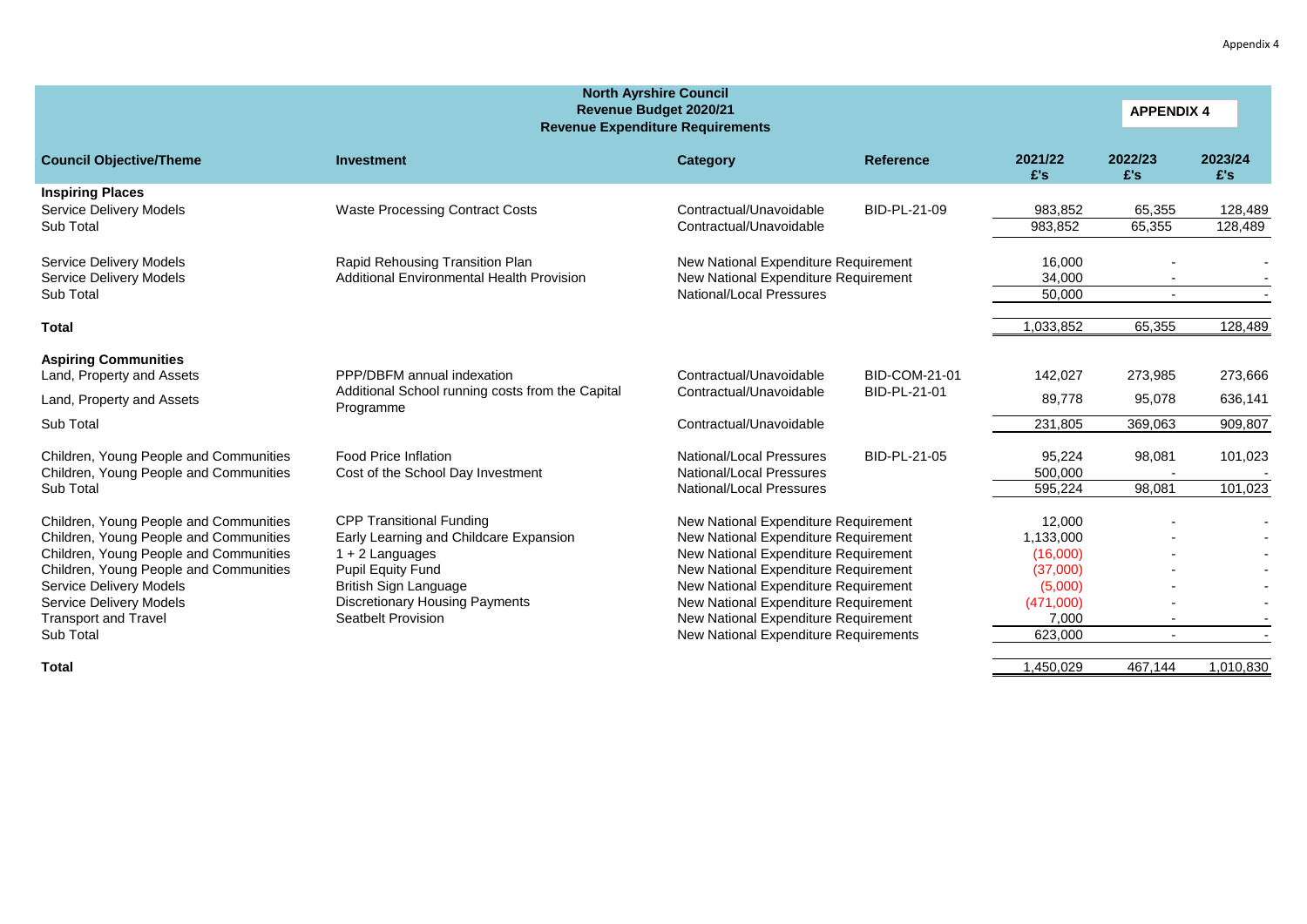| <b>North Ayrshire Council</b><br>Revenue Budget 2020/21<br><b>APPENDIX 4</b><br><b>Revenue Expenditure Requirements</b>                                                                                                                                                       |                                                                                                                                                                                                                           |                                                                                                                                                                                                                                                                                                                  |                                      |                                                                                         |                          |                    |  |  |  |  |  |
|-------------------------------------------------------------------------------------------------------------------------------------------------------------------------------------------------------------------------------------------------------------------------------|---------------------------------------------------------------------------------------------------------------------------------------------------------------------------------------------------------------------------|------------------------------------------------------------------------------------------------------------------------------------------------------------------------------------------------------------------------------------------------------------------------------------------------------------------|--------------------------------------|-----------------------------------------------------------------------------------------|--------------------------|--------------------|--|--|--|--|--|
| <b>Council Objective/Theme</b>                                                                                                                                                                                                                                                | <b>Investment</b>                                                                                                                                                                                                         | Category                                                                                                                                                                                                                                                                                                         | <b>Reference</b>                     | 2021/22<br>£'s                                                                          | 2022/23<br>E's           | 2023/24<br>£'s     |  |  |  |  |  |
| <b>Inspiring Places</b><br><b>Service Delivery Models</b><br>Sub Total                                                                                                                                                                                                        | <b>Waste Processing Contract Costs</b>                                                                                                                                                                                    | Contractual/Unavoidable<br>Contractual/Unavoidable                                                                                                                                                                                                                                                               | BID-PL-21-09                         | 983,852<br>983,852                                                                      | 65,355<br>65,355         | 128,489<br>128,489 |  |  |  |  |  |
| <b>Service Delivery Models</b><br><b>Service Delivery Models</b><br>Sub Total                                                                                                                                                                                                 | Rapid Rehousing Transition Plan<br><b>Additional Environmental Health Provision</b>                                                                                                                                       | New National Expenditure Requirement<br>New National Expenditure Requirement<br>National/Local Pressures                                                                                                                                                                                                         | 16,000<br>34,000<br>50,000           |                                                                                         |                          |                    |  |  |  |  |  |
| Total                                                                                                                                                                                                                                                                         |                                                                                                                                                                                                                           |                                                                                                                                                                                                                                                                                                                  |                                      | 1,033,852                                                                               | 65,355                   | 128,489            |  |  |  |  |  |
| <b>Aspiring Communities</b><br>Land, Property and Assets                                                                                                                                                                                                                      | PPP/DBFM annual indexation<br>Additional School running costs from the Capital                                                                                                                                            | Contractual/Unavoidable<br>Contractual/Unavoidable                                                                                                                                                                                                                                                               | <b>BID-COM-21-01</b><br>BID-PL-21-01 | 142,027                                                                                 | 273,985                  | 273,666            |  |  |  |  |  |
| Land, Property and Assets<br>Sub Total                                                                                                                                                                                                                                        | Programme                                                                                                                                                                                                                 | Contractual/Unavoidable                                                                                                                                                                                                                                                                                          |                                      | 89,778<br>231,805                                                                       | 95,078<br>369,063        | 636,141<br>909,807 |  |  |  |  |  |
| Children, Young People and Communities<br>Children, Young People and Communities                                                                                                                                                                                              | <b>Food Price Inflation</b><br>Cost of the School Day Investment                                                                                                                                                          | National/Local Pressures<br>National/Local Pressures                                                                                                                                                                                                                                                             | BID-PL-21-05                         | 95,224<br>500,000                                                                       | 98,081                   | 101,023            |  |  |  |  |  |
| Sub Total<br>Children, Young People and Communities<br>Children, Young People and Communities<br>Children, Young People and Communities<br>Children, Young People and Communities<br><b>Service Delivery Models</b><br>Service Delivery Models<br><b>Transport and Travel</b> | <b>CPP Transitional Funding</b><br>Early Learning and Childcare Expansion<br>$1 + 2$ Languages<br>Pupil Equity Fund<br><b>British Sign Language</b><br><b>Discretionary Housing Payments</b><br><b>Seatbelt Provision</b> | National/Local Pressures<br>New National Expenditure Requirement<br>New National Expenditure Requirement<br>New National Expenditure Requirement<br>New National Expenditure Requirement<br>New National Expenditure Requirement<br>New National Expenditure Requirement<br>New National Expenditure Requirement |                                      | 595,224<br>12,000<br>1,133,000<br>(16,000)<br>(37,000)<br>(5,000)<br>(471,000)<br>7,000 | 98,081                   | 101,023            |  |  |  |  |  |
| Sub Total                                                                                                                                                                                                                                                                     |                                                                                                                                                                                                                           | New National Expenditure Requirements                                                                                                                                                                                                                                                                            |                                      | 623,000                                                                                 | $\overline{\phantom{a}}$ |                    |  |  |  |  |  |

**Total** 1,450,029 467,144 1,010,830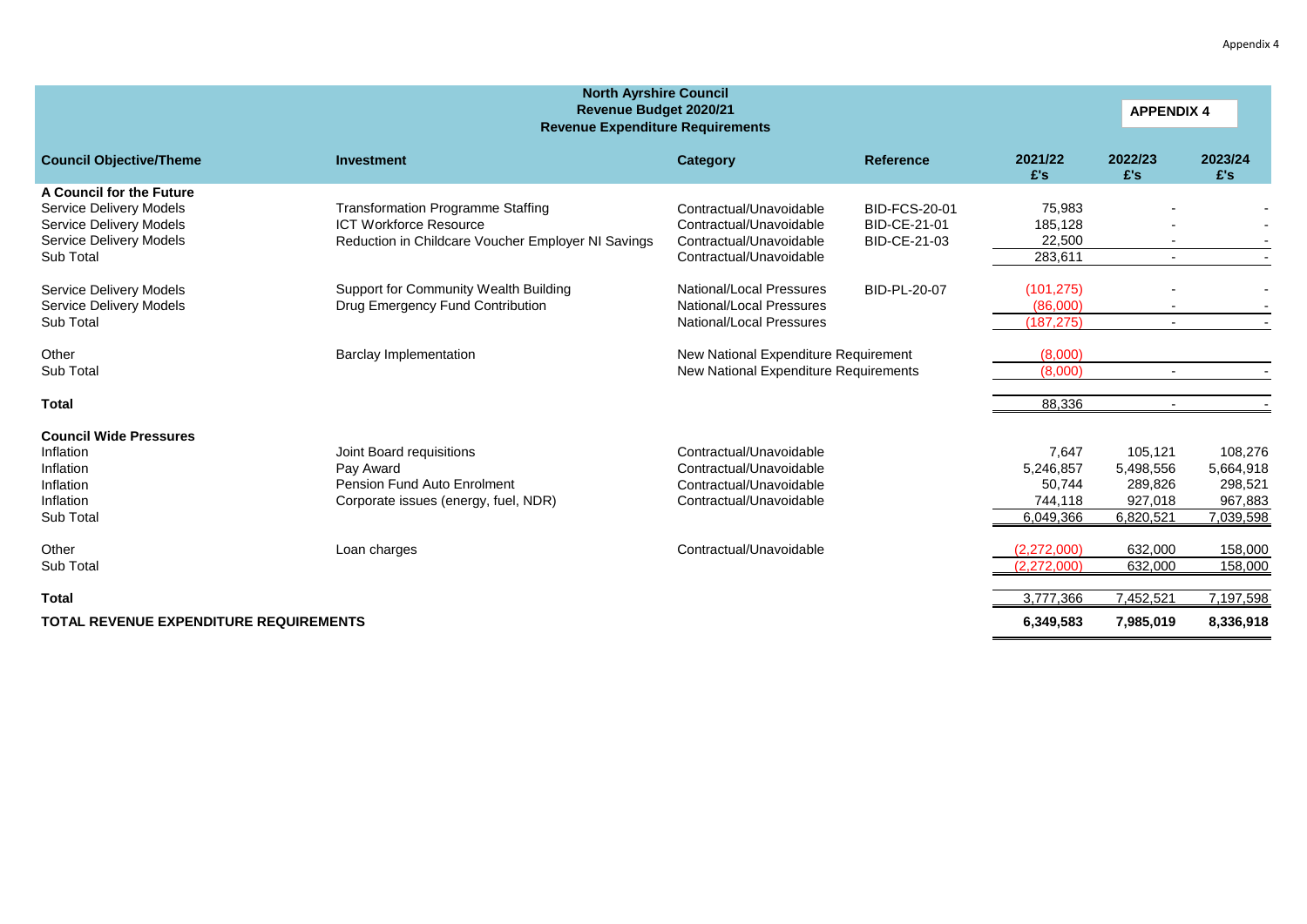| <b>North Ayrshire Council</b><br>Revenue Budget 2020/21<br><b>APPENDIX 4</b><br><b>Revenue Expenditure Requirements</b>       |                                                                                                                                 |                                                                                                          |                                                      |                                                      |                                                         |                                                         |  |  |  |
|-------------------------------------------------------------------------------------------------------------------------------|---------------------------------------------------------------------------------------------------------------------------------|----------------------------------------------------------------------------------------------------------|------------------------------------------------------|------------------------------------------------------|---------------------------------------------------------|---------------------------------------------------------|--|--|--|
| <b>Council Objective/Theme</b>                                                                                                | Investment                                                                                                                      | Category                                                                                                 | <b>Reference</b>                                     | 2021/22<br>E's                                       | 2022/23<br>£'s                                          | 2023/24<br>£'s                                          |  |  |  |
| A Council for the Future<br>Service Delivery Models<br>Service Delivery Models<br><b>Service Delivery Models</b><br>Sub Total | <b>Transformation Programme Staffing</b><br><b>ICT Workforce Resource</b><br>Reduction in Childcare Voucher Employer NI Savings | Contractual/Unavoidable<br>Contractual/Unavoidable<br>Contractual/Unavoidable<br>Contractual/Unavoidable | <b>BID-FCS-20-01</b><br>BID-CE-21-01<br>BID-CE-21-03 | 75,983<br>185,128<br>22,500<br>283,611               | $\overline{\phantom{a}}$                                |                                                         |  |  |  |
| Service Delivery Models<br><b>Service Delivery Models</b><br>Sub Total                                                        | Support for Community Wealth Building<br>Drug Emergency Fund Contribution                                                       | National/Local Pressures<br>National/Local Pressures<br>National/Local Pressures                         | BID-PL-20-07                                         | (101, 275)<br>(86,000)<br>(187, 275)                 | $\overline{\phantom{a}}$                                |                                                         |  |  |  |
| Other<br>Sub Total                                                                                                            | <b>Barclay Implementation</b>                                                                                                   | New National Expenditure Requirement<br>New National Expenditure Requirements                            |                                                      | (8,000)<br>(8,000)                                   | $\overline{\phantom{a}}$                                |                                                         |  |  |  |
| <b>Total</b>                                                                                                                  |                                                                                                                                 |                                                                                                          |                                                      | 88,336                                               | $\sim$                                                  |                                                         |  |  |  |
| <b>Council Wide Pressures</b><br>Inflation<br>Inflation<br>Inflation<br>Inflation<br>Sub Total                                | Joint Board requisitions<br>Pay Award<br>Pension Fund Auto Enrolment<br>Corporate issues (energy, fuel, NDR)                    | Contractual/Unavoidable<br>Contractual/Unavoidable<br>Contractual/Unavoidable<br>Contractual/Unavoidable |                                                      | 7,647<br>5,246,857<br>50,744<br>744,118<br>6,049,366 | 105.121<br>5,498,556<br>289,826<br>927,018<br>6,820,521 | 108,276<br>5,664,918<br>298,521<br>967,883<br>7,039,598 |  |  |  |
| Other<br>Sub Total                                                                                                            | Loan charges                                                                                                                    | Contractual/Unavoidable                                                                                  |                                                      | (2,272,000)<br>(2,272,000)                           | 632,000<br>632,000                                      | 158,000<br>158,000                                      |  |  |  |
| <b>Total</b><br><b>TOTAL REVENUE EXPENDITURE REQUIREMENTS</b>                                                                 |                                                                                                                                 |                                                                                                          |                                                      | 3,777,366<br>6,349,583                               | 7,452,521<br>7,985,019                                  | 7,197,598<br>8,336,918                                  |  |  |  |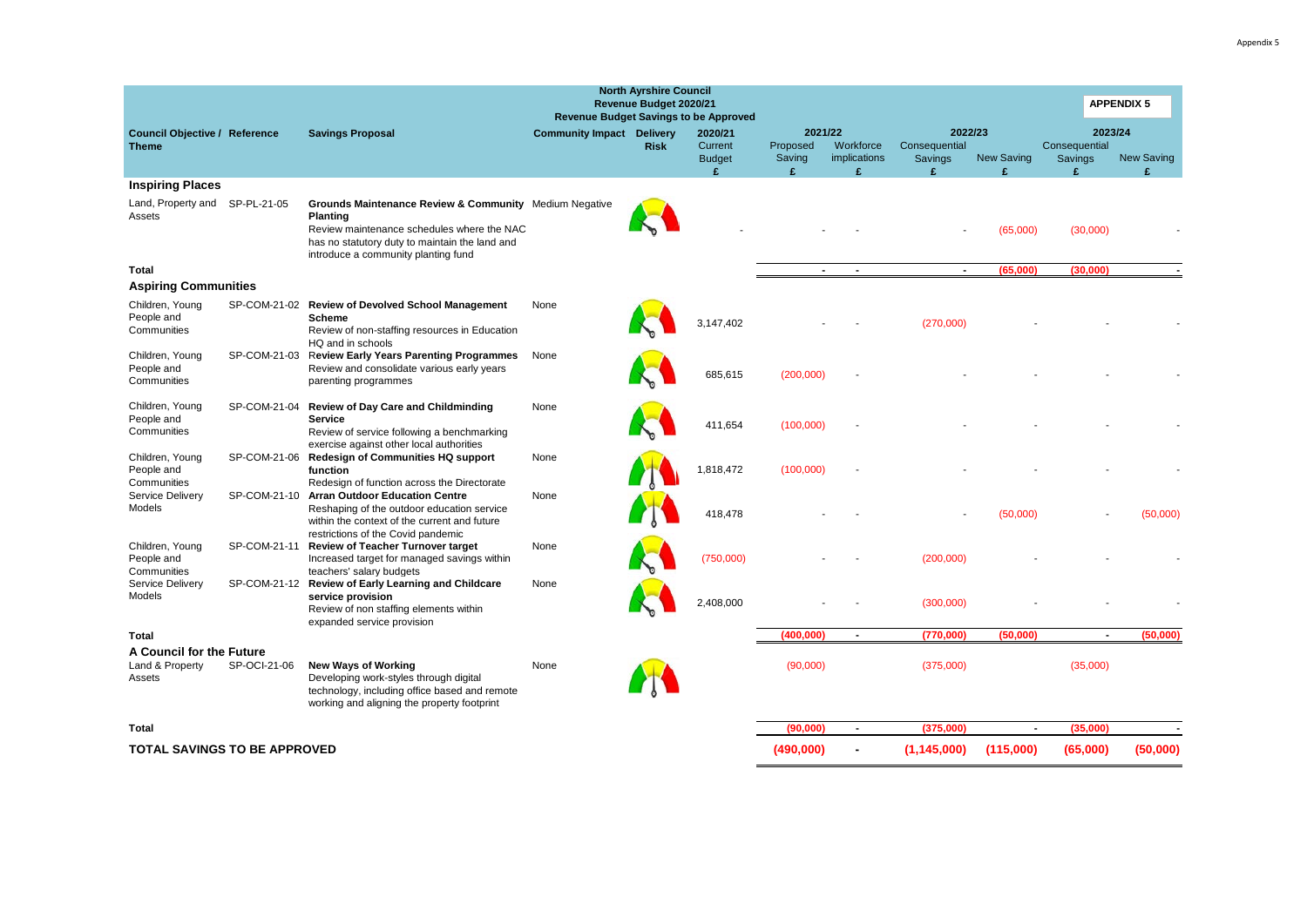| <b>North Ayrshire Council</b><br>Revenue Budget 2020/21<br><b>Revenue Budget Savings to be Approved</b> |              |                                                                                                                                                                                                                             |                                  |             |                                     |                               |                                  |                                     |                   |                                     | <b>APPENDIX 5</b> |
|---------------------------------------------------------------------------------------------------------|--------------|-----------------------------------------------------------------------------------------------------------------------------------------------------------------------------------------------------------------------------|----------------------------------|-------------|-------------------------------------|-------------------------------|----------------------------------|-------------------------------------|-------------------|-------------------------------------|-------------------|
| <b>Council Objective / Reference</b><br><b>Theme</b>                                                    |              | <b>Savings Proposal</b>                                                                                                                                                                                                     | <b>Community Impact Delivery</b> | <b>Risk</b> | 2020/21<br>Current<br><b>Budget</b> | 2021/22<br>Proposed<br>Saving | Workforce<br><i>implications</i> | 2022/23<br>Consequential<br>Savings | <b>New Saving</b> | 2023/24<br>Consequential<br>Savings | <b>New Saving</b> |
|                                                                                                         |              |                                                                                                                                                                                                                             |                                  |             | £                                   | £                             | ¢                                | £.                                  | ¢                 | £                                   | ¢.                |
| <b>Inspiring Places</b>                                                                                 |              |                                                                                                                                                                                                                             |                                  |             |                                     |                               |                                  |                                     |                   |                                     |                   |
| Land, Property and SP-PL-21-05<br>Assets                                                                |              | <b>Grounds Maintenance Review &amp; Community</b> Medium Negative<br><b>Planting</b><br>Review maintenance schedules where the NAC<br>has no statutory duty to maintain the land and<br>introduce a community planting fund |                                  |             |                                     |                               |                                  |                                     | (65,000)          | (30,000)                            |                   |
| <b>Total</b>                                                                                            |              |                                                                                                                                                                                                                             |                                  |             |                                     |                               |                                  |                                     | (65,000)          | (30,000)                            |                   |
| <b>Aspiring Communities</b>                                                                             |              |                                                                                                                                                                                                                             |                                  |             |                                     |                               |                                  |                                     |                   |                                     |                   |
| Children, Young<br>People and<br>Communities                                                            | SP-COM-21-02 | <b>Review of Devolved School Management</b><br><b>Scheme</b><br>Review of non-staffing resources in Education<br>HQ and in schools                                                                                          | None                             |             | 3,147,402                           |                               |                                  | (270,000)                           |                   |                                     |                   |
| Children, Young<br>People and<br>Communities                                                            |              | SP-COM-21-03 Review Early Years Parenting Programmes<br>Review and consolidate various early years<br>parenting programmes                                                                                                  | None                             |             | 685,615                             | (200,000)                     |                                  |                                     |                   |                                     |                   |
| Children, Young<br>People and<br>Communities                                                            | SP-COM-21-04 | <b>Review of Day Care and Childminding</b><br><b>Service</b><br>Review of service following a benchmarking                                                                                                                  | None                             |             | 411,654                             | (100,000)                     |                                  |                                     |                   |                                     |                   |
| Children, Young<br>People and<br>Communities                                                            |              | exercise against other local authorities<br>SP-COM-21-06 Redesign of Communities HQ support<br>function<br>Redesign of function across the Directorate                                                                      | None                             |             | 1,818,472                           | (100,000)                     |                                  |                                     |                   |                                     |                   |
| Service Delivery<br>Models                                                                              |              | SP-COM-21-10 Arran Outdoor Education Centre<br>Reshaping of the outdoor education service<br>within the context of the current and future                                                                                   | None                             |             | 418.478                             |                               |                                  |                                     | (50,000)          |                                     | (50,000)          |
| Children, Young<br>People and<br>Communities                                                            | SP-COM-21-11 | restrictions of the Covid pandemic<br>Review of Teacher Turnover target<br>Increased target for managed savings within<br>teachers' salary budgets                                                                          | None                             |             | (750,000)                           |                               |                                  | (200,000)                           |                   |                                     |                   |
| Service Delivery<br>Models                                                                              |              | SP-COM-21-12 Review of Early Learning and Childcare<br>service provision<br>Review of non staffing elements within                                                                                                          | None                             |             | 2,408,000                           |                               |                                  | (300,000)                           |                   |                                     |                   |
| Total                                                                                                   |              | expanded service provision                                                                                                                                                                                                  |                                  |             |                                     | (400, 000)                    | $\blacksquare$                   | (770,000)                           | (50,000)          | $\blacksquare$                      | (50,000)          |
| A Council for the Future<br>Land & Property<br>Assets                                                   | SP-OCI-21-06 | <b>New Ways of Working</b><br>Developing work-styles through digital<br>technology, including office based and remote<br>working and aligning the property footprint                                                        | None                             |             |                                     | (90,000)                      |                                  | (375,000)                           |                   | (35,000)                            |                   |
| <b>Total</b>                                                                                            |              |                                                                                                                                                                                                                             |                                  |             |                                     | (90,000)                      | $\blacksquare$                   | (375,000)                           | $\sim$            | (35,000)                            |                   |
| <b>TOTAL SAVINGS TO BE APPROVED</b>                                                                     |              |                                                                                                                                                                                                                             |                                  |             |                                     | (490,000)                     | $\blacksquare$                   | (1, 145, 000)                       | (115,000)         | (65,000)                            | (50,000)          |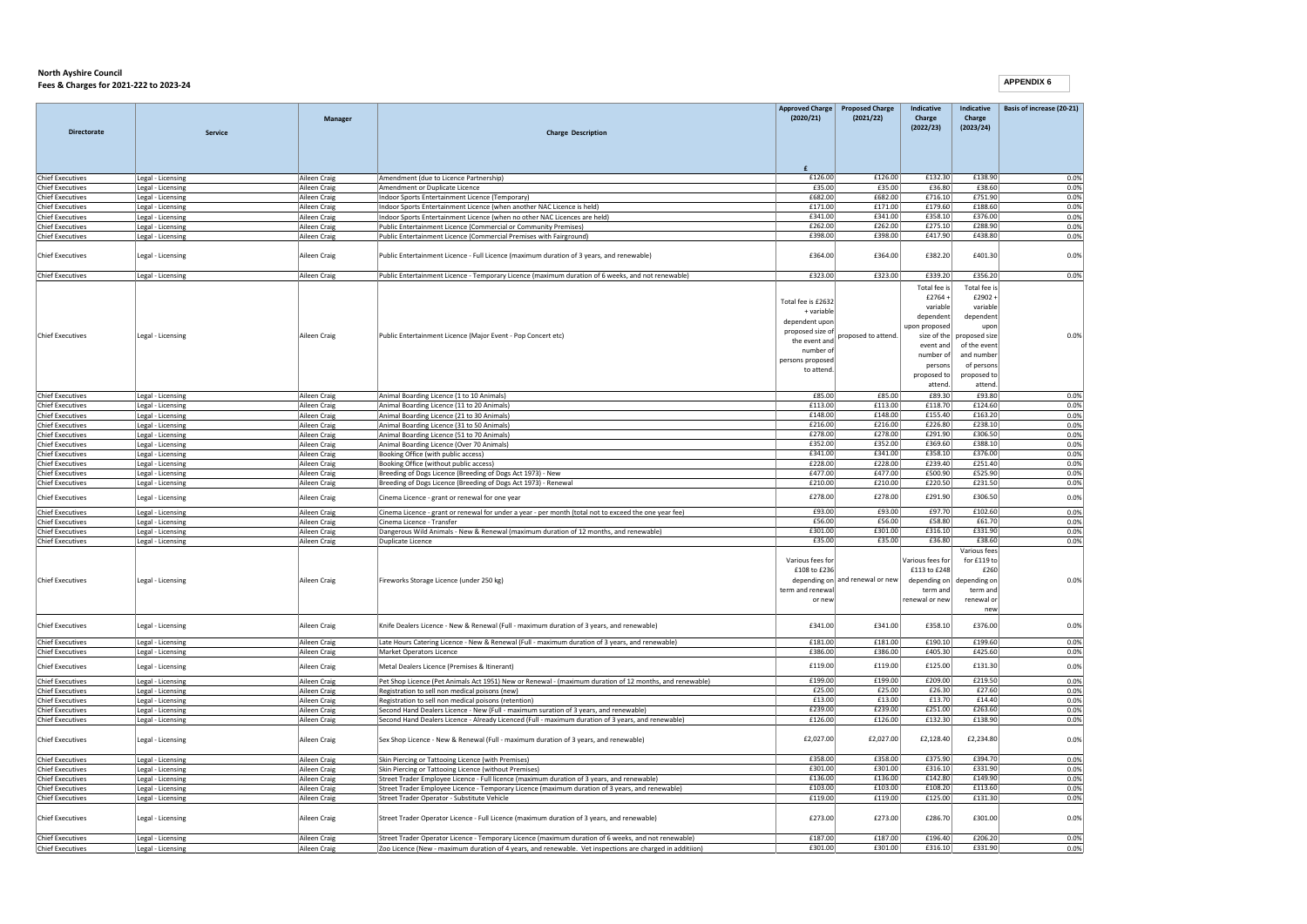| Directorate                                        | Service                                | <b>Manager</b>               | <b>Charge Description</b>                                                                                                                                                                   | Approved Charge<br>(2020/21)                                                            | <b>Proposed Charge</b><br>(2021/22) | Indicative<br>Charge<br>(2022/23)                               | Indicative<br>Charge<br>(2023/24)                                                                   | Basis of increase (20-21) |
|----------------------------------------------------|----------------------------------------|------------------------------|---------------------------------------------------------------------------------------------------------------------------------------------------------------------------------------------|-----------------------------------------------------------------------------------------|-------------------------------------|-----------------------------------------------------------------|-----------------------------------------------------------------------------------------------------|---------------------------|
|                                                    |                                        |                              |                                                                                                                                                                                             |                                                                                         |                                     |                                                                 |                                                                                                     |                           |
| <b>Chief Executives</b>                            | Legal - Licensing                      | Aileen Craig                 | Amendment (due to Licence Partnership)                                                                                                                                                      | £126.00<br>£35.00                                                                       | £126.00<br>£35.00                   | £132.30<br>£36.80                                               | £138.90<br>£38.60                                                                                   | 0.0%                      |
| <b>Chief Executives</b><br><b>Chief Executives</b> | Legal - Licensing<br>Legal - Licensing | Aileen Craig<br>Aileen Craig | Amendment or Duplicate Licence<br>Indoor Sports Entertainment Licence (Temporary)                                                                                                           | £682.00                                                                                 | £682.00                             | £716.10                                                         | £751.90                                                                                             | 0.0%<br>0.0%              |
| <b>Chief Executives</b>                            | Legal - Licensing                      | Aileen Craig                 | Indoor Sports Entertainment Licence (when another NAC Licence is held)                                                                                                                      | £171.00                                                                                 | £171.00                             | £179.60                                                         | £188.60                                                                                             | 0.0%                      |
| <b>Chief Executives</b>                            | Legal - Licensing                      | Aileen Craig                 | Indoor Sports Entertainment Licence (when no other NAC Licences are held)                                                                                                                   | £341.00                                                                                 | £341.00                             | £358.10                                                         | £376.00                                                                                             | 0.0%                      |
| <b>Chief Executives</b>                            | Legal - Licensing                      | Aileen Craig                 | Public Entertainment Licence (Commercial or Community Premises)                                                                                                                             | £262.00                                                                                 | £262.00                             | £275.10                                                         | £288.90                                                                                             | 0.0%                      |
| <b>Chief Executives</b>                            | Legal - Licensing                      | Aileen Craig                 | Public Entertainment Licence (Commercial Premises with Fairground)                                                                                                                          | £398.00                                                                                 | £398.00                             | £417.90                                                         | £438.80                                                                                             | 0.0%                      |
| <b>Chief Executives</b>                            | Legal - Licensing                      | Aileen Craig                 | Public Entertainment Licence - Full Licence (maximum duration of 3 years, and renewable)                                                                                                    | £364.00                                                                                 | £364.00                             | £382.20                                                         | £401.30                                                                                             | 0.0%                      |
| <b>Chief Executives</b>                            | Legal - Licensing                      | Aileen Craig                 | Public Entertainment Licence - Temporary Licence (maximum duration of 6 weeks, and not renewable)                                                                                           | £323.00                                                                                 | £323.00                             | £339.20                                                         | £356.20                                                                                             | 0.0%                      |
| <b>Chief Executives</b>                            | Legal - Licensing                      | Aileen Craig                 | Public Entertainment Licence (Major Event - Pop Concert etc)                                                                                                                                | Total fee is £2632<br>+ variable<br>dependent upor<br>proposed size of<br>the event and | proposed to attend.                 | Total fee is<br>£2764<br>variable<br>dependent<br>upon proposed | Total fee is<br>£2902+<br>variable<br>dependent<br>upon<br>size of the proposed size                | 0.0%                      |
|                                                    |                                        |                              |                                                                                                                                                                                             | number of<br>persons proposed                                                           |                                     | event and<br>number of                                          | of the event<br>and number                                                                          |                           |
|                                                    |                                        |                              |                                                                                                                                                                                             | to attend                                                                               |                                     | persons<br>proposed to<br>attend.                               | of persons<br>proposed to<br>attend.                                                                |                           |
| <b>Chief Executives</b>                            | Legal - Licensing                      | Aileen Craig                 | Animal Boarding Licence (1 to 10 Animals)                                                                                                                                                   | £85.00                                                                                  | £85.00                              | £89.30                                                          | £93.80                                                                                              | 0.0%                      |
| <b>Chief Executives</b>                            | Legal - Licensing                      | Aileen Craig                 | Animal Boarding Licence (11 to 20 Animals)                                                                                                                                                  | £113.00                                                                                 | £113.00                             | £118.70                                                         | £124.60                                                                                             | 0.0%                      |
| <b>Chief Executives</b>                            | Legal - Licensing                      | Aileen Craig                 | Animal Boarding Licence (21 to 30 Animals)                                                                                                                                                  | £148.00<br>£216.00                                                                      | £148.00<br>£216.00                  | £155.40<br>£226.80                                              | £163.20<br>£238.10                                                                                  | 0.0%                      |
| <b>Chief Executives</b><br><b>Chief Executives</b> | Legal - Licensing<br>Legal - Licensing | Aileen Craig<br>Aileen Craig | Animal Boarding Licence (31 to 50 Animals)<br>Animal Boarding Licence (51 to 70 Animals)                                                                                                    | £278.00                                                                                 | £278.00                             | £291.90                                                         | £306.50                                                                                             | 0.0%<br>0.0%              |
| <b>Chief Executives</b>                            | Legal - Licensing                      | Aileen Craig                 | Animal Boarding Licence (Over 70 Animals)                                                                                                                                                   | £352.00                                                                                 | £352.00                             | £369.60                                                         | £388.10                                                                                             | 0.0%                      |
| <b>Chief Executives</b>                            | Legal - Licensing                      | Aileen Craig                 | Booking Office (with public access)                                                                                                                                                         | £341.00                                                                                 | £341.00                             | £358.10                                                         | £376.00                                                                                             | 0.0%                      |
| <b>Chief Executives</b>                            | Legal - Licensing                      | Aileen Craig                 | Booking Office (without public access)                                                                                                                                                      | £228.00                                                                                 | £228.00                             | £239.40                                                         | £251.40                                                                                             | 0.0%                      |
| <b>Chief Executives</b><br><b>Chief Executives</b> | Legal - Licensing<br>Legal - Licensing | Aileen Craig<br>Aileen Craig | Breeding of Dogs Licence (Breeding of Dogs Act 1973) - New<br>Breeding of Dogs Licence (Breeding of Dogs Act 1973) - Renewal                                                                | £477.00<br>£210.00                                                                      | £477.00<br>£210.00                  | £500.90<br>£220.50                                              | £525.90<br>£231.50                                                                                  | 0.0%<br>0.0%              |
| <b>Chief Executives</b>                            | Legal - Licensing                      | Aileen Craig                 | Cinema Licence - grant or renewal for one year                                                                                                                                              | £278.00                                                                                 | £278.00                             | £291.90                                                         | £306.50                                                                                             | 0.0%                      |
| <b>Chief Executives</b>                            | Legal - Licensing                      | Aileen Craig                 | Cinema Licence - grant or renewal for under a year - per month (total not to exceed the one year fee)                                                                                       | £93.00                                                                                  | £93.00                              | £97.70                                                          | £102.60                                                                                             | 0.0%                      |
| <b>Chief Executives</b>                            | Legal - Licensing                      | Aileen Craig                 | Cinema Licence - Transfer                                                                                                                                                                   | £56.00                                                                                  | £56.00                              | £58.80                                                          | £61.70                                                                                              | 0.0%                      |
| <b>Chief Executives</b><br><b>Chief Executives</b> | Legal - Licensing<br>Legal - Licensing | Aileen Craig<br>Aileen Craig | Dangerous Wild Animals - New & Renewal (maximum duration of 12 months, and renewable)<br>Duplicate Licence                                                                                  | £301.00<br>£35.00                                                                       | £301.00<br>£35.00                   | £316.10<br>£36.80                                               | £331.90<br>£38.60                                                                                   | 0.0%<br>0.0%              |
| <b>Chief Executives</b>                            | Legal - Licensing                      | Aileen Craig                 | Fireworks Storage Licence (under 250 kg)                                                                                                                                                    | Various fees for<br>£108 to £236<br>term and renewal<br>or nev                          | depending on and renewal or new     | Various fees for<br>£113 to £248<br>term and<br>renewal or new  | Various fees<br>for $f119$ to<br>£260<br>depending on depending on<br>term and<br>renewal or<br>new | 0.0%                      |
| <b>Chief Executives</b>                            | Legal - Licensing                      | Aileen Craig                 | Knife Dealers Licence - New & Renewal (Full - maximum duration of 3 years, and renewable)                                                                                                   | £341.00                                                                                 | £341.00                             | £358.10                                                         | £376.00                                                                                             | 0.0%                      |
| <b>Chief Executives</b>                            | Legal - Licensing                      | Aileen Craig                 | Late Hours Catering Licence - New & Renewal (Full - maximum duration of 3 years, and renewable)                                                                                             | £181.00                                                                                 | £181.00                             | £190.10                                                         | £199.60                                                                                             | 0.0%                      |
| <b>Chief Executives</b>                            | Legal - Licensing                      | Aileen Craig                 | Market Operators Licence                                                                                                                                                                    | £386.00                                                                                 | £386.00                             | £405.30                                                         | £425.60                                                                                             | 0.0%                      |
| <b>Chief Executives</b>                            | Legal - Licensing                      | Aileen Craig                 | Metal Dealers Licence (Premises & Itinerant)                                                                                                                                                | £119.00                                                                                 | £119.00                             | £125.00                                                         | £131.30                                                                                             | 0.0%                      |
| <b>Chief Executives</b>                            | Legal - Licensing                      | Aileen Craig                 | Pet Shop Licence (Pet Animals Act 1951) New or Renewal - (maximum duration of 12 months, and renewable)                                                                                     | £199.00                                                                                 | £199.00                             | £209.00                                                         | £219.50                                                                                             | 0.0%                      |
| <b>Chief Executives</b>                            | Legal - Licensing                      | Aileen Craig                 | Registration to sell non medical poisons (new)                                                                                                                                              | £25.00                                                                                  | £25.00                              | £26.30                                                          | £27.60                                                                                              | 0.0%                      |
| <b>Chief Executives</b><br><b>Chief Executives</b> | Legal - Licensing                      | Aileen Craig                 | Registration to sell non medical poisons (retention)                                                                                                                                        | £13.00<br>£239.00                                                                       | £13.00<br>£239.00                   | £13.70<br>£251.00                                               | £14.40<br>£263.60                                                                                   | 0.0%<br>0.0%              |
| <b>Chief Executives</b>                            | Legal - Licensing<br>Legal - Licensing | Aileen Craig<br>Aileen Craig | Second Hand Dealers Licence - New (Full - maximum suration of 3 years, and renewable)<br>Second Hand Dealers Licence - Already Licenced (Full - maximum duration of 3 years, and renewable) | £126.00                                                                                 | £126.00                             | £132.30                                                         | £138.90                                                                                             | 0.0%                      |
| <b>Chief Executives</b>                            | Legal - Licensing                      | Aileen Craig                 | Sex Shop Licence - New & Renewal (Full - maximum duration of 3 years, and renewable)                                                                                                        | £2,027.00                                                                               | £2,027.00                           | £2,128.40                                                       | £2,234.80                                                                                           | 0.0%                      |
| <b>Chief Executives</b>                            | Legal - Licensing                      | Aileen Craig                 | Skin Piercing or Tattooing Licence (with Premises)                                                                                                                                          | £358.00                                                                                 | £358.00                             | £375.90                                                         | £394.70                                                                                             | 0.0%                      |
| <b>Chief Executives</b>                            | Legal - Licensing                      | Aileen Craig                 | Skin Piercing or Tattooing Licence (without Premises)                                                                                                                                       | £301.00                                                                                 | £301.00                             | £316.10                                                         | £331.90                                                                                             | 0.0%                      |
| <b>Chief Executives</b>                            | Legal - Licensing                      | Aileen Craig                 | Street Trader Employee Licence - Full licence (maximum duration of 3 years, and renewable)                                                                                                  | £136.00<br>£103.00                                                                      | £136.00<br>£103.00                  | £142.80<br>£108.20                                              | £149.90<br>£113.60                                                                                  | 0.0%                      |
| <b>Chief Executives</b><br><b>Chief Executives</b> | Legal - Licensing<br>Legal - Licensing | Aileen Craig<br>Aileen Craig | Street Trader Employee Licence - Temporary Licence (maximum duration of 3 years, and renewable)<br>Street Trader Operator - Substitute Vehicle                                              | £119.00                                                                                 | £119.00                             | £125.00                                                         | £131.30                                                                                             | 0.0%<br>0.0%              |
| <b>Chief Executives</b>                            | Legal - Licensing                      | Aileen Craig                 | Street Trader Operator Licence - Full Licence (maximum duration of 3 years, and renewable)                                                                                                  | £273.00                                                                                 | £273.00                             | £286.70                                                         | £301.00                                                                                             | 0.0%                      |
| Chief Executives                                   | Legal - Licensing                      | Aileen Craig                 | Street Trader Operator Licence - Temporary Licence (maximum duration of 6 weeks, and not renewable)                                                                                         | £187.00                                                                                 | £187.00                             | £196.40                                                         | £206.20                                                                                             | 0.0%                      |
| <b>Chief Executives</b>                            | Legal - Licensing                      | Aileen Craig                 | Zoo Licence (New - maximum duration of 4 years, and renewable. Vet inspections are charged in addition)                                                                                     | £301.00                                                                                 | £301.00                             | £316.10                                                         | £331.90                                                                                             | 0.0%                      |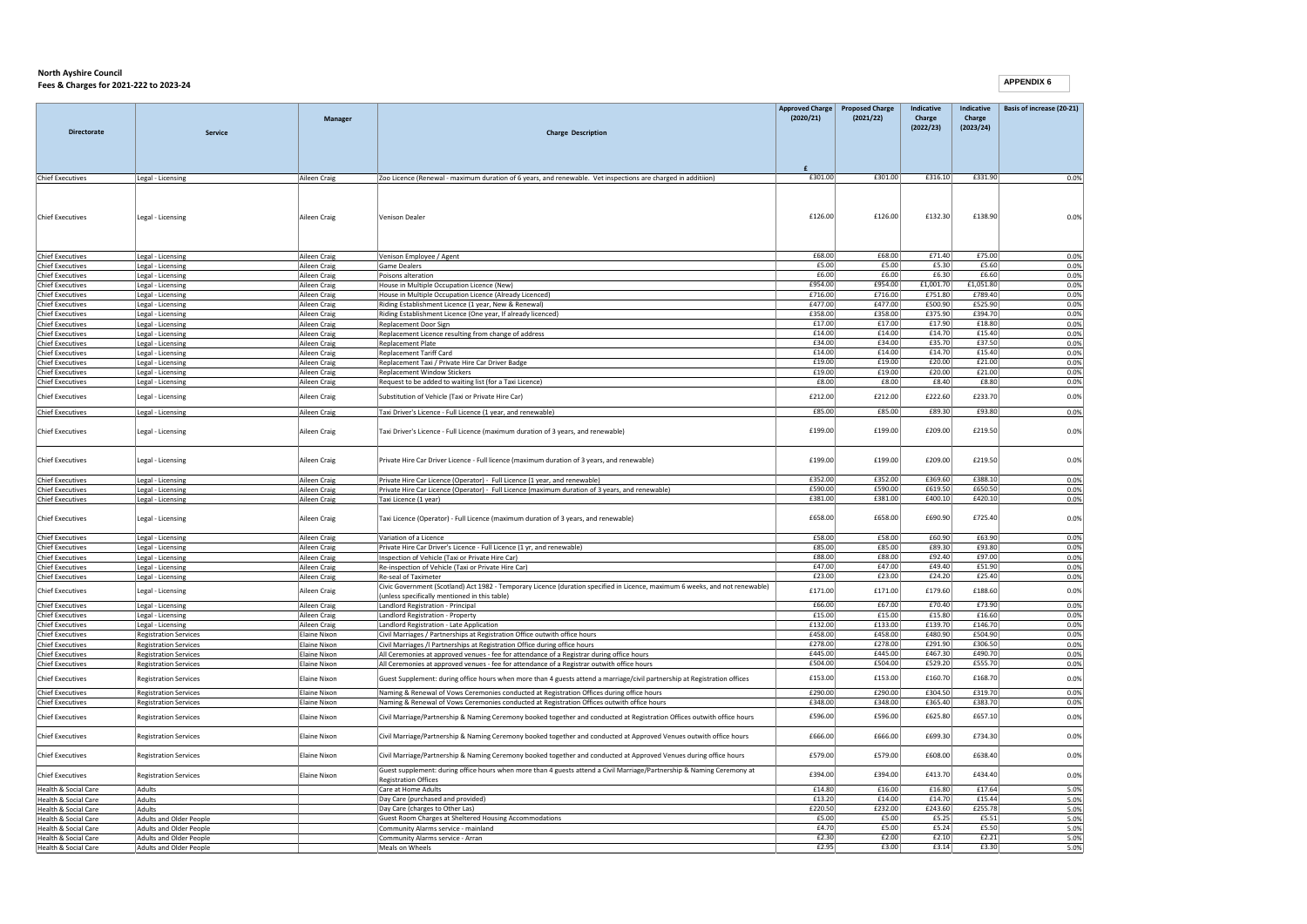|                                                         |                                        |                              |                                                                                                                              |                    | Approved Charge Proposed Charge | Indicative         | Indicative         | Basis of increase (20-21) |
|---------------------------------------------------------|----------------------------------------|------------------------------|------------------------------------------------------------------------------------------------------------------------------|--------------------|---------------------------------|--------------------|--------------------|---------------------------|
|                                                         |                                        | Manager                      |                                                                                                                              | (2020/21)          | (2021/22)                       | Charge             | Charge             |                           |
| <b>Directorate</b>                                      | <b>Service</b>                         |                              | <b>Charge Description</b>                                                                                                    |                    |                                 | (2022/23)          | (2023/24)          |                           |
|                                                         |                                        |                              |                                                                                                                              |                    |                                 |                    |                    |                           |
|                                                         |                                        |                              |                                                                                                                              |                    |                                 |                    |                    |                           |
|                                                         |                                        |                              |                                                                                                                              |                    |                                 |                    |                    |                           |
| <b>Chief Executives</b>                                 | Legal - Licensing                      | Aileen Craig                 | Zoo Licence (Renewal - maximum duration of 6 years, and renewable. Vet inspections are charged in additiion)                 | £301.00            | £301.00                         | £316.10            | £331.90            | 0.0%                      |
|                                                         |                                        |                              |                                                                                                                              |                    |                                 |                    |                    |                           |
|                                                         |                                        |                              |                                                                                                                              |                    |                                 |                    |                    |                           |
|                                                         |                                        |                              |                                                                                                                              | £126.00            | £126.00                         | £132.30            | £138.90            |                           |
| <b>Chief Executives</b>                                 | Legal - Licensing                      | Aileen Craig                 | Venison Dealer                                                                                                               |                    |                                 |                    |                    | 0.0%                      |
|                                                         |                                        |                              |                                                                                                                              |                    |                                 |                    |                    |                           |
|                                                         |                                        |                              |                                                                                                                              |                    |                                 |                    |                    |                           |
| <b>Chief Executives</b>                                 | Legal - Licensing                      | Aileen Craig                 | Venison Employee / Agent                                                                                                     | £68.00             | £68.00                          | £71.40             | £75.00             | 0.0%                      |
| <b>Chief Executives</b>                                 | Legal - Licensing                      | Aileen Craig                 | Game Dealer                                                                                                                  | £5.00              | £5.00                           | £5.30              | £5.60              | 0.0%                      |
| <b>Chief Executives</b>                                 | Legal - Licensing                      | Aileen Craig                 | Poisons alteration                                                                                                           | £6.00              | £6.00                           | £6.30              | £6.60              | 0.0%                      |
| Chief Executives                                        | Legal - Licensing                      | Aileen Craig                 | House in Multiple Occupation Licence (New)                                                                                   | £954.00            | £954.00                         | £1,001.70          | £1,051.80          | 0.0%                      |
| <b>Chief Executives</b>                                 | Legal - Licensing                      | Aileen Craig                 | House in Multiple Occupation Licence (Already Licenced)                                                                      | £716.00            | £716.00                         | £751.80            | £789.40<br>£525.90 | 0.0%                      |
| <b>Chief Executives</b><br><b>Chief Executives</b>      | Legal - Licensing<br>Legal - Licensing | Aileen Craig<br>Aileen Craig | Riding Establishment Licence (1 year, New & Renewal)<br>Riding Establishment Licence (One year, If already licenced)         | £477.00<br>£358.00 | £477.00<br>£358.00              | £500.90<br>£375.90 | £394.70            | 0.0%<br>0.0%              |
| <b>Chief Executives</b>                                 | Legal - Licensing                      | Aileen Craig                 | Replacement Door Sign                                                                                                        | £17.00             | £17.00                          | £17.90             | £18.80             | 0.0%                      |
| <b>Chief Executives</b>                                 | Legal - Licensing                      | Aileen Craig                 | Replacement Licence resulting from change of address                                                                         | £14.00             | £14.00                          | £14.70             | £15.40             | 0.0%                      |
| <b>Chief Executives</b>                                 | Legal - Licensing                      | Aileen Craig                 | <b>Replacement Plate</b>                                                                                                     | £34.00             | £34.00                          | £35.70             | £37.50             | 0.0%                      |
| <b>Chief Executives</b>                                 | Legal - Licensing                      | Aileen Craig                 | Replacement Tariff Card                                                                                                      | £14.00             | £14.00                          | £14.70             | £15.40             | 0.0%                      |
| <b>Chief Executives</b>                                 | Legal - Licensing                      | Aileen Craig                 | Replacement Taxi / Private Hire Car Driver Badge                                                                             | £19.00             | £19.00                          | £20.00             | £21.00             | 0.0%                      |
| <b>Chief Executives</b>                                 | Legal - Licensing                      | Aileen Craig                 | Replacement Window Stickers                                                                                                  | £19.00             | £19.00                          | £20.00             | £21.00             | 0.0%                      |
| <b>Chief Executives</b>                                 | Legal - Licensing                      | Aileen Craig                 | Request to be added to waiting list (for a Taxi Licence)                                                                     | £8.00              | £8.00                           | £8.40              | £8.80              | 0.0%                      |
| <b>Chief Executives</b>                                 | Legal - Licensing                      | Aileen Craig                 | Substitution of Vehicle (Taxi or Private Hire Car)                                                                           | £212.00            | £212.00                         | £222.60            | £233.70            | 0.0%                      |
|                                                         |                                        |                              |                                                                                                                              | £85.00             | £85.00                          | £89.30             | £93.80             | 0.0%                      |
| <b>Chief Executives</b>                                 | Legal - Licensing                      | Aileen Craig                 | Taxi Driver's Licence - Full Licence (1 year, and renewable)                                                                 |                    |                                 |                    |                    |                           |
| <b>Chief Executives</b>                                 | Legal - Licensing                      | Aileen Craig                 | Taxi Driver's Licence - Full Licence (maximum duration of 3 years, and renewable)                                            | £199.00            | £199.00                         | £209.00            | £219.50            | 0.0%                      |
|                                                         |                                        |                              |                                                                                                                              |                    |                                 |                    |                    |                           |
|                                                         |                                        |                              |                                                                                                                              |                    |                                 |                    |                    |                           |
| <b>Chief Executives</b>                                 | Legal - Licensing                      | Aileen Craig                 | Private Hire Car Driver Licence - Full licence (maximum duration of 3 years, and renewable)                                  | £199.00            | £199.00                         | £209.00            | £219.50            | 0.0%                      |
|                                                         |                                        |                              |                                                                                                                              |                    |                                 |                    |                    |                           |
| <b>Chief Executives</b>                                 | Legal - Licensing                      | Aileen Craig                 | Private Hire Car Licence (Operator) - Full Licence (1 year, and renewable)                                                   | £352.00            | £352.00                         | £369.60            | £388.10            | 0.0%                      |
| Chief Executives                                        | Legal - Licensing                      | Aileen Craig                 | Private Hire Car Licence (Operator) - Full Licence (maximum duration of 3 years, and renewable)                              | £590.00            | £590.00                         | £619.50            | £650.50            | 0.0%                      |
| <b>Chief Executives</b>                                 | Legal - Licensing                      | Aileen Craig                 | Taxi Licence (1 year)                                                                                                        | £381.00            | £381.00                         | £400.10            | £420.10            | 0.0%                      |
| <b>Chief Executives</b>                                 |                                        | Aileen Craig                 | Taxi Licence (Operator) - Full Licence (maximum duration of 3 years, and renewable)                                          | £658.00            | £658.00                         | £690.90            | £725.40            | 0.0%                      |
|                                                         | Legal - Licensing                      |                              |                                                                                                                              |                    |                                 |                    |                    |                           |
| <b>Chief Executives</b>                                 | Legal - Licensing                      | Aileen Craig                 | Variation of a Licence                                                                                                       | £58.00             | £58.00                          | £60.90             | £63.90             | 0.0%                      |
| Chief Executives                                        | Legal - Licensing                      | Aileen Craig                 | Private Hire Car Driver's Licence - Full Licence (1 vr. and renewable)                                                       | £85.00             | £85.00                          | £89.30             | £93.80             | 0.0%                      |
| <b>Chief Executives</b>                                 | Legal - Licensing                      | Aileen Craig                 | Inspection of Vehicle (Taxi or Private Hire Car)                                                                             | £88.00             | £88.00                          | £92.40             | £97.00             | 0.0%                      |
| <b>Chief Executives</b>                                 | Legal - Licensing                      | Aileen Craig                 | Re-inspection of Vehicle (Taxi or Private Hire Car)                                                                          | £47.00             | £47.00                          | £49.40             | £51.90             | 0.0%                      |
| <b>Chief Executives</b>                                 | Legal - Licensing                      | Aileen Craig                 | Re-seal of Taximeter                                                                                                         | £23.00             | £23.00                          | £24.20             | £25.40             | 0.0%                      |
| <b>Chief Executives</b>                                 | Legal - Licensing                      | Aileen Craig                 | Civic Government (Scotland) Act 1982 - Temporary Licence (duration specified in Licence, maximum 6 weeks, and not renewable) | £171.00            | £171.00                         | £179.60            | £188.60            | 0.0%                      |
|                                                         |                                        |                              | (unless specifically mentioned in this table)                                                                                | £66.00             | £67.00                          | £70.40             | £73.90             | 0.0%                      |
| <b>Chief Executives</b><br><b>Chief Executives</b>      | Legal - Licensing                      | Aileen Craig                 | Landlord Registration - Principal                                                                                            | £15.00             | £15.00                          | £15.80             | £16.60             | 0.0%                      |
| <b>Chief Executives</b>                                 | Legal - Licensing<br>Legal - Licensing | Aileen Craig<br>Aileen Craig | Landlord Registration - Property<br>Landlord Registration - Late Application                                                 | £132.00            | £133.00                         | £139.70            | £146.70            | 0.0%                      |
| <b>Chief Executives</b>                                 | <b>Registration Services</b>           | Elaine Nixon                 | Civil Marriages / Partnerships at Registration Office outwith office hours                                                   | £458.00            | £458.00                         | £480.90            | £504.90            | 0.0%                      |
| <b>Chief Executives</b>                                 | <b>Registration Services</b>           | <b>Elaine Nixon</b>          | Civil Marriages /l Partnerships at Registration Office during office hours                                                   | £278.00            | £278.00                         | £291.90            | £306.50            | 0.0%                      |
| <b>Chief Executives</b>                                 | <b>Registration Services</b>           | <b>Elaine Nixon</b>          | All Ceremonies at approved venues - fee for attendance of a Registrar during office hours                                    | £445.00            | £445.00                         | £467.30            | £490.70            | 0.0%                      |
| <b>Chief Executives</b>                                 | <b>Registration Services</b>           | <b>Elaine Nixon</b>          | All Ceremonies at approved venues - fee for attendance of a Registrar outwith office hours                                   | £504.00            | £504.00                         | £529.20            | £555.70            | 0.0%                      |
| <b>Chief Executives</b>                                 | <b>Registration Services</b>           | Elaine Nixon                 | Guest Supplement: during office hours when more than 4 guests attend a marriage/civil partnership at Registration offices    | £153.00            | £153.00                         | £160.70            | £168.70            | 0.0%                      |
|                                                         |                                        |                              |                                                                                                                              |                    |                                 |                    |                    |                           |
| <b>Chief Executives</b>                                 | <b>Registration Services</b>           | Elaine Nixon                 | Naming & Renewal of Vows Ceremonies conducted at Registration Offices during office hours                                    | £290.00<br>£348.00 | £290.00<br>£348.00              | £304.50<br>£365.40 | £319.70<br>£383.70 | 0.0%                      |
| <b>Chief Executives</b>                                 | <b>Registration Services</b>           | <b>Elaine Nixon</b>          | Naming & Renewal of Vows Ceremonies conducted at Registration Offices outwith office hours                                   |                    |                                 |                    |                    | 0.0%                      |
| <b>Chief Executives</b>                                 | <b>Registration Services</b>           | Elaine Nixon                 | Civil Marriage/Partnership & Naming Ceremony booked together and conducted at Registration Offices outwith office hours      | £596.00            | £596.00                         | £625.80            | £657.10            | 0.0%                      |
|                                                         |                                        |                              |                                                                                                                              |                    |                                 |                    |                    |                           |
| Chief Executives                                        | <b>Registration Services</b>           | <b>Flaine Nixon</b>          | Civil Marriage/Partnership & Naming Ceremony booked together and conducted at Approved Venues outwith office hours           | £666.00            | £666.00                         | £699.30            | £734.30            | 0.0%                      |
| <b>Chief Executives</b>                                 | <b>Registration Services</b>           | <b>Elaine Nixon</b>          | Civil Marriage/Partnership & Naming Ceremony booked together and conducted at Approved Venues during office hours            | £579.00            | £579.00                         | £608.00            | £638.40            | 0.0%                      |
|                                                         |                                        |                              |                                                                                                                              |                    |                                 |                    |                    |                           |
| <b>Chief Executives</b>                                 | <b>Registration Services</b>           | <b>Elaine Nixon</b>          | Guest supplement: during office hours when more than 4 guests attend a Civil Marriage/Partnership & Naming Ceremony at       | £394.00            | £394.00                         | £413.70            | £434.40            | 0.0%                      |
|                                                         |                                        |                              | <b>Registration Offices</b>                                                                                                  |                    |                                 |                    |                    |                           |
| <b>Health &amp; Social Care</b>                         | Adults                                 |                              | Care at Home Adults                                                                                                          | £14.80             | £16.00<br>£14.00                | £16.80             | £17.64<br>£15.44   | 5.0%                      |
| <b>Health &amp; Social Care</b><br>Health & Social Care | Adults<br>Adults                       |                              | Day Care (purchased and provided)<br>Day Care (charges to Other Las)                                                         | £13.20<br>£220.50  | £232.00                         | £14.70<br>£243.60  | £255.78            | 5.0%<br>5.0%              |
| Health & Social Care                                    | Adults and Older People                |                              | Guest Room Charges at Sheltered Housing Accommodations                                                                       | £5.00              | £5.00                           | £5.25              | £5.51              | 5.0%                      |
| Health & Social Care                                    | Adults and Older People                |                              | Community Alarms service - mainland                                                                                          | £4.70              | £5.00                           | £5.24              | £5.50              | 5.0%                      |
| Health & Social Care                                    | Adults and Older People                |                              | Community Alarms service - Arran                                                                                             | £2.30              | £2.00                           | £2.10              | £2.21              | 5.0%                      |
| Health & Social Care                                    | Adults and Older People                |                              | Meals on Wheels                                                                                                              | £2.95              | £3.00                           | £3.14              | £3.30              | 5.0%                      |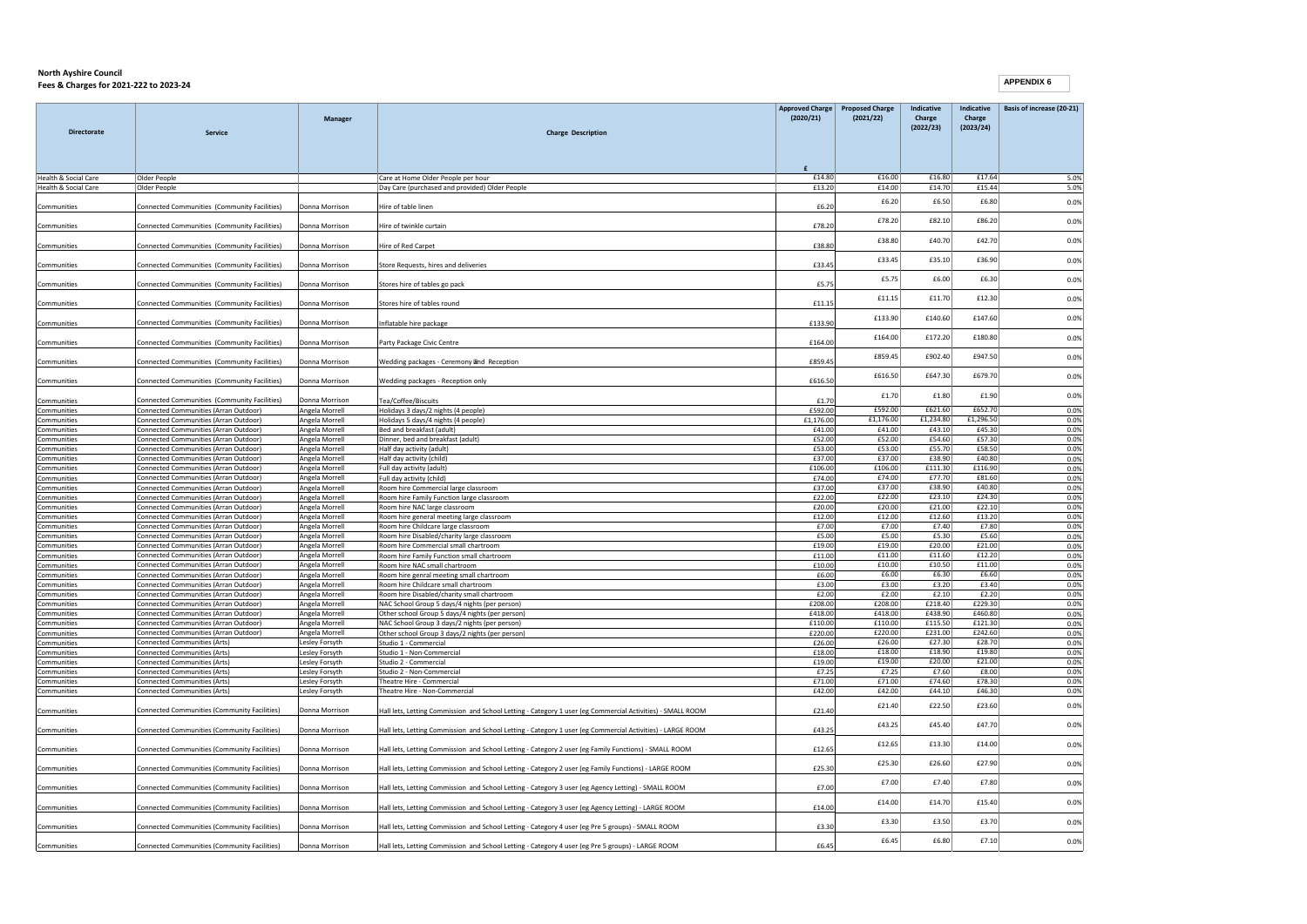```
APPENDIX 6
```

| <b>Directorate</b>         | Service                                                                        | <b>Manager</b>                   | <b>Charge Description</b>                                                                                  | <b>Approved Charge</b><br>(2020/21) | <b>Proposed Charge</b><br>(2021/22) | Indicative<br>Charge<br>(2022/23) | Indicative<br>Charge<br>(2023/24) | Basis of increase (20-21) |
|----------------------------|--------------------------------------------------------------------------------|----------------------------------|------------------------------------------------------------------------------------------------------------|-------------------------------------|-------------------------------------|-----------------------------------|-----------------------------------|---------------------------|
|                            |                                                                                |                                  |                                                                                                            |                                     |                                     |                                   |                                   |                           |
| Health & Social Care       | Older People                                                                   |                                  | Care at Home Older People per hour                                                                         | £14.80<br>£13.20                    | £16.00<br>£14.00                    | £16.80<br>£14.70                  | £17.64<br>£15.44                  | 5.0%<br>5.0%              |
| Health & Social Care       | Older People                                                                   |                                  | Day Care (purchased and provided) Older People                                                             |                                     |                                     |                                   |                                   |                           |
| Communities                | Connected Communities (Community Facilities)                                   | Donna Morrison                   | Hire of table linen                                                                                        | £6.20                               | £6.20                               | £6.50                             | £6.80                             | 0.0%                      |
| Communities                | Connected Communities (Community Facilities)                                   | Donna Morrison                   | Hire of twinkle curtain                                                                                    | £78.20                              | £78.20                              | £82.10                            | £86.20                            | 0.0%                      |
| Communities                | Connected Communities (Community Facilities)                                   | Donna Morrison                   | Hire of Red Carpet                                                                                         | £38.80                              | £38.80                              | £40.70                            | £42.70                            | 0.0%                      |
| Communities                | Connected Communities (Community Facilities)                                   | Donna Morrison                   | Store Requests, hires and deliveries                                                                       | £33.45                              | £33.45                              | £35.10                            | £36.90                            | 0.0%                      |
| Communities                | Connected Communities (Community Facilities)                                   | Donna Morrison                   | Stores hire of tables go pack                                                                              | £5.75                               | £5.75                               | £6.00                             | £6.30                             | 0.0%                      |
|                            |                                                                                |                                  |                                                                                                            |                                     | £11.15                              | £11.70                            | £12.30                            | 0.0%                      |
| Communities                | Connected Communities (Community Facilities)                                   | Donna Morrison                   | Stores hire of tables round                                                                                | £11.15                              | £133.90                             | £140.60                           | £147.60                           | 0.0%                      |
| Communities                | Connected Communities (Community Facilities)                                   | Donna Morrison                   | Inflatable hire package                                                                                    | £133.90                             |                                     |                                   |                                   |                           |
| Communities                | Connected Communities (Community Facilities)                                   | Donna Morrison                   | Party Package Civic Centre                                                                                 | £164.00                             | £164.00                             | £172.20                           | £180.80                           | 0.0%                      |
| Communities                | Connected Communities (Community Facilities)                                   | Donna Morrison                   | Wedding packages - Ceremony and Reception                                                                  | £859.45                             | £859.45                             | £902.40                           | £947.50                           | 0.0%                      |
| Communities                | Connected Communities (Community Facilities)                                   | Donna Morrison                   | Wedding packages - Reception only                                                                          | £616.50                             | £616.50                             | £647.30                           | £679.70                           | 0.0%                      |
| Communities                | Connected Communities (Community Facilities)                                   | Donna Morrison                   | Tea/Coffee/Biscuits                                                                                        | £1.70                               | £1.70                               | £1.80                             | £1.90                             | 0.0%                      |
| Communities                | Connected Communities (Arran Outdoor)                                          | Angela Morrell                   | Holidays 3 days/2 nights (4 people)                                                                        | £592.00                             | £592.00                             | £621.60                           | £652.70                           | 0.0%                      |
| Communities                | Connected Communities (Arran Outdoor)                                          | Angela Morrell                   | Holidays 5 days/4 nights (4 people)                                                                        | £1,176.00                           | £1,176.00                           | £1,234.80                         | £1,296.50                         | 0.0%                      |
| Communities                | Connected Communities (Arran Outdoor)                                          | Angela Morrell                   | Bed and breakfast (adult)                                                                                  | £41.00                              | £41.00                              | £43.10                            | £45.30                            | 0.0%                      |
| Communities                | Connected Communities (Arran Outdoor)                                          | Angela Morrell                   | Dinner, bed and breakfast (adult)                                                                          | £52.00                              | £52.00                              | £54.60                            | £57.30                            | 0.0%                      |
| Communities                | Connected Communities (Arran Outdoor)                                          | Angela Morrell                   | Half day activity (adult)                                                                                  | £53.00                              | £53.00                              | £55.70                            | £58.50<br>£40.80                  | 0.0%                      |
| Communities                | Connected Communities (Arran Outdoor)                                          | Angela Morrell                   | Half day activity (child)                                                                                  | £37.00<br>£106.00                   | £37.00<br>£106.00                   | £38.90<br>£111.30                 | £116.90                           | 0.0%<br>0.0%              |
| Communities<br>Communities | Connected Communities (Arran Outdoor)<br>Connected Communities (Arran Outdoor) | Angela Morrell<br>Angela Morrell | Full day activity (adult)<br>Full day activity (child)                                                     | £74.00                              | £74.00                              | £77.70                            | £81.60                            | 0.0%                      |
| Communities                | Connected Communities (Arran Outdoor)                                          | Angela Morrell                   | Room hire Commercial large classroom                                                                       | £37.00                              | £37.00                              | £38.90                            | £40.80                            | 0.0%                      |
| Communities                | Connected Communities (Arran Outdoor)                                          | Angela Morrell                   | Room hire Family Function large classroom                                                                  | £22.00                              | £22.00                              | £23.10                            | £24.30                            | 0.0%                      |
| Communities                | Connected Communities (Arran Outdoor)                                          | Angela Morrell                   | Room hire NAC large classroom                                                                              | £20.00                              | £20.00                              | £21.00                            | £22.10                            | 0.0%                      |
| Communities                | Connected Communities (Arran Outdoor)                                          | Angela Morrell                   | Room hire general meeting large classroom                                                                  | £12.00                              | £12.00                              | £12.60                            | £13.20                            | 0.0%                      |
| Communities                | Connected Communities (Arran Outdoor)                                          | Angela Morrell                   | Room hire Childcare large classroom                                                                        | £7.00                               | £7.00                               | £7.40                             | £7.80                             | 0.0%                      |
| Communities                | Connected Communities (Arran Outdoor)                                          | Angela Morrell                   | Room hire Disabled/charity large classroom                                                                 | £5.00                               | £5.00                               | £5.30                             | £5.60                             | 0.0%                      |
| Communities                | Connected Communities (Arran Outdoor)                                          | Angela Morrell                   | Room hire Commercial small chartroom                                                                       | £19.00                              | £19.00                              | £20.00                            | £21.00                            | 0.0%                      |
| Communities                | Connected Communities (Arran Outdoor)                                          | Angela Morrell                   | Room hire Family Function small chartroom                                                                  | £11.00                              | £11.00                              | £11.60                            | £12.20                            | 0.0%                      |
| Communities                | Connected Communities (Arran Outdoor)                                          | Angela Morrell                   | Room hire NAC small chartroom                                                                              | £10.00                              | £10.00                              | £10.50                            | £11.00                            | 0.0%                      |
| Communities                | Connected Communities (Arran Outdoor)                                          | Angela Morrell                   | Room hire genral meeting small chartroom                                                                   | £6.00                               | £6.00                               | £6.30                             | £6.60<br>£3.40                    | 0.0%                      |
| Communities                | Connected Communities (Arran Outdoor)                                          | Angela Morrell                   | Room hire Childcare small chartroom                                                                        | £3.00                               | £3.00<br>£2.00                      | £3.20<br>£2.10                    | £2.20                             | 0.0%                      |
| Communities<br>Communities | Connected Communities (Arran Outdoor)<br>Connected Communities (Arran Outdoor) | Angela Morrell<br>Angela Morrell | Room hire Disabled/charity small chartroom                                                                 | £2.00<br>£208.00                    | £208.00                             | £218.40                           | £229.30                           | 0.0%<br>0.0%              |
| Communities                | Connected Communities (Arran Outdoor)                                          | Angela Morrell                   | NAC School Group 5 days/4 nights (per person)<br>Other school Group 5 days/4 nights (per person)           | £418.00                             | £418.00                             | £438.90                           | £460.80                           | 0.0%                      |
| Communities                | Connected Communities (Arran Outdoor)                                          | Angela Morrell                   | NAC School Group 3 days/2 nights (per person)                                                              | £110.00                             | £110.00                             | £115.50                           | £121.30                           | 0.0%                      |
| Communities                | Connected Communities (Arran Outdoor)                                          | Angela Morrell                   | Other school Group 3 days/2 nights (per person)                                                            | £220.00                             | £220.00                             | £231.00                           | £242.60                           | 0.0%                      |
| Communities                | Connected Communities (Arts)                                                   | Lesley Forsyth                   | Studio 1 - Commercial                                                                                      | £26.00                              | £26.00                              | £27.30                            | £28.70                            | 0.0%                      |
| Communities                | Connected Communities (Arts)                                                   | Lesley Forsyth                   | Studio 1 - Non-Commercial                                                                                  | £18.00                              | £18.00                              | £18.90                            | £19.80                            | 0.0%                      |
| Communities                | <b>Connected Communities (Arts)</b>                                            | Lesley Forsyth                   | Studio 2 - Commercial                                                                                      | £19.00                              | £19.00                              | £20.00                            | £21.00                            | 0.0%                      |
| Communities                | Connected Communities (Arts)                                                   | Lesley Forsyth                   | Studio 2 - Non-Commercial                                                                                  | £7.25                               | £7.25                               | £7.60                             | £8.00                             | 0.0%                      |
| Communities                | Connected Communities (Arts)                                                   | Lesley Forsyth                   | Theatre Hire - Commercial                                                                                  | £71.00                              | £71.00                              | £74.60                            | £78.30                            | 0.0%                      |
| Communities                | Connected Communities (Arts)                                                   | Lesley Forsyth                   | Theatre Hire - Non-Commercial                                                                              | £42.00                              | £42.00                              | £44.10                            | £46.30                            | 0.0%                      |
| Communities                | Connected Communities (Community Facilities)                                   | Donna Morrison                   | Hall lets, Letting Commission and School Letting - Category 1 user (eg Commercial Activities) - SMALL ROOM | £21.40                              | £21.40                              | £22.50                            | £23.60                            | 0.0%                      |
| Communities                | Connected Communities (Community Facilities)                                   | Donna Morrison                   | Hall lets, Letting Commission and School Letting - Category 1 user (eg Commercial Activities) - LARGE ROOM | £43.25                              | £43.25                              | £45.40                            | £47.70                            | 0.0%                      |
| Communities                | Connected Communities (Community Facilities)                                   | Donna Morrison                   | Hall lets, Letting Commission and School Letting - Category 2 user (eg Family Functions) - SMALL ROOM      | £12.65                              | £12.65                              | £13.30                            | £14.00                            | 0.0%                      |
| Communities                | Connected Communities (Community Facilities)                                   | Donna Morrison                   | Hall lets, Letting Commission and School Letting - Category 2 user (eg Family Functions) - LARGE ROOM      | £25.30                              | £25.30                              | £26.60                            | £27.90                            | 0.0%                      |
| Communities                | Connected Communities (Community Facilities)                                   | Donna Morrison                   | Hall lets, Letting Commission and School Letting - Category 3 user (eg Agency Letting) - SMALL ROOM        | £7.00                               | £7.00                               | £7.40                             | £7.80                             | 0.0%                      |
|                            |                                                                                |                                  |                                                                                                            |                                     | £14.00                              | £14.70                            | £15.40                            | 0.0%                      |
| Communities                | Connected Communities (Community Facilities)                                   | Donna Morrison                   | Hall lets, Letting Commission and School Letting - Category 3 user (eg Agency Letting) - LARGE ROOM        | £14.00                              | £3.30                               | £3.50                             | £3.70                             | 0.0%                      |
| Communities                | Connected Communities (Community Facilities)                                   | Donna Morrison                   | Hall lets, Letting Commission and School Letting - Category 4 user (eg Pre 5 groups) - SMALL ROOM          | £3.30                               |                                     |                                   |                                   |                           |
| Communities                | Connected Communities (Community Facilities)                                   | Donna Morrison                   | Hall lets, Letting Commission and School Letting - Category 4 user (eg Pre 5 groups) - LARGE ROOM          | £6.45                               | £6.45                               | £6.80                             | £7.10                             | 0.0%                      |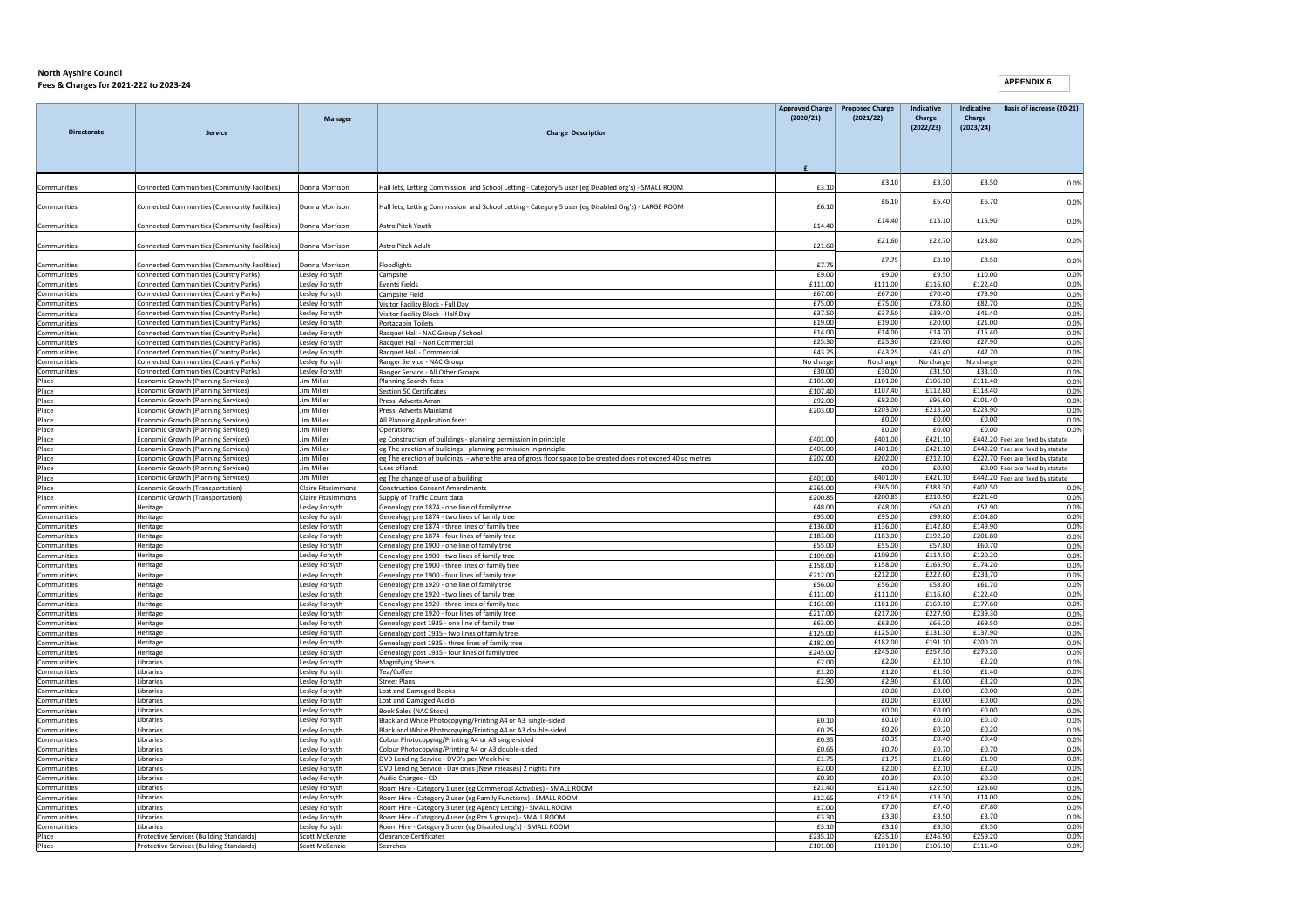|                            |                                                                                | <b>Manager</b>                   |                                                                                                                                | <b>Approved Charge</b><br>(2020/21) | <b>Proposed Charge</b><br>(2021/22) | Indicative<br>Charge<br>(2022/23) | Indicative<br>Charge<br>(2023/24) | Basis of increase (20-21)                                              |
|----------------------------|--------------------------------------------------------------------------------|----------------------------------|--------------------------------------------------------------------------------------------------------------------------------|-------------------------------------|-------------------------------------|-----------------------------------|-----------------------------------|------------------------------------------------------------------------|
| <b>Directorate</b>         | <b>Service</b>                                                                 |                                  | <b>Charge Description</b>                                                                                                      |                                     |                                     |                                   |                                   |                                                                        |
|                            |                                                                                |                                  |                                                                                                                                |                                     |                                     |                                   |                                   |                                                                        |
| Communities                | Connected Communities (Community Facilities)                                   | Donna Morrison                   | Hall lets, Letting Commission and School Letting - Category 5 user (eg Disabled org's) - SMALL ROOM                            | £3.10                               | £3.10                               | £3.30                             | £3.50                             | 0.0%                                                                   |
| Communities                | Connected Communities (Community Facilities)                                   | Donna Morrison                   | Hall lets, Letting Commission and School Letting - Category 5 user (eg Disabled Org's) - LARGE ROOM                            | £6.10                               | £6.10                               | £6.40                             | £6.70                             | 0.0%                                                                   |
| Communities                | Connected Communities (Community Facilities)                                   | Donna Morrison                   | Astro Pitch Youth                                                                                                              | £14.40                              | £14.40                              | £15.10                            | £15.90                            | 0.0%                                                                   |
| Communities                | Connected Communities (Community Facilities)                                   | Donna Morrison                   | Astro Pitch Adult                                                                                                              | £21.60                              | £21.60                              | £22.70                            | £23.80                            | 0.0%                                                                   |
| Communities                | Connected Communities (Community Facilities)                                   | Donna Morrison                   | Floodlights                                                                                                                    | £7.75                               | £7.75                               | £8.10                             | £8.50                             | 0.0%                                                                   |
| Communities                | Connected Communities (Country Parks)                                          | Lesley Forsyth                   | Campsite                                                                                                                       | £9.00                               | £9.00                               | £9.50                             | £10.00                            | 0.0%                                                                   |
| Communities                | Connected Communities (Country Parks)                                          | Lesley Forsyth                   | <b>Events Fields</b>                                                                                                           | £111.00<br>£67.00                   | £111.00<br>£67.00                   | £116.60<br>£70.40                 | £122.40<br>£73.90                 | 0.0%                                                                   |
| Communities<br>Communities | Connected Communities (Country Parks)<br>Connected Communities (Country Parks) | Lesley Forsyth<br>Lesley Forsyth | Campsite Field<br>Visitor Facility Block - Full Day                                                                            | £75.00                              | £75.00                              | £78.80                            | £82.70                            | 0.0%<br>0.0%                                                           |
| Communities                | Connected Communities (Country Parks)                                          | Lesley Forsyth                   | Visitor Facility Block - Half Day                                                                                              | £37.50                              | £37.50                              | £39.40                            | £41.40                            | 0.0%                                                                   |
| Communities                | Connected Communities (Country Parks)                                          | Lesley Forsyth                   | Portacabin Toilets                                                                                                             | £19.00                              | £19.00                              | £20.00                            | £21.00                            | 0.0%                                                                   |
| Communities                | Connected Communities (Country Parks)                                          | Lesley Forsyth                   | Racquet Hall - NAC Group / School                                                                                              | £14.00                              | £14.00                              | £14.70                            | £15.40                            | 0.0%                                                                   |
| Communities                | Connected Communities (Country Parks)                                          | Lesley Forsyth                   | Racquet Hall - Non Commercial                                                                                                  | £25.30                              | £25.30                              | £26.60                            | £27.90                            | 0.0%                                                                   |
| Communities                | Connected Communities (Country Parks)                                          | Lesley Forsyth                   | Racquet Hall - Commercial                                                                                                      | £43.25                              | £43.25                              | £45.40                            | £47.70                            | 0.0%                                                                   |
| Communities                | Connected Communities (Country Parks)                                          | Lesley Forsyth                   | Ranger Service - NAC Group                                                                                                     | No charge                           | No charge                           | No charge                         | No charge                         | 0.0%                                                                   |
| Communities<br>Place       | Connected Communities (Country Parks)<br>Economic Growth (Planning Services)   | Lesley Forsyth<br>Jim Miller     | Ranger Service - All Other Groups<br>Planning Search fees                                                                      | £30.00<br>£101.00                   | £30.00<br>£101.00                   | £31.50<br>£106.10                 | £33.10<br>f111.40                 | 0.0%<br>0.0%                                                           |
| Place                      | Economic Growth (Planning Services)                                            | Jim Miller                       | <b>Section 50 Certificates</b>                                                                                                 | £107.40                             | £107.40                             | £112.80                           | £118.40                           | 0.0%                                                                   |
| Place                      | Economic Growth (Planning Services)                                            | Jim Miller                       | Press Adverts Arran                                                                                                            | £92.00                              | £92.00                              | £96.60                            | £101.40                           | 0.0%                                                                   |
| Place                      | Economic Growth (Planning Services)                                            | Jim Miller                       | Press Adverts Mainland                                                                                                         | £203.00                             | £203.00                             | £213.20                           | £223.90                           | 0.0%                                                                   |
| Place                      | Economic Growth (Planning Services)                                            | Jim Miller                       | All Planning Application fees:                                                                                                 |                                     | £0.00                               | £0.00                             | £0.00                             | 0.0%                                                                   |
| Place                      | Economic Growth (Planning Services)                                            | Jim Miller                       | Operations:                                                                                                                    |                                     | £0.00                               | £0.00                             | £0.00                             | 0.0%                                                                   |
| Place                      | Economic Growth (Planning Services)                                            | Jim Miller<br><b>Jim Miller</b>  | eg Construction of buildings - planning permission in principle                                                                | £401.00                             | £401.00                             | £421.10                           |                                   | £442.20 Fees are fixed by statute                                      |
| Place<br>Place             | Economic Growth (Planning Services)                                            | <b>Jim Miller</b>                | eg The erection of buildings - planning permission in principle                                                                | £401.00                             | £401.00<br>£202.00                  | £421.10<br>£212.10                |                                   | £442.20 Fees are fixed by statute<br>£222.70 Fees are fixed by statute |
| Place                      | Economic Growth (Planning Services)<br>Economic Growth (Planning Services)     | <b>Jim Miller</b>                | eg The erection of buildings - where the area of gross floor space to be created does not exceed 40 sq metres<br>Uses of land: | £202.00                             | £0.00                               | £0.00                             |                                   | £0.00 Fees are fixed by statute                                        |
| Place                      | Economic Growth (Planning Services)                                            | Jim Mille                        | eg The change of use of a building                                                                                             | £401.00                             | £401.00                             | £421.10                           |                                   | £442.20 Fees are fixed by statute                                      |
| Place                      | Economic Growth (Transportation)                                               | <b>Claire Fitzsimmons</b>        | <b>Construction Consent Amendments</b>                                                                                         | £365.00                             | £365.00                             | £383.30                           | £402.50                           | 0.0%                                                                   |
| Place                      | Economic Growth (Transportation)                                               | <b>Claire Fitzsimmons</b>        | Supply of Traffic Count data                                                                                                   | £200.85                             | £200.85                             | £210.90                           | £221.40                           | 0.0%                                                                   |
| Communities                | Heritage                                                                       | Lesley Forsyth                   | Genealogy pre 1874 - one line of family tree                                                                                   | £48.00                              | £48.00                              | £50.40                            | £52.90                            | 0.0%                                                                   |
| Communities                | Heritage                                                                       | Lesley Forsyth                   | Genealogy pre 1874 - two lines of family tree                                                                                  | £95.00                              | £95.00                              | £99.80                            | £104.80                           | 0.0%                                                                   |
| Communities                | Heritage                                                                       | Lesley Forsyth                   | Genealogy pre 1874 - three lines of family tree                                                                                | £136.00                             | £136.00                             | £142.80                           | £149.90                           | 0.0%                                                                   |
| Communities                | Heritage                                                                       | Lesley Forsyth                   | Genealogy pre 1874 - four lines of family tree                                                                                 | £183.00                             | £183.00                             | £192.20                           | £201.80                           | 0.0%                                                                   |
| Communities<br>Communities | Heritage<br>Heritage                                                           | Lesley Forsyth<br>Lesley Forsyth | Genealogy pre 1900 - one line of family tree<br>Genealogy pre 1900 - two lines of family tree                                  | £55.00<br>£109.00                   | £55.00<br>£109.00                   | £57.80<br>£114.50                 | £60.70<br>£120.20                 | 0.0%<br>0.0%                                                           |
| Communities                | Heritage                                                                       | Lesley Forsyth                   | Genealogy pre 1900 - three lines of family tree                                                                                | £158.00                             | £158.00                             | £165.90                           | £174.20                           | 0.0%                                                                   |
| Communities                | Heritage                                                                       | Lesley Forsyth                   | Genealogy pre 1900 - four lines of family tree                                                                                 | £212.00                             | £212.00                             | £222.60                           | £233.70                           | 0.0%                                                                   |
| Communities                | Heritage                                                                       | Lesley Forsyth                   | Genealogy pre 1920 - one line of family tree                                                                                   | £56.00                              | £56.00                              | £58.80                            | £61.70                            | 0.0%                                                                   |
| Communities                | Heritage                                                                       | Lesley Forsyth                   | Genealogy pre 1920 - two lines of family tree                                                                                  | £111.00                             | £111.00                             | £116.60                           | £122.40                           | 0.0%                                                                   |
| Communities                | Heritage                                                                       | Lesley Forsyth                   | Genealogy pre 1920 - three lines of family tree                                                                                | £161.00                             | £161.00                             | £169.10                           | £177.60                           | 0.0%                                                                   |
| Communities                | Heritage                                                                       | Lesley Forsyth                   | Genealogy pre 1920 - four lines of family tree                                                                                 | £217.00                             | £217.00                             | £227.90                           | £239.30                           | 0.0%                                                                   |
| Communities                | Heritage                                                                       | Lesley Forsyth                   | Genealogy post 1935 - one line of family tree                                                                                  | £63.00                              | £63.00                              | £66.20                            | £69.50                            | 0.0%                                                                   |
| Communities                | Heritage                                                                       | Lesley Forsyth                   | Genealogy post 1935 - two lines of family tree                                                                                 | £125.00                             | £125.00<br>£182.00                  | £131.30<br>£191.10                | £137.90<br>£200.70                | 0.0%                                                                   |
| Communities<br>Communities | Heritage<br>Heritage                                                           | Lesley Forsyth<br>Lesley Forsyth | Genealogy post 1935 - three lines of family tree<br>Genealogy post 1935 - four lines of family tree                            | £182.00<br>£245.00                  | £245.00                             | £257.30                           | £270.20                           | 0.0%<br>0.0%                                                           |
| Communities                | Libraries                                                                      | Lesley Forsyth                   | <b>Magnifying Sheets</b>                                                                                                       | £2.00                               | £2.00                               | £2.10                             | £2.20                             | 0.0%                                                                   |
| Communities                | Libraries                                                                      | Lesley Forsyth                   | Tea/Coffee                                                                                                                     | £1.20                               | £1.20                               | £1.30                             | £1.40                             | 0.0%                                                                   |
| Communities                | Libraries                                                                      | Lesley Forsyth                   | <b>Street Plans</b>                                                                                                            | £2.90                               | £2.90                               | £3.00                             | £3.20                             | 0.0%                                                                   |
| Communities                | Libraries                                                                      | Lesley Forsyth                   | <b>Lost and Damaged Books</b>                                                                                                  |                                     | £0.00                               | £0.00                             | £0.00                             | 0.0%                                                                   |
| Communities                | Libraries                                                                      | Lesley Forsyth                   | Lost and Damaged Audio                                                                                                         |                                     | £0.00                               | f0.00                             | f0.00                             | 0.0%                                                                   |
| Communities                | Libraries                                                                      | Lesley Forsyth                   | <b>Book Sales (NAC Stock)</b>                                                                                                  |                                     | £0.00<br>£0.10                      | £0.00                             | £0.00<br>£0.10                    | 0.0%                                                                   |
| Communities<br>Communities | Libraries<br>Libraries                                                         | Lesley Forsyth<br>Lesley Forsyth | Black and White Photocopying/Printing A4 or A3 single-sided<br>Black and White Photocopying/Printing A4 or A3 double-sided     | £0.10<br>£0.25                      | £0.20                               | £0.10<br>£0.20                    | £0.20                             | 0.0%<br>0.0%                                                           |
| Communities                | Libraries                                                                      | Lesley Forsyth                   | Colour Photocopying/Printing A4 or A3 single-sided                                                                             | £0.35                               | £0.35                               | £0.40                             | £0.40                             | 0.0%                                                                   |
| Communities                | Libraries                                                                      | Lesley Forsyth                   | Colour Photocopying/Printing A4 or A3 double-sided                                                                             | £0.65                               | £0.70                               | £0.70                             | £0.70                             | 0.0%                                                                   |
| Communities                | Libraries                                                                      | Lesley Forsyth                   | DVD Lending Service - DVD's per Week hire                                                                                      | £1.75                               | £1.75                               | £1.80                             | £1.90                             | 0.0%                                                                   |
| Communities                | Libraries                                                                      | Lesley Forsyth                   | DVD Lending Service - Day ones (New releases) 2 nights hire                                                                    | £2.00                               | £2.00                               | £2.10                             | £2.20                             | 0.0%                                                                   |
| Communities                | Libraries                                                                      | Lesley Forsyth                   | Audio Charges - CD                                                                                                             | £0.30                               | £0.30                               | £0.30                             | £0.30                             | 0.0%                                                                   |
| Communities                | Libraries                                                                      | Lesley Forsyth                   | Room Hire - Category 1 user (eg Commercial Activities) - SMALL ROOM                                                            | £21.40                              | £21.40                              | £22.50                            | £23.60                            | 0.0%                                                                   |
| Communities                | Libraries                                                                      | Lesley Forsyth                   | Room Hire - Category 2 user (eg Family Functions) - SMALL ROOM                                                                 | £12.65                              | £12.65                              | £13.30                            | £14.00                            | 0.0%                                                                   |
| Communities                | Libraries                                                                      | Lesley Forsyth                   | Room Hire - Category 3 user (eg Agency Letting) - SMALL ROOM                                                                   | £7.00                               | £7.00                               | £7.40                             | £7.80                             | 0.0%                                                                   |
| Communities<br>Communities | Libraries<br>Libraries                                                         | Lesley Forsyth                   | Room Hire - Category 4 user (eg Pre 5 groups) - SMALL ROOM                                                                     | £3.30<br>£3.10                      | £3.30<br>£3.10                      | £3.50<br>£3.30                    | £3.70<br>£3.50                    | 0.0%<br>0.0%                                                           |
| Place                      | Protective Services (Building Standards)                                       | Lesley Forsyth<br>Scott McKenzie | Room Hire - Category 5 user (eg Disabled org's) - SMALL ROOM<br><b>Clearance Certificates</b>                                  | £235.10                             | £235.10                             | £246.90                           | £259.20                           | 0.0%                                                                   |
| Place                      | Protective Services (Building Standards)                                       | Scott McKenzie                   | Searches                                                                                                                       | £101.00                             | £101.00                             | £106.10                           | £111.40                           | 0.0%                                                                   |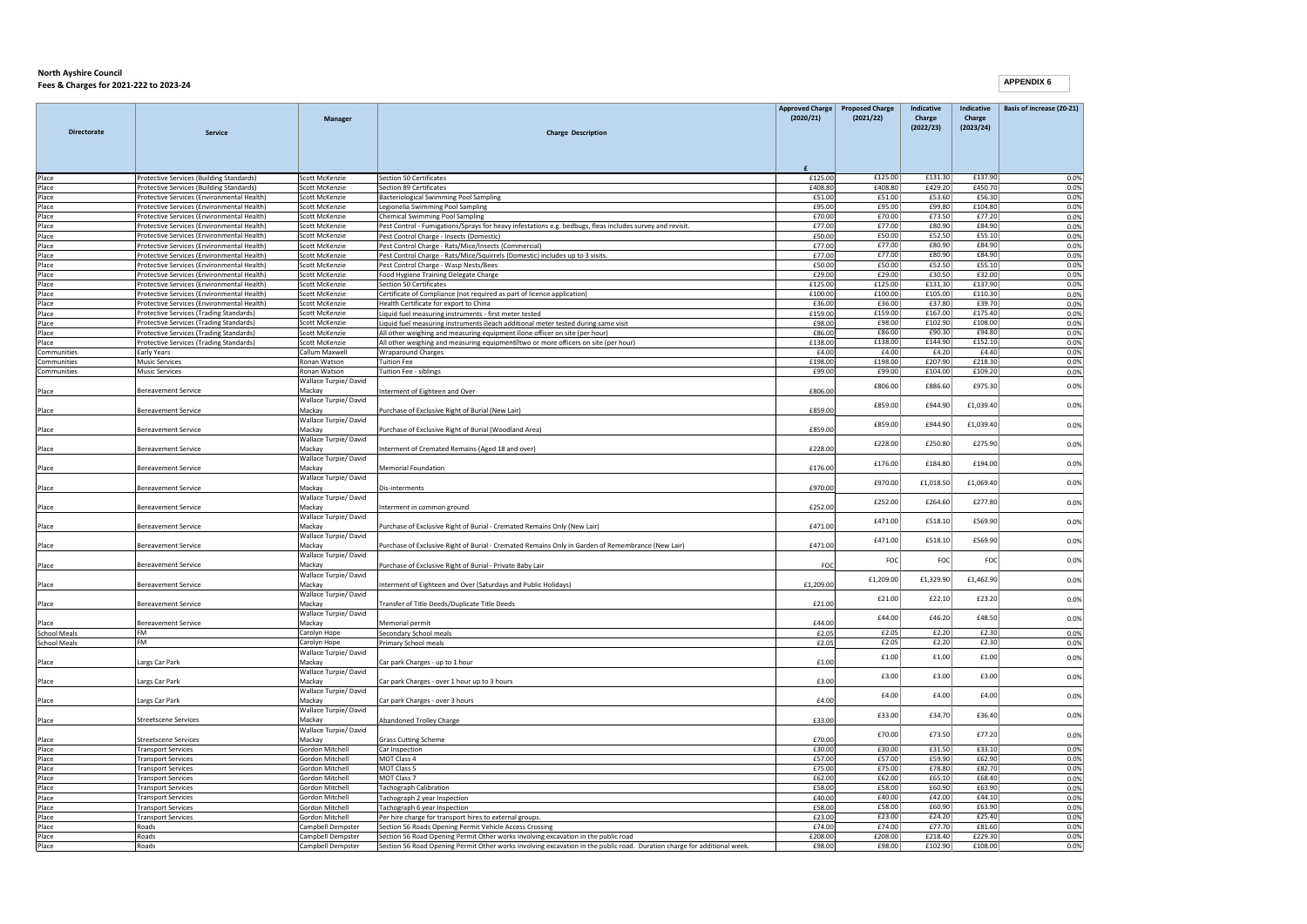| <b>Directorate</b>         | <b>Service</b>                                                                           | Manager                                | <b>Charge Description</b>                                                                                                                                                                                      | <b>Approved Charge</b><br>(2020/21) | <b>Proposed Charge</b><br>(2021/22) | Indicative<br>Charge<br>(2022/23) | Indicative<br>Charge<br>(2023/24) | Basis of increase (20-21) |
|----------------------------|------------------------------------------------------------------------------------------|----------------------------------------|----------------------------------------------------------------------------------------------------------------------------------------------------------------------------------------------------------------|-------------------------------------|-------------------------------------|-----------------------------------|-----------------------------------|---------------------------|
|                            |                                                                                          |                                        |                                                                                                                                                                                                                |                                     |                                     |                                   |                                   |                           |
|                            |                                                                                          |                                        |                                                                                                                                                                                                                |                                     |                                     |                                   |                                   |                           |
| Place                      | Protective Services (Building Standards)                                                 | Scott McKenzie                         | <b>Section 50 Certificates</b>                                                                                                                                                                                 | £125.00                             | £125.00<br>£408.80                  | £131.30<br>£429.20                | £137.90<br>£450.70                | 0.0%                      |
| Place<br>Place             | Protective Services (Building Standards)<br>Protective Services (Environmental Health)   | Scott McKenzie<br>Scott McKenzie       | <b>Section 89 Certificates</b><br>Bacteriological Swimming Pool Sampling                                                                                                                                       | £408.80<br>£51.00                   | £51.00                              | £53.60                            | £56.30                            | 0.0%<br>0.0%              |
| Place                      | Protective Services (Environmental Health)                                               | Scott McKenzie                         | Legionelia Swimming Pool Sampling                                                                                                                                                                              | £95.00                              | £95.00                              | £99.80                            | £104.80                           | 0.0%                      |
| Place                      | Protective Services (Environmental Health)                                               | Scott McKenzie                         | <b>Chemical Swimming Pool Sampling</b>                                                                                                                                                                         | £70.00                              | £70.00                              | £73.50                            | £77.20                            | 0.0%                      |
| Place                      | Protective Services (Environmental Health)                                               | Scott McKenzie                         | Pest Control - Fumigations/Sprays for heavy infestations e.g. bedbugs, fleas includes survey and revisit.                                                                                                      | £77.00                              | £77.00                              | £80.90                            | £84.90                            | 0.0%                      |
| Place                      | Protective Services (Environmental Health)                                               | Scott McKenzie                         | Pest Control Charge - Insects (Domestic)                                                                                                                                                                       | £50.00                              | £50.00                              | £52.50                            | £55.10                            | 0.0%                      |
| Place                      | Protective Services (Environmental Health)                                               | Scott McKenzie                         | Pest Control Charge - Rats/Mice/Insects (Commercial)                                                                                                                                                           | £77.00                              | £77.00                              | £80.90                            | £84.90                            | 0.0%                      |
| Place                      | Protective Services (Environmental Health)                                               | Scott McKenzie<br>Scott McKenzie       | Pest Control Charge - Rats/Mice/Squirrels (Domestic) includes up to 3 visits.                                                                                                                                  | £77.00<br>£50.00                    | £77.00<br>£50.00                    | £80.90<br>£52.50                  | £84.90<br>£55.10                  | 0.0%                      |
| Place<br>Place             | Protective Services (Environmental Health)<br>Protective Services (Environmental Health) | Scott McKenzie                         | Pest Control Charge - Wasp Nests/Bees<br>Food Hygiene Training Delegate Charge                                                                                                                                 | £29.00                              | £29.00                              | £30.50                            | £32.00                            | 0.0%<br>0.0%              |
| Place                      | Protective Services (Environmental Health)                                               | Scott McKenzie                         | <b>Section 50 Certificates</b>                                                                                                                                                                                 | £125.00                             | £125.00                             | £131.30                           | £137.90                           | 0.0%                      |
| Place                      | Protective Services (Environmental Health)                                               | Scott McKenzie                         | Certificate of Compliance (not required as part of licence application)                                                                                                                                        | £100.00                             | £100.00                             | £105.00                           | £110.30                           | 0.0%                      |
| Place                      | Protective Services (Environmental Health)                                               | Scott McKenzie                         | Health Certificate for export to China                                                                                                                                                                         | £36.00                              | £36.00                              | £37.80                            | £39.70                            | 0.0%                      |
| Place                      | Protective Services (Trading Standards)                                                  | Scott McKenzie                         | Liquid fuel measuring instruments - first meter tested                                                                                                                                                         | £159.00                             | £159.00                             | £167.00                           | £175.40                           | 0.0%                      |
| Place                      | Protective Services (Trading Standards)                                                  | Scott McKenzie                         | Liquid fuel measuring instruments Beach additional meter tested during same visit                                                                                                                              | £98.00                              | £98.00                              | £102.90                           | £108.00                           | 0.0%                      |
| Place                      | Protective Services (Trading Standards)                                                  | Scott McKenzie                         | All other weighing and measuring equipment Zone officer on site (per hour)                                                                                                                                     | £86.00                              | £86.00                              | £90.30                            | £94.80                            | 0.0%                      |
| Place                      | Protective Services (Trading Standards)                                                  | Scott McKenzie                         | All other weighing and measuring equipment Ptwo or more officers on site (per hour)                                                                                                                            | £138.00                             | £138.00<br>£4.00                    | £144.90                           | £152.10<br>£4.40                  | 0.0%                      |
| Communities<br>Communities | Early Years<br><b>Music Services</b>                                                     | Callum Maxwell<br>Ronan Watson         | Wraparound Charges<br><b>Tuition Fee</b>                                                                                                                                                                       | £4.00<br>£198.00                    | £198.00                             | £4.20<br>£207.90                  | £218.30                           | 0.0%<br>0.0%              |
| Communities                | <b>Music Services</b>                                                                    | Ronan Watson                           | Tuition Fee - siblings                                                                                                                                                                                         | £99.00                              | £99.00                              | £104.00                           | £109.20                           | 0.0%                      |
|                            |                                                                                          | Wallace Turpie/ David                  |                                                                                                                                                                                                                |                                     |                                     |                                   |                                   |                           |
| Place                      | <b>Bereavement Service</b>                                                               | Mackay<br>Wallace Turpie/David         | Interment of Eighteen and Over                                                                                                                                                                                 | £806.00                             | £806.00                             | £886.60                           | £975.30                           | 0.0%                      |
| Place                      | <b>Bereavement Service</b>                                                               | Mackay<br>Wallace Turpie/ David        | Purchase of Exclusive Right of Burial (New Lair)                                                                                                                                                               | £859.00                             | £859.00                             | £944.90                           | £1,039.40                         | 0.0%                      |
| Place                      | <b>Bereavement Service</b>                                                               | Mackay                                 | Purchase of Exclusive Right of Burial (Woodland Area)                                                                                                                                                          | £859.00                             | £859.00                             | £944.90                           | £1.039.40                         | 0.0%                      |
| Place                      | <b>Bereavement Service</b>                                                               | Wallace Turpie/David<br>Mackay         | Interment of Cremated Remains (Aged 18 and over)                                                                                                                                                               | £228.00                             | £228.00                             | £250.80                           | £275.90                           | 0.0%                      |
| Place                      | <b>Bereavement Service</b>                                                               | Wallace Turpie/ David<br>Mackay        | <b>Memorial Foundation</b>                                                                                                                                                                                     | £176.00                             | £176.00                             | £184.80                           | £194.00                           | 0.0%                      |
| Place                      | <b>Bereavement Service</b>                                                               | Wallace Turpie/David<br>Mackay         | Dis-interments                                                                                                                                                                                                 | £970.00                             | £970.00                             | £1,018.50                         | £1,069.40                         | 0.0%                      |
| Place                      | <b>Bereavement Service</b>                                                               | Wallace Turpie/David<br>Mackay         | Interment in common ground                                                                                                                                                                                     | £252.00                             | £252.00                             | £264.60                           | £277.80                           | 0.0%                      |
| Place                      | <b>Bereavement Service</b>                                                               | Wallace Turpie/ David<br>Mackay        | Purchase of Exclusive Right of Burial - Cremated Remains Only (New Lair)                                                                                                                                       | £471.00                             | £471.00                             | £518.10                           | £569.90                           | 0.0%                      |
| Place                      | <b>Bereavement Service</b>                                                               | Wallace Turpie/ David<br>Mackay        | Purchase of Exclusive Right of Burial - Cremated Remains Only in Garden of Remembrance (New Lair)                                                                                                              | £471.00                             | £471.00                             | £518.10                           | £569.90                           | 0.0%                      |
| Place                      | <b>Bereavement Service</b>                                                               | Wallace Turpie/David<br>Mackay         | Purchase of Exclusive Right of Burial - Private Baby Lair                                                                                                                                                      | FOC                                 | FOC                                 | FOC                               | FOC                               | 0.0%                      |
| Place                      | <b>Bereavement Service</b>                                                               | Wallace Turpie/ David<br>Mackay        | Interment of Eighteen and Over (Saturdays and Public Holidays)                                                                                                                                                 | £1,209.00                           | £1,209.00                           | £1,329.90                         | £1,462.90                         | 0.0%                      |
|                            |                                                                                          | Wallace Turpie/ David                  |                                                                                                                                                                                                                |                                     | £21.00                              | £22.10                            | £23.20                            | 0.0%                      |
| Place                      | Bereavement Service                                                                      | Mackay<br>Wallace Turpie/David         | Transfer of Title Deeds/Duplicate Title Deeds                                                                                                                                                                  | £21.00                              | £44.00                              | £46.20                            | £48.50                            | 0.0%                      |
| Place                      | <b>Bereavement Service</b>                                                               | Mackav                                 | Memorial permit                                                                                                                                                                                                | £44.00                              |                                     |                                   |                                   |                           |
| <b>School Meals</b>        | FM<br><b>FM</b>                                                                          | Carolyn Hope                           | Secondary School meals                                                                                                                                                                                         | £2.05                               | £2.05                               | £2.20                             | £2.30                             | 0.0%                      |
| <b>School Meals</b>        |                                                                                          | Carolyn Hope<br>Wallace Turpie/ David  | Primary School meals                                                                                                                                                                                           | £2.05                               | £2.05                               | £2.20                             | £2.30                             | 0.0%                      |
| Place                      | Largs Car Park                                                                           | Mackay                                 | Car park Charges - up to 1 hour                                                                                                                                                                                | £1.00                               | f1.00                               | £1.00                             | f1.00                             | 0.0%                      |
| Place                      | Largs Car Park                                                                           | Wallace Turpie/ David<br>Mackav        | Car park Charges - over 1 hour up to 3 hours                                                                                                                                                                   | £3.00                               | £3.00                               | £3.00                             | £3.00                             | 0.0%                      |
| Place                      | Largs Car Park                                                                           | Wallace Turpie/David<br>Mackay         | Car park Charges - over 3 hours                                                                                                                                                                                | £4.00                               | £4.00                               | £4.00                             | £4.00                             | 0.0%                      |
| Place                      | <b>Streetscene Services</b>                                                              | Wallace Turpie/ David<br>Mackay        | <b>Abandoned Trolley Charge</b>                                                                                                                                                                                | £33.00                              | £33.00                              | £34.70                            | £36.40                            | 0.0%                      |
| Place                      | <b>Streetscene Services</b>                                                              | Wallace Turpie/David<br>Mackay         | <b>Grass Cutting Scheme</b>                                                                                                                                                                                    | £70.00                              | £70.00                              | £73.50                            | £77.20                            | 0.0%                      |
| Place                      | <b>Transport Services</b>                                                                | Gordon Mitchell                        | Car Inspection                                                                                                                                                                                                 | £30.00                              | £30.00                              | £31.50                            | £33.10                            | 0.0%                      |
| Place                      | <b>Transport Services</b>                                                                | <b>Gordon Mitchell</b>                 | MOT Class 4                                                                                                                                                                                                    | £57.00                              | £57.00                              | £59.90                            | £62.90                            | 0.0%                      |
| Place                      | <b>Transport Services</b>                                                                | Gordon Mitchell                        | MOT Class 5                                                                                                                                                                                                    | £75.00                              | £75.00                              | £78.80                            | £82.70                            | 0.0%                      |
| Place                      | <b>Transport Services</b>                                                                | Gordon Mitchell                        | MOT Class 7                                                                                                                                                                                                    | £62.00                              | £62.00                              | £65.10                            | £68.40                            | 0.0%                      |
| Place                      | <b>Transport Services</b>                                                                | <b>Gordon Mitchell</b>                 | <b>Tachograph Calibration</b>                                                                                                                                                                                  | £58.00                              | £58.00                              | £60.90                            | £63.90                            | 0.0%                      |
| Place                      | <b>Transport Services</b>                                                                | Gordon Mitchell                        | Tachograph 2 year Inspection                                                                                                                                                                                   | £40.00                              | £40.00                              | £42.00                            | £44.10                            | 0.0%                      |
| Place                      | <b>Transport Services</b>                                                                | Gordon Mitchell                        | Tachograph 6 year Inspection                                                                                                                                                                                   | £58.00                              | £58.00                              | £60.90                            | £63.90                            | 0.0%                      |
| Place                      | <b>Transport Services</b>                                                                | Gordon Mitchell                        | Per hire charge for transport hires to external groups.                                                                                                                                                        | £23.00                              | £23.00<br>£74.00                    | £24.20<br>£77.70                  | £25.40<br>£81.60                  | 0.0%                      |
| Place<br>Place             | Roads<br>Roads                                                                           | Campbell Dempster<br>Campbell Dempster | Section 56 Roads Opening Permit Vehicle Access Crossing                                                                                                                                                        | £74.00<br>£208.00                   | £208.00                             | £218.40                           | £229.30                           | 0.0%<br>0.0%              |
| Place                      | Roads                                                                                    | Campbell Dempster                      | Section 56 Road Opening Permit Other works involving excavation in the public road<br>Section 56 Road Opening Permit Other works involving excavation in the public road. Duration charge for additional week. | £98.00                              | £98.00                              | £102.90                           | £108.00                           | 0.0%                      |
|                            |                                                                                          |                                        |                                                                                                                                                                                                                |                                     |                                     |                                   |                                   |                           |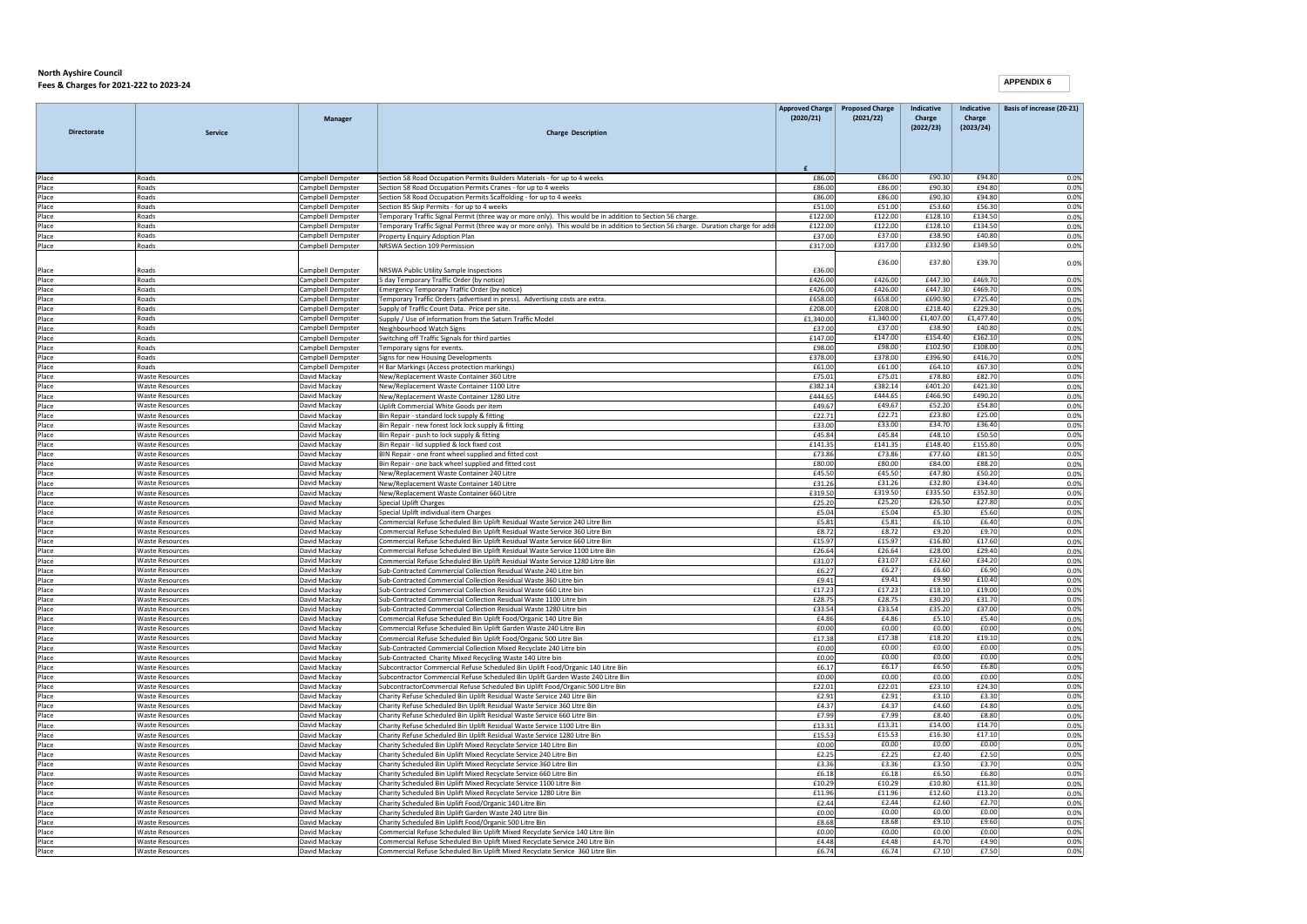|                    |                                                  | Manager                               |                                                                                                                                                                   | <b>Approved Charge</b><br>(2020/21) | <b>Proposed Charge</b><br>(2021/22) | Indicative<br>Charge | Indicative<br>Charge | Basis of increase (20-21) |
|--------------------|--------------------------------------------------|---------------------------------------|-------------------------------------------------------------------------------------------------------------------------------------------------------------------|-------------------------------------|-------------------------------------|----------------------|----------------------|---------------------------|
| <b>Directorate</b> | Service                                          |                                       | <b>Charge Description</b>                                                                                                                                         |                                     |                                     | (2022/23)            | (2023/24)            |                           |
|                    |                                                  |                                       |                                                                                                                                                                   |                                     |                                     |                      |                      |                           |
|                    |                                                  |                                       |                                                                                                                                                                   |                                     |                                     |                      |                      |                           |
| Place              | Roads                                            | Campbell Dempster                     | Section 58 Road Occupation Permits Builders Materials - for up to 4 weeks                                                                                         | £86.00                              | £86.00                              | £90.30               | £94.80               | 0.0%                      |
| Place<br>Place     | Roads<br>Roads                                   | Campbell Dempster<br>ampbell Dempster | Section 58 Road Occupation Permits Cranes - for up to 4 weeks<br>Section 58 Road Occupation Permits Scaffolding - for up to 4 weeks                               | £86.00<br>£86.00                    | £86.00<br>£86.00                    | £90.30<br>£90.30     | £94.80<br>£94.80     | 0.0%<br>0.0%              |
| Place              | Roads                                            | ampbell Dempster                      | Section 85 Skip Permits - for up to 4 weeks                                                                                                                       | £51.00                              | £51.00                              | £53.60               | £56.30               | 0.0%                      |
| Place              | Roads                                            | Campbell Dempster                     | Femporary Traffic Signal Permit (three way or more only). This would be in addition to Section 56 charge                                                          | £122.00                             | £122.00                             | £128.10              | £134.50              | 0.0%                      |
| Place              | Roads                                            | Campbell Dempster                     | Temporary Traffic Signal Permit (three way or more only). This would be in addition to Section 56 charge. Duration charge for add                                 | £122.00                             | £122.00                             | £128.10              | £134.50              | 0.0%                      |
| Place              | Roads                                            | Campbell Dempster                     | Property Enquiry Adoption Plan                                                                                                                                    | £37.00                              | £37.00                              | £38.90               | £40.80               | 0.0%                      |
| Place              | Roads                                            | Campbell Dempster                     | NRSWA Section 109 Permission                                                                                                                                      | £317.00                             | £317.00                             | £332.90              | £349.50              | 0.0%                      |
| Place              | Roads                                            | Campbell Dempster                     | NRSWA Public Utility Sample Inspections                                                                                                                           | £36.00                              | £36.00                              | £37.80               | £39.70               | 0.0%                      |
| Place              | Roads                                            | Campbell Dempster                     | 5 day Temporary Traffic Order (by notice)                                                                                                                         | £426.00                             | £426.00                             | £447.30              | £469.70              | 0.0%                      |
| Place              | Roads                                            | Campbell Dempster                     | <b>Emergency Temporary Traffic Order (by notice)</b>                                                                                                              | £426.00                             | £426.00                             | £447.30              | £469.70              | 0.0%                      |
| Place              | Roads                                            | Campbell Dempster                     | Temporary Traffic Orders (advertised in press). Advertising costs are extra.                                                                                      | £658.00                             | £658.00                             | £690.90              | £725.40              | 0.0%                      |
| Place              | Roads                                            | Campbell Dempstei                     | Supply of Traffic Count Data. Price per site.                                                                                                                     | £208.00                             | £208.00                             | £218.40              | £229.30              | 0.0%                      |
| Place<br>Place     | Roads<br>Roads                                   | ampbell Dempster<br>ampbell Dempster  | Supply / Use of information from the Saturn Traffic Model<br>Neighbourhood Watch Signs                                                                            | £1,340.00<br>£37.00                 | £1,340.00<br>£37.00                 | £1,407.00<br>£38.90  | £1,477.40<br>£40.80  | 0.0%<br>0.0%              |
| Place              | Roads                                            | Campbell Dempster                     | Switching off Traffic Signals for third parties                                                                                                                   | £147.00                             | £147.00                             | £154.40              | £162.10              | 0.0%                      |
| Place              | Roads                                            | Campbell Dempster                     | Temporary signs for events                                                                                                                                        | £98.00                              | £98.00                              | £102.90              | £108.00              | 0.0%                      |
| Place              | Roads                                            | Campbell Dempster                     | Signs for new Housing Developments                                                                                                                                | £378.00                             | £378.00                             | £396.90              | £416.70              | 0.0%                      |
| Place              | Roads                                            | Campbell Dempster                     | H Bar Markings (Access protection markings)                                                                                                                       | £61.00                              | £61.00                              | £64.10               | £67.30               | 0.0%                      |
| Place              | <b>Waste Resources</b>                           | David Mackay                          | New/Replacement Waste Container 360 Litre                                                                                                                         | £75.01                              | £75.01                              | £78.80               | £82.70               | 0.0%                      |
| Place              | <b>Waste Resources</b>                           | David Mackay                          | New/Replacement Waste Container 1100 Litre                                                                                                                        | £382.14                             | £382.14<br>£444.65                  | £401.20<br>£466.90   | £421.30              | 0.0%                      |
| Place<br>Place     | <b>Waste Resources</b><br><b>Waste Resources</b> | David Mackay<br>David Mackay          | New/Replacement Waste Container 1280 Litre<br>Jolift Commercial White Goods per item                                                                              | £444.65<br>£49.67                   | £49.67                              | £52.20               | £490.20<br>£54.80    | 0.0%<br>0.0%              |
| Place              | <b>Waste Resources</b>                           | David Mackay                          | Bin Repair - standard lock supply & fitting                                                                                                                       | £22.71                              | £22.71                              | £23.80               | £25.00               | 0.0%                      |
| Place              | <b>Waste Resources</b>                           | David Mackay                          | Bin Repair - new forest lock lock supply & fitting                                                                                                                | £33.00                              | £33.00                              | £34.70               | £36.40               | 0.0%                      |
| Place              | <b>Waste Resources</b>                           | David Mackay                          | Bin Repair - push to lock supply & fitting                                                                                                                        | £45.84                              | £45.84                              | £48.10               | £50.50               | 0.0%                      |
| Place              | <b>Waste Resources</b>                           | David Mackay                          | Bin Repair - lid supplied & lock fixed cost                                                                                                                       | £141.35                             | £141.35                             | £148.40              | £155.80              | 0.0%                      |
| Place              | <b>Waste Resources</b>                           | David Mackay                          | BIN Repair - one front wheel supplied and fitted cost                                                                                                             | £73.86                              | £73.86                              | £77.60               | £81.50               | 0.0%                      |
| Place<br>Place     | <b>Waste Resources</b><br><b>Waste Resources</b> | David Mackay<br>David Mackay          | Bin Repair - one back wheel supplied and fitted cost<br>New/Replacement Waste Container 240 Litre                                                                 | £80.00<br>£45.50                    | £80.00<br>£45.50                    | £84.00<br>£47.80     | £88.20<br>£50.20     | 0.0%<br>0.0%              |
| Place              | <b>Waste Resources</b>                           | David Mackay                          | New/Replacement Waste Container 140 Litre                                                                                                                         | £31.26                              | £31.26                              | £32.80               | £34.40               | 0.0%                      |
| Place              | <b>Waste Resources</b>                           | David Mackay                          | New/Replacement Waste Container 660 Litre                                                                                                                         | £319.50                             | £319.50                             | £335.50              | £352.30              | 0.0%                      |
| Place              | <b>Waste Resources</b>                           | David Mackay                          | Special Uplift Charges                                                                                                                                            | £25.20                              | £25.20                              | £26.50               | £27.80               | 0.0%                      |
| Place              | <b>Waste Resources</b>                           | David Mackay                          | Special Uplift individual item Charges                                                                                                                            | £5.04                               | £5.04                               | £5.30                | £5.60                | 0.0%                      |
| Place              | <b>Waste Resources</b>                           | David Mackay                          | Commercial Refuse Scheduled Bin Unlift Residual Waste Service 240 Litre Bin                                                                                       | £5.81                               | £5.81                               | £6.10                | £6.40                | 0.0%                      |
| Place<br>Place     | <b>Waste Resources</b><br><b>Waste Resources</b> | Javid Mackay<br>David Mackay          | Commercial Refuse Scheduled Bin Uplift Residual Waste Service 360 Litre Bin<br>Commercial Refuse Scheduled Bin Uplift Residual Waste Service 660 Litre Bin        | £8.72<br>£15.97                     | £8.72<br>£15.97                     | £9.20<br>£16.80      | £9.70<br>£17.60      | 0.0%<br>0.0%              |
| Place              | <b>Waste Resources</b>                           | David Mackay                          | Commercial Refuse Scheduled Bin Uplift Residual Waste Service 1100 Litre Bin                                                                                      | £26.64                              | £26.64                              | £28.00               | £29.40               | 0.0%                      |
| Place              | <b>Waste Resources</b>                           | David Mackay                          | Commercial Refuse Scheduled Bin Uplift Residual Waste Service 1280 Litre Bin                                                                                      | £31.07                              | £31.07                              | £32.60               | £34.20               | 0.0%                      |
| Place              | <b>Waste Resources</b>                           | David Mackay                          | Sub-Contracted Commercial Collection Residual Waste 240 Litre bin                                                                                                 | £6.27                               | £6.27                               | £6.60                | £6.90                | 0.0%                      |
| Place              | <b>Waste Resources</b>                           | David Mackay                          | Sub-Contracted Commercial Collection Residual Waste 360 Litre bin                                                                                                 | £9.41                               | £9.41                               | £9.90                | £10.40               | 0.0%                      |
| Place              | <b>Waste Resources</b>                           | David Mackay                          | Sub-Contracted Commercial Collection Residual Waste 660 Litre bin                                                                                                 | £17.23                              | £17.23                              | £18.10               | £19.00               | 0.0%                      |
| Place              | <b>Waste Resources</b>                           | David Mackay                          | Sub-Contracted Commercial Collection Residual Waste 1100 Litre bin                                                                                                | £28.75<br>£33.54                    | £28.75<br>£33.54                    | £30.20<br>£35.20     | £31.70<br>£37.00     | 0.0%                      |
| Place<br>Place     | <b>Waste Resources</b><br><b>Waste Resources</b> | David Mackay<br>David Mackay          | Sub-Contracted Commercial Collection Residual Waste 1280 Litre bin<br>Commercial Refuse Scheduled Bin Uplift Food/Organic 140 Litre Bin                           | £4.86                               | £4.86                               | £5.10                | £5.40                | 0.0%<br>0.0%              |
| Place              | <b>Waste Resources</b>                           | David Mackay                          | Commercial Refuse Scheduled Bin Uplift Garden Waste 240 Litre Bin                                                                                                 | £0.00                               | £0.00                               | £0.00                | £0.00                | 0.0%                      |
| Place              | <b>Waste Resources</b>                           | David Mackay                          | Commercial Refuse Scheduled Bin Uplift Food/Organic 500 Litre Bin                                                                                                 | £17.38                              | £17.38                              | £18.20               | £19.10               | 0.0%                      |
| Place              | <b>Waste Resources</b>                           | David Mackay                          | Sub-Contracted Commercial Collection Mixed Recyclate 240 Litre bin                                                                                                | £0.00                               | £0.00                               | £0.00                | £0.00                | 0.0%                      |
| Place              | <b>Waste Resources</b>                           | David Mackay                          | Sub-Contracted Charity Mixed Recycling Waste 140 Litre bin                                                                                                        | £0.00                               | £0.00                               | £0.00                | £0.00                | 0.0%                      |
| Place              | <b>Waste Resources</b>                           | David Mackay                          | Subcontractor Commercial Refuse Scheduled Bin Uplift Food/Organic 140 Litre Bin                                                                                   | £6.17                               | £6.17                               | £6.50                | £6.80                | 0.0%                      |
| Place<br>Place     | <b>Waste Resources</b><br><b>Waste Resources</b> | David Mackay<br>David Mackay          | Subcontractor Commercial Refuse Scheduled Bin Uplift Garden Waste 240 Litre Bin<br>SubcontractorCommercial Refuse Scheduled Bin Uplift Food/Organic 500 Litre Bin | f0.00<br>£22.01                     | £0.00<br>£22.01                     | £0.00<br>£23.10      | £0.00<br>£24.30      | 0.0%<br>0.0%              |
| Place              | <b>Waste Resources</b>                           | David Mackay                          | Charity Refuse Scheduled Bin Uplift Residual Waste Service 240 Litre Bin                                                                                          | £2.91                               | £2.91                               | £3.10                | £3.30                | 0.0%                      |
| Place              | <b>Waste Resources</b>                           | David Mackay                          | Charity Refuse Scheduled Bin Uplift Residual Waste Service 360 Litre Bin                                                                                          | £4.37                               | £4.37                               | £4.60                | £4.80                | 0.0%                      |
| Place              | <b>Waste Resources</b>                           | David Mackay                          | Charity Refuse Scheduled Bin Uplift Residual Waste Service 660 Litre Bin                                                                                          | £7.99                               | £7.99                               | £8.40                | £8.80                | 0.0%                      |
| Place              | <b>Waste Resources</b>                           | David Mackay                          | Charity Refuse Scheduled Bin Uplift Residual Waste Service 1100 Litre Bin                                                                                         | £13.31                              | £13.31                              | £14.00               | £14.70               | 0.0%                      |
| Place              | <b>Waste Resources</b>                           | David Mackay                          | Charity Refuse Scheduled Bin Uplift Residual Waste Service 1280 Litre Bin                                                                                         | £15.53                              | £15.53                              | £16.30               | £17.10               | 0.0%                      |
| Place              | <b>Waste Resources</b>                           | Javid Mackay                          | Charity Scheduled Bin Uplift Mixed Recyclate Service 140 Litre Bin                                                                                                | £0.00                               | £0.00                               | £0.00                | £0.00                | 0.0%                      |
| Place<br>Place     | <b>Waste Resources</b><br><b>Waste Resources</b> | David Mackay<br>David Mackay          | Charity Scheduled Bin Uplift Mixed Recyclate Service 240 Litre Bin<br>Charity Scheduled Bin Uplift Mixed Recyclate Service 360 Litre Bin                          | £2.25<br>£3.36                      | £2.25<br>£3.36                      | £2.40<br>£3.50       | £2.50<br>£3.70       | 0.0%<br>0.0%              |
| Place              | <b>Waste Resources</b>                           | David Mackay                          | Charity Scheduled Bin Uplift Mixed Recyclate Service 660 Litre Bin                                                                                                | £6.18                               | £6.18                               | £6.50                | £6.80                | 0.0%                      |
| Place              | <b>Waste Resources</b>                           | David Mackay                          | Charity Scheduled Bin Uplift Mixed Recyclate Service 1100 Litre Bin                                                                                               | £10.29                              | £10.29                              | £10.80               | £11.30               | 0.0%                      |
| Place              | <b>Waste Resources</b>                           | David Mackay                          | Charity Scheduled Bin Uplift Mixed Recyclate Service 1280 Litre Bin                                                                                               | £11.96                              | £11.96                              | £12.60               | £13.20               | 0.0%                      |
| Place              | <b>Waste Resources</b>                           | David Mackay                          | Charity Scheduled Bin Uplift Food/Organic 140 Litre Bin                                                                                                           | £2.44                               | £2.44                               | £2.60                | £2.70                | 0.0%                      |
| Place              | <b>Waste Resources</b>                           | David Mackay                          | Charity Scheduled Bin Uplift Garden Waste 240 Litre Bin                                                                                                           | £0.00                               | £0.00                               | £0.00                | £0.00                | 0.0%                      |
| Place              | <b>Waste Resources</b>                           | David Mackay                          | Charity Scheduled Bin Uplift Food/Organic 500 Litre Bin                                                                                                           | £8.68                               | £8.68                               | £9.10                | £9.60<br>£0.00       | 0.0%                      |
| Place<br>Place     | <b>Waste Resources</b><br><b>Waste Resources</b> | David Mackay<br>David Mackay          | Commercial Refuse Scheduled Bin Uplift Mixed Recyclate Service 140 Litre Bin                                                                                      | £0.00<br><b>f4.48</b>               | £0.00<br>£4.48                      | £0.00<br>£4.70       | £4.90                | 0.0%<br>0.0%              |
| Place              | <b>Waste Resources</b>                           | David Mackay                          | Commercial Refuse Scheduled Bin Uplift Mixed Recyclate Service 240 Litre Bin<br>Commercial Refuse Scheduled Bin Uplift Mixed Recyclate Service 360 Litre Bin      | £6.74                               | £6.74                               | £7.10                | £7.50                | 0.0%                      |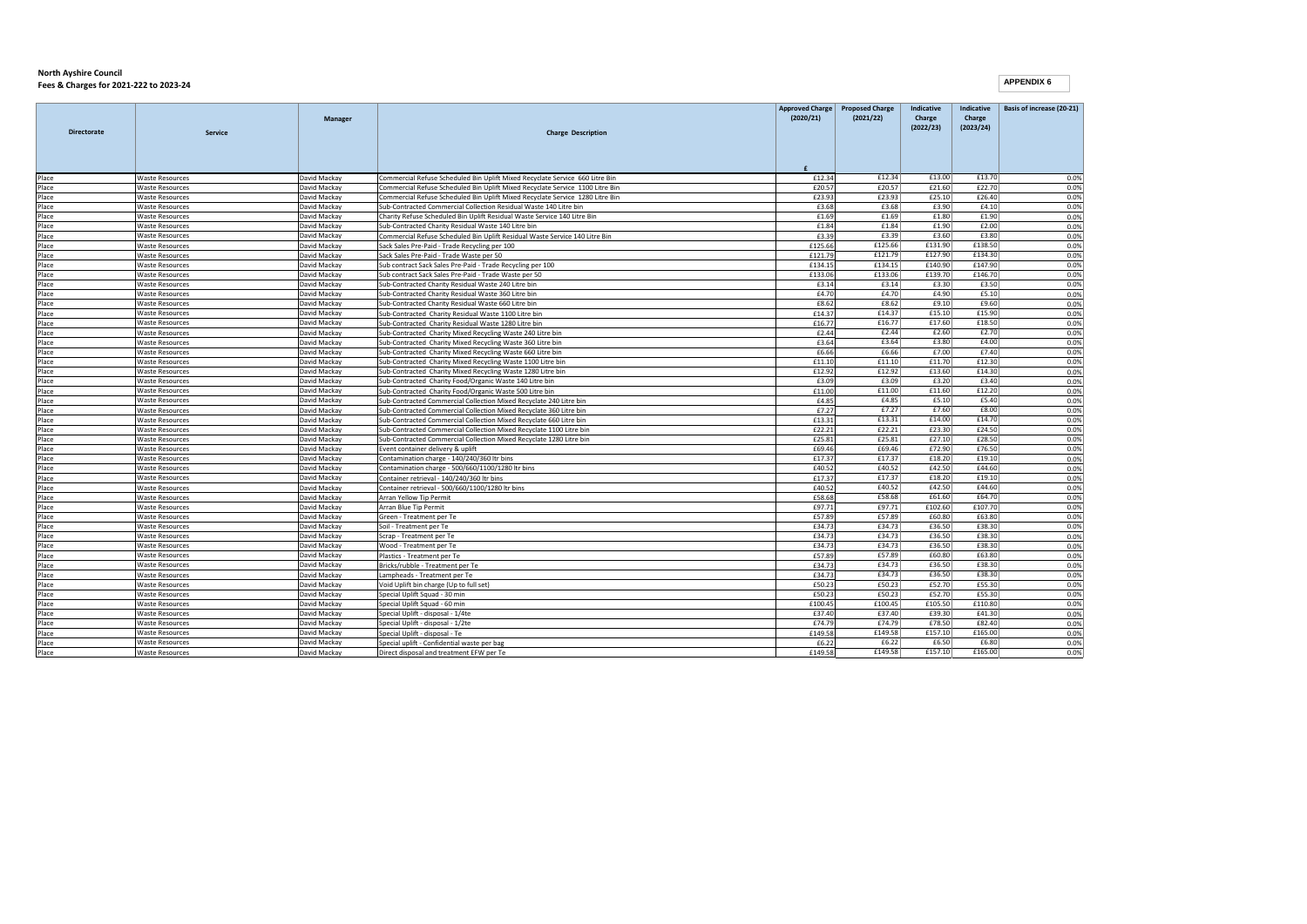```
APPENDIX 6
```

| <b>Directorate</b> | <b>Service</b>                                   | Manager                      | <b>Charge Description</b>                                                                                    | <b>Approved Charge</b><br>(2020/21) | <b>Proposed Charge</b><br>(2021/22) | Indicative<br>Charge<br>(2022/23) | Indicative<br>Charge<br>(2023/24) | Basis of increase (20-21) |
|--------------------|--------------------------------------------------|------------------------------|--------------------------------------------------------------------------------------------------------------|-------------------------------------|-------------------------------------|-----------------------------------|-----------------------------------|---------------------------|
|                    |                                                  |                              |                                                                                                              | £                                   |                                     |                                   |                                   |                           |
| Place              | <b>Waste Resources</b>                           | David Mackay                 | Commercial Refuse Scheduled Bin Uplift Mixed Recyclate Service 660 Litre Bin                                 | £12.34                              | £12.34                              | £13.00                            | £13.70                            | 0.0%                      |
| Place              | <b>Waste Resources</b>                           | David Mackay                 | Commercial Refuse Scheduled Bin Uplift Mixed Recyclate Service 1100 Litre Bin                                | £20.57                              | £20.57                              | £21.60                            | £22.70                            | 0.0%                      |
| Place              | <b>Waste Resources</b>                           | David Mackay                 | Commercial Refuse Scheduled Bin Uplift Mixed Recyclate Service 1280 Litre Bin                                | £23.93                              | £23.93                              | £25.10                            | £26.40                            | 0.0%                      |
| Place              | <b>Waste Resources</b>                           | David Mackay                 | Sub-Contracted Commercial Collection Residual Waste 140 Litre bin                                            | £3.68                               | £3.68                               | £3.90                             | £4.10                             | 0.0%                      |
| Place              | <b>Waste Resources</b>                           | David Mackay                 | Charity Refuse Scheduled Bin Uplift Residual Waste Service 140 Litre Bin                                     | £1.69                               | £1.69<br>£1.84                      | £1.80<br>£1.90                    | £1.90                             | 0.0%                      |
| Place              | <b>Waste Resources</b>                           | David Mackay                 | Sub-Contracted Charity Residual Waste 140 Litre bin                                                          | £1.84                               | £3.39                               | £3.60                             | £2.00<br>£3.80                    | 0.0%                      |
| Place              | <b>Waste Resources</b>                           | David Mackay                 | Commercial Refuse Scheduled Bin Uplift Residual Waste Service 140 Litre Bin                                  | £3.39                               | £125.66                             | £131.90                           | £138.50                           | 0.0%                      |
| Place              | <b>Waste Resources</b><br><b>Waste Resources</b> | David Mackay                 | Sack Sales Pre-Paid - Trade Recycling per 100                                                                | £125.66                             | £121.79                             | £127.90                           | £134.30                           | 0.0%<br>0.0%              |
| Place              |                                                  | David Mackay                 | Sack Sales Pre-Paid - Trade Waste per 50                                                                     | £121.79<br>£134.15                  | £134.15                             | £140.90                           | £147.90                           |                           |
| Place              | <b>Waste Resources</b>                           | David Mackay                 | Sub contract Sack Sales Pre-Paid - Trade Recycling per 100                                                   | £133.06                             | £133.06                             | £139.70                           | £146.70                           | 0.0%<br>0.0%              |
| Place<br>Place     | <b>Waste Resources</b><br><b>Waste Resources</b> | David Mackay<br>David Mackay | Sub contract Sack Sales Pre-Paid - Trade Waste per 50<br>Sub-Contracted Charity Residual Waste 240 Litre bin |                                     | £3.14                               | £3.30                             | £3.50                             | 0.0%                      |
| Place              | <b>Waste Resources</b>                           | David Mackay                 | Sub-Contracted Charity Residual Waste 360 Litre bin                                                          | £3.14<br>£4.70                      | £4.70                               | £4.90                             | £5.10                             |                           |
| Place              | <b>Waste Resources</b>                           | David Mackay                 | Sub-Contracted Charity Residual Waste 660 Litre bin                                                          | £8.62                               | £8.62                               | £9.10                             | £9.60                             | 0.0%<br>0.0%              |
| Place              | <b>Waste Resources</b>                           | David Mackay                 | Sub-Contracted Charity Residual Waste 1100 Litre bin                                                         | £14.37                              | £14.37                              | £15.10                            | £15.90                            | 0.0%                      |
| Place              | <b>Waste Resources</b>                           | David Mackay                 | Sub-Contracted Charity Residual Waste 1280 Litre bin                                                         | £16.77                              | £16.77                              | £17.60                            | £18.50                            | 0.0%                      |
| Place              | <b>Waste Resources</b>                           | David Mackay                 | Sub-Contracted Charity Mixed Recycling Waste 240 Litre bin                                                   | £2.44                               | £2.44                               | £2.60                             | £2.70                             | 0.0%                      |
| Place              | <b>Waste Resources</b>                           | David Mackay                 | Sub-Contracted Charity Mixed Recycling Waste 360 Litre bin                                                   | £3.64                               | £3.64                               | £3.80                             | £4.00                             | 0.0%                      |
| Place              | <b>Waste Resources</b>                           | David Mackay                 | Sub-Contracted Charity Mixed Recycling Waste 660 Litre bin                                                   | £6.66                               | £6.66                               | £7.00                             | £7.40                             | 0.0%                      |
| Place              | <b>Waste Resources</b>                           | David Mackay                 | Sub-Contracted Charity Mixed Recycling Waste 1100 Litre bin                                                  | £11.10                              | £11.10                              | £11.70                            | £12.30                            | 0.0%                      |
| Place              | <b>Waste Resources</b>                           | David Mackay                 | Sub-Contracted Charity Mixed Recycling Waste 1280 Litre bin                                                  | £12.92                              | £12.92                              | £13.60                            | £14.30                            | 0.0%                      |
| Place              | <b>Waste Resources</b>                           | David Mackay                 | Sub-Contracted Charity Food/Organic Waste 140 Litre bin                                                      | £3.09                               | £3.09                               | £3.20                             | £3.40                             | 0.0%                      |
| Place              | <b>Waste Resources</b>                           | David Mackay                 | Sub-Contracted Charity Food/Organic Waste 500 Litre bin                                                      | £11.00                              | £11.00                              | £11.60                            | £12.20                            | 0.0%                      |
| Place              | <b>Waste Resources</b>                           | David Mackay                 | Sub-Contracted Commercial Collection Mixed Recyclate 240 Litre bin                                           | £4.85                               | £4.85                               | £5.10                             | £5.40                             | 0.0%                      |
| Place              | <b>Waste Resources</b>                           | David Mackav                 | Sub-Contracted Commercial Collection Mixed Recyclate 360 Litre bin                                           | £7.27                               | £7.27                               | £7.60                             | £8.00                             | 0.0%                      |
| Place              | <b>Waste Resources</b>                           | David Mackay                 | Sub-Contracted Commercial Collection Mixed Recyclate 660 Litre bin                                           | £13.31                              | £13.31                              | £14.00                            | £14.70                            | 0.0%                      |
| Place              | <b>Waste Resources</b>                           | David Mackay                 | Sub-Contracted Commercial Collection Mixed Recyclate 1100 Litre bin                                          | £22.21                              | £22.21                              | £23.30                            | £24.50                            | 0.0%                      |
| Place              | <b>Waste Resources</b>                           | David Mackay                 | Sub-Contracted Commercial Collection Mixed Recyclate 1280 Litre bin                                          | £25.81                              | £25.81                              | £27.10                            | £28.50                            | 0.0%                      |
| Place              | <b>Waste Resources</b>                           | David Mackay                 | Event container delivery & uplift                                                                            | £69.46                              | £69.46                              | £72.90                            | £76.50                            | 0.0%                      |
| Place              | <b>Waste Resources</b>                           | David Mackay                 | Contamination charge - 140/240/360 ltr bins                                                                  | £17.37                              | £17.37                              | £18.20                            | £19.10                            | 0.0%                      |
| Place              | <b>Waste Resources</b>                           | David Mackay                 | Contamination charge - 500/660/1100/1280 ltr bins                                                            | £40.52                              | £40.52                              | £42.50                            | £44.60                            | 0.0%                      |
| Place              | <b>Waste Resources</b>                           | David Mackay                 | Container retrieval - 140/240/360 ltr bins                                                                   | £17.37                              | £17.37                              | £18.20                            | £19.10                            | 0.0%                      |
| Place              | <b>Waste Resources</b>                           | David Mackay                 | Container retrieval - 500/660/1100/1280 ltr bins                                                             | £40.52                              | £40.52                              | £42.50                            | £44.60                            | 0.0%                      |
| Place              | <b>Waste Resources</b>                           | David Mackay                 | <b>Arran Yellow Tip Permit</b>                                                                               | £58.68                              | £58.68                              | £61.60                            | £64.70                            | 0.0%                      |
| Place              | <b>Waste Resources</b>                           | David Mackay                 | Arran Blue Tip Permit                                                                                        | £97.71                              | £97.71                              | £102.60                           | £107.70                           | 0.0%                      |
| Place              | <b>Waste Resources</b>                           | David Mackay                 | Green - Treatment per Te                                                                                     | £57.89                              | £57.89                              | £60.80                            | £63.80                            | 0.0%                      |
| Place              | <b>Waste Resources</b>                           | David Mackay                 | Soil - Treatment per Te                                                                                      | £34.73                              | £34.73                              | £36.50                            | £38.30                            | 0.0%                      |
| Place              | <b>Waste Resources</b>                           | David Mackay                 | Scrap - Treatment per Te                                                                                     | £34.73                              | £34.73                              | £36.50                            | £38.30                            | 0.0%                      |
| Place              | <b>Waste Resources</b>                           | David Mackay                 | Wood - Treatment per Te                                                                                      | £34.73                              | £34.73                              | £36.50                            | £38.30                            | 0.0%                      |
| Place              | <b>Waste Resources</b>                           | David Mackay                 | Plastics - Treatment per Te                                                                                  | £57.89                              | £57.89                              | £60.80                            | £63.80                            | 0.0%                      |
| Place              | <b>Waste Resources</b>                           | David Mackay                 | Bricks/rubble - Treatment per Te                                                                             | £34.73                              | £34.73                              | £36.50                            | £38.30                            | 0.0%                      |
| Place              | <b>Waste Resources</b>                           | David Mackay                 | ampheads - Treatment per Te                                                                                  | £34.73                              | £34.73                              | £36.50                            | £38.30                            | 0.0%                      |
| Place              | <b>Waste Resources</b>                           | David Mackay                 | Void Uplift bin charge (Up to full set)                                                                      | £50.23                              | £50.23                              | £52.70                            | £55.30                            | 0.0%                      |
| Place              | <b>Waste Resources</b>                           | David Mackay                 | Special Uplift Squad - 30 min                                                                                | £50.23                              | £50.23                              | £52.70                            | £55.30                            | 0.0%                      |
| Place              | <b>Waste Resources</b>                           | David Mackay                 | Special Uplift Squad - 60 min                                                                                | £100.45                             | £100.45                             | £105.50                           | £110.80                           | 0.0%                      |
| Place              | <b>Waste Resources</b>                           | David Mackay                 | Special Uplift - disposal - 1/4te                                                                            | £37.40                              | £37.40                              | £39.30                            | £41.30                            | 0.0%                      |
| Place              | <b>Waste Resources</b>                           | David Mackay                 | Special Uplift - disposal - 1/2te                                                                            | £74.79                              | £74.79                              | £78.50                            | £82.40                            | 0.0%                      |
| Place              | <b>Waste Resources</b>                           | David Mackay                 | Special Uplift - disposal - Te                                                                               | £149.58                             | £149.58                             | £157.10                           | £165.00                           | 0.0%                      |
| Place              | <b>Waste Resources</b>                           | David Mackay                 | Special uplift - Confidential waste per bag                                                                  | £6.22                               | £6.22                               | £6.50                             | £6.80                             | 0.0%                      |
| Place              | <b>Waste Resources</b>                           | David Mackay                 | Direct disposal and treatment EFW per Te                                                                     | £149.58                             | £149.58                             | £157.10                           | £165.00                           | 0.0%                      |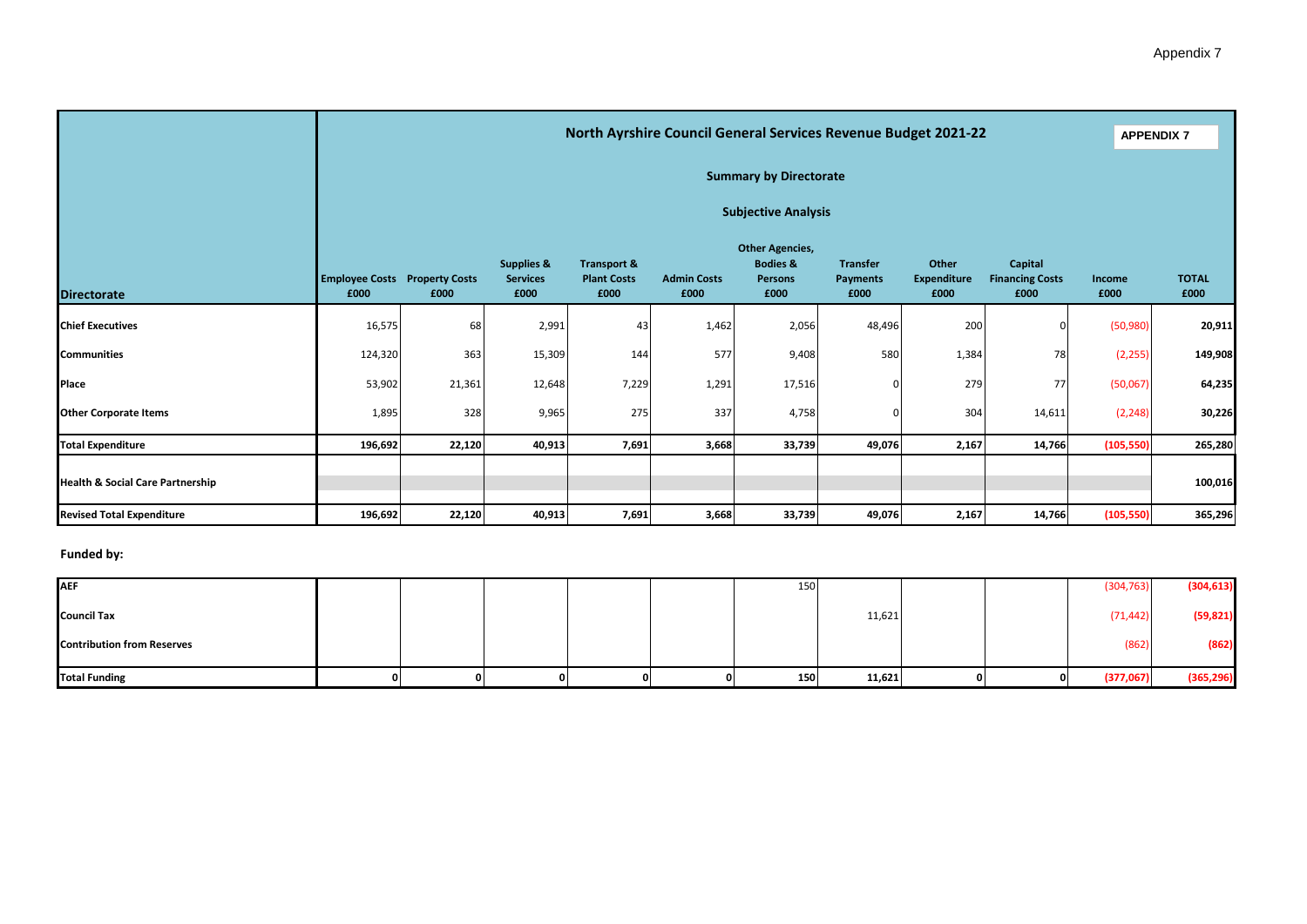|       | North Ayrshire Council General Services Revenue Budget 2021-22 |                                                                                           |                                                      |                            |                                                                         |                                            |                               |                                           |                                              |                      |  |  |
|-------|----------------------------------------------------------------|-------------------------------------------------------------------------------------------|------------------------------------------------------|----------------------------|-------------------------------------------------------------------------|--------------------------------------------|-------------------------------|-------------------------------------------|----------------------------------------------|----------------------|--|--|
|       |                                                                |                                                                                           |                                                      |                            |                                                                         |                                            |                               |                                           |                                              |                      |  |  |
|       | <b>Subjective Analysis</b>                                     |                                                                                           |                                                      |                            |                                                                         |                                            |                               |                                           |                                              |                      |  |  |
| £000  | £000                                                           | <b>Supplies &amp;</b><br><b>Services</b><br>£000                                          | <b>Transport &amp;</b><br><b>Plant Costs</b><br>£000 | <b>Admin Costs</b><br>£000 | <b>Other Agencies,</b><br><b>Bodies &amp;</b><br><b>Persons</b><br>£000 | <b>Transfer</b><br><b>Payments</b><br>£000 | Other<br>Expenditure<br>£000  | Capital<br><b>Financing Costs</b><br>£000 | Income<br>£000                               | <b>TOTAL</b><br>£000 |  |  |
|       | 68                                                             | 2,991                                                                                     | 43                                                   |                            | 2,056                                                                   | 48,496                                     |                               |                                           | (50, 980)                                    | 20,911               |  |  |
|       | 363                                                            | 15,309                                                                                    | 144                                                  | 577                        | 9,408                                                                   | 580                                        |                               | 78                                        | (2, 255)                                     | 149,908              |  |  |
|       | 21,361                                                         | 12,648                                                                                    | 7,229                                                |                            | 17,516                                                                  |                                            |                               | 77                                        | (50,067)                                     | 64,235               |  |  |
| 1,895 | 328                                                            | 9,965                                                                                     | 275                                                  | 337                        | 4,758                                                                   |                                            |                               | 14,611                                    | (2, 248)                                     | 30,226               |  |  |
|       | 22,120                                                         | 40,913                                                                                    | 7,691                                                |                            | 33,739                                                                  | 49,076                                     |                               | 14,766                                    | (105, 550)                                   | 265,280              |  |  |
|       |                                                                |                                                                                           |                                                      |                            |                                                                         |                                            |                               |                                           |                                              | 100,016              |  |  |
|       | 22,120                                                         | 40,913                                                                                    | 7,691                                                |                            | 33,739                                                                  | 49,076                                     |                               | 14,766                                    | (105, 550)                                   | 365,296              |  |  |
|       |                                                                | <b>Employee Costs Property Costs</b><br>16,575<br>124,320<br>53,902<br>196,692<br>196,692 |                                                      |                            |                                                                         | 1,462<br>1,291<br>3,668<br>3,668           | <b>Summary by Directorate</b> |                                           | 200<br>1,384<br>279<br>304<br>2,167<br>2,167 | <b>APPENDIX 7</b>    |  |  |

#### **Funded by:**

| <b>AEF</b>                        |  |  |   | 150 |        |  | (304, 763) | (304, 613) |
|-----------------------------------|--|--|---|-----|--------|--|------------|------------|
| <b>Council Tax</b>                |  |  |   |     | 11,621 |  | (71, 442)  | (59, 821)  |
| <b>Contribution from Reserves</b> |  |  |   |     |        |  | (862)      | (862)      |
| <b>Total Funding</b>              |  |  | 0 | 150 | 11,621 |  | (377,067)  | (365, 296) |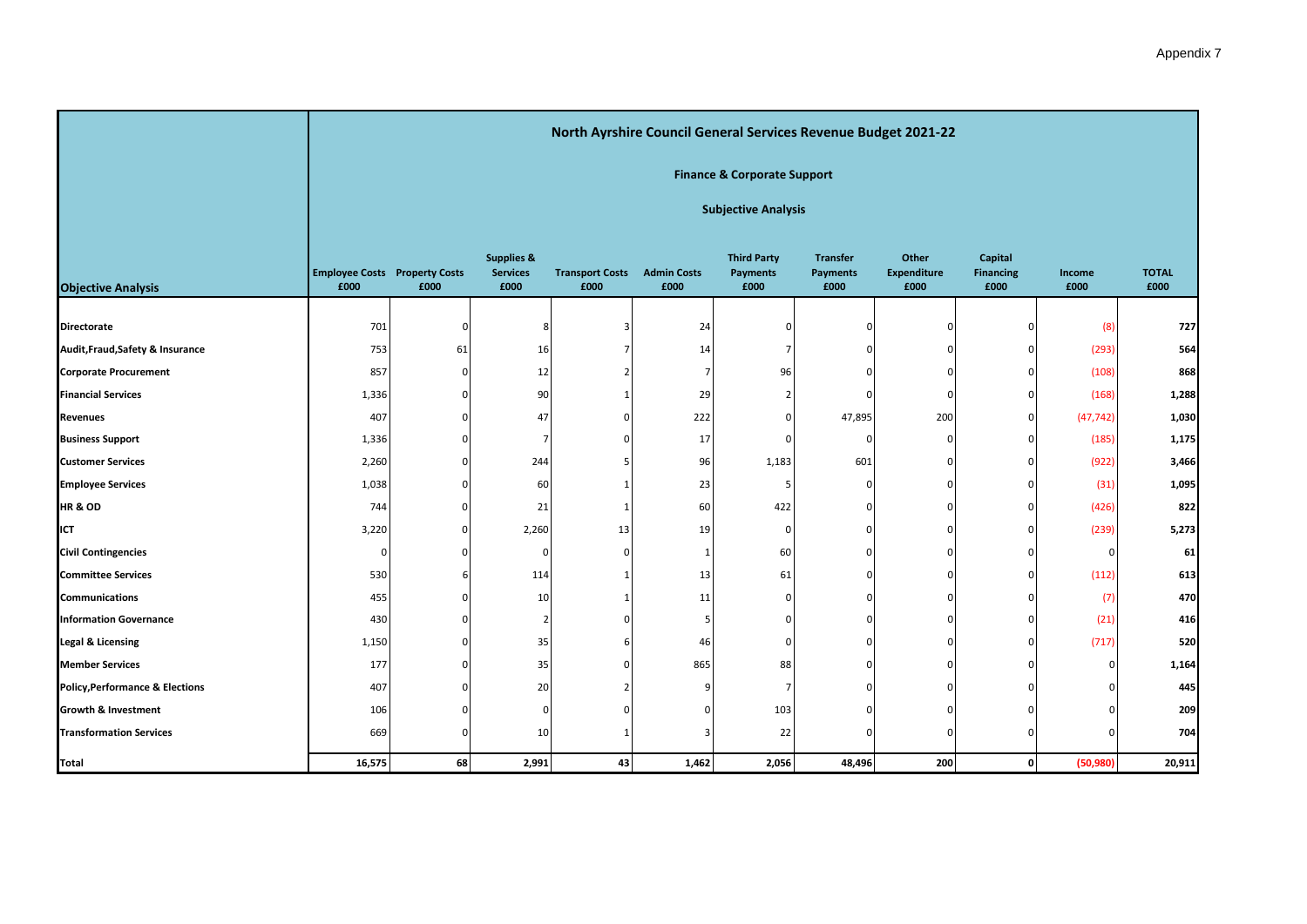|                                            |                                              |          |                                                  |                                | North Ayrshire Council General Services Revenue Budget 2021-22 |                                        |                                            |                              |                                     |                |                      |
|--------------------------------------------|----------------------------------------------|----------|--------------------------------------------------|--------------------------------|----------------------------------------------------------------|----------------------------------------|--------------------------------------------|------------------------------|-------------------------------------|----------------|----------------------|
|                                            |                                              |          |                                                  |                                |                                                                | <b>Finance &amp; Corporate Support</b> |                                            |                              |                                     |                |                      |
|                                            |                                              |          |                                                  |                                |                                                                | <b>Subjective Analysis</b>             |                                            |                              |                                     |                |                      |
| <b>Objective Analysis</b>                  | <b>Employee Costs Property Costs</b><br>£000 | £000     | <b>Supplies &amp;</b><br><b>Services</b><br>£000 | <b>Transport Costs</b><br>£000 | <b>Admin Costs</b><br>£000                                     | <b>Third Party</b><br>Payments<br>£000 | <b>Transfer</b><br><b>Payments</b><br>£000 | Other<br>Expenditure<br>£000 | Capital<br><b>Financing</b><br>£000 | Income<br>£000 | <b>TOTAL</b><br>£000 |
| <b>Directorate</b>                         | 701                                          | $\Omega$ |                                                  |                                | 24                                                             |                                        |                                            |                              |                                     | (8)            | 727                  |
| Audit, Fraud, Safety & Insurance           | 753                                          | 61       | 16                                               |                                | 14                                                             |                                        | ∩                                          |                              |                                     | (293)          | 564                  |
| <b>Corporate Procurement</b>               | 857                                          | $\Omega$ | 12                                               |                                | $\overline{7}$                                                 | 96                                     |                                            |                              |                                     | (108)          | 868                  |
| <b>Financial Services</b>                  | 1,336                                        |          | 90                                               |                                | 29                                                             |                                        | $\Omega$                                   | $\Omega$                     |                                     | (168)          | 1,288                |
| Revenues                                   | 407                                          |          | 47                                               | $\Omega$                       | 222                                                            |                                        | 47,895                                     | 200                          | n                                   | (47, 742)      | 1,030                |
| <b>Business Support</b>                    | 1,336                                        |          | 7                                                |                                | 17                                                             |                                        | $\Omega$                                   |                              |                                     | (185)          | 1,175                |
| <b>Customer Services</b>                   | 2,260                                        |          | 244                                              |                                | 96                                                             | 1,183                                  | 601                                        |                              |                                     | (922)          | 3,466                |
| <b>Employee Services</b>                   | 1,038                                        |          | 60                                               |                                | 23                                                             |                                        | $\Omega$                                   |                              |                                     | (31)           | 1,095                |
| <b>HR &amp; OD</b>                         | 744                                          | $\Omega$ | 21                                               | $\mathbf 1$                    | 60                                                             | 422                                    | $\Omega$                                   |                              | ŋ                                   | (426)          | 822                  |
| ICT                                        | 3,220                                        |          | 2,260                                            | 13                             | 19                                                             | O                                      | $\Omega$                                   |                              |                                     | (239)          | 5,273                |
| <b>Civil Contingencies</b>                 | $\Omega$                                     |          | n                                                | $\Omega$                       | 1                                                              | 60                                     |                                            |                              |                                     | $\mathsf{C}$   | 61                   |
| <b>Committee Services</b>                  | 530                                          |          | 114                                              |                                | 13                                                             | 61                                     | $\Omega$                                   |                              |                                     | (112)          | 613                  |
| <b>Communications</b>                      | 455                                          |          | 10                                               |                                | 11                                                             |                                        |                                            |                              |                                     | (7)            | 470                  |
| <b>Information Governance</b>              | 430                                          |          |                                                  |                                |                                                                |                                        | ∩                                          |                              |                                     | (21)           | 416                  |
| Legal & Licensing                          | 1,150                                        |          | 35                                               |                                | 46                                                             |                                        | <sup>0</sup>                               |                              |                                     | (717)          | 520                  |
| <b>Member Services</b>                     | 177                                          |          | 35                                               |                                | 865                                                            | 88                                     |                                            |                              |                                     | C              | 1,164                |
| <b>Policy, Performance &amp; Elections</b> | 407                                          |          | 20                                               |                                |                                                                | $\overline{7}$                         | n                                          |                              |                                     |                | 445                  |
| <b>Growth &amp; Investment</b>             | 106                                          |          | Ω                                                |                                |                                                                | 103                                    |                                            |                              |                                     |                | 209                  |
| <b>Transformation Services</b>             | 669                                          | ∩        | 10                                               |                                |                                                                | 22                                     | $\Omega$                                   |                              |                                     | c              | 704                  |
|                                            |                                              |          |                                                  |                                |                                                                |                                        |                                            |                              |                                     |                |                      |

**Total 16,575 68 2,991 43 1,462 2,056 48,496 200 0 (50,980) 20,911**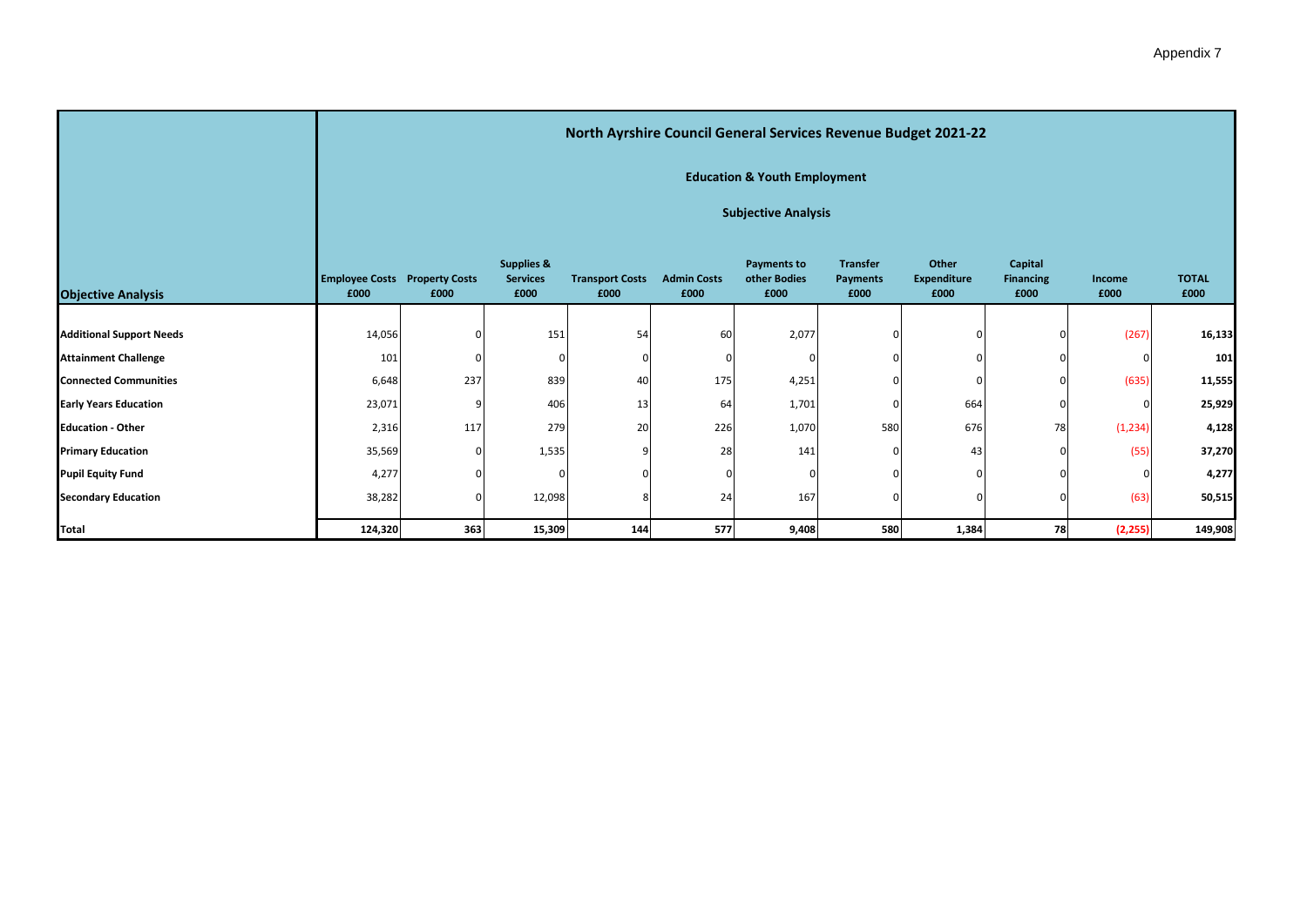| Appendix 7 |  |
|------------|--|
|------------|--|

|                                 |                                              |                            |                                                  | North Ayrshire Council General Services Revenue Budget 2021-22 |                            |                                            |                                            |                                     |                                     |                |                      |  |  |
|---------------------------------|----------------------------------------------|----------------------------|--------------------------------------------------|----------------------------------------------------------------|----------------------------|--------------------------------------------|--------------------------------------------|-------------------------------------|-------------------------------------|----------------|----------------------|--|--|
|                                 |                                              |                            |                                                  |                                                                |                            | <b>Education &amp; Youth Employment</b>    |                                            |                                     |                                     |                |                      |  |  |
|                                 |                                              | <b>Subjective Analysis</b> |                                                  |                                                                |                            |                                            |                                            |                                     |                                     |                |                      |  |  |
| <b>Objective Analysis</b>       | <b>Employee Costs Property Costs</b><br>£000 | £000                       | <b>Supplies &amp;</b><br><b>Services</b><br>£000 | <b>Transport Costs</b><br>£000                                 | <b>Admin Costs</b><br>£000 | <b>Payments to</b><br>other Bodies<br>£000 | <b>Transfer</b><br><b>Payments</b><br>£000 | Other<br><b>Expenditure</b><br>£000 | Capital<br><b>Financing</b><br>£000 | Income<br>£000 | <b>TOTAL</b><br>£000 |  |  |
|                                 |                                              |                            |                                                  |                                                                |                            |                                            |                                            |                                     |                                     |                |                      |  |  |
| <b>Additional Support Needs</b> | 14,056                                       |                            | 151                                              | 54                                                             | 60                         | 2,077                                      |                                            |                                     |                                     | (267)          | 16,133               |  |  |
| <b>Attainment Challenge</b>     | 101                                          |                            |                                                  |                                                                |                            |                                            |                                            |                                     |                                     |                | 101                  |  |  |
| <b>Connected Communities</b>    | 6,648                                        | 237                        | 839                                              | 40                                                             | 175                        | 4,251                                      |                                            |                                     |                                     | (635)          | 11,555               |  |  |
| <b>Early Years Education</b>    | 23,071                                       |                            | 406                                              | 13                                                             | 64                         | 1,701                                      |                                            | 664                                 |                                     |                | 25,929               |  |  |
| <b>Education - Other</b>        | 2,316                                        | 117                        | 279                                              | 20                                                             | 226                        | 1,070                                      | 580                                        | 676                                 | 78                                  | (1, 234)       | 4,128                |  |  |
| <b>Primary Education</b>        | 35,569                                       |                            | 1,535                                            |                                                                | 28                         | 141                                        |                                            | 43                                  |                                     | (55)           | 37,270               |  |  |
| <b>Pupil Equity Fund</b>        | 4,277                                        |                            |                                                  |                                                                |                            |                                            |                                            |                                     |                                     |                | 4,277                |  |  |
| <b>Secondary Education</b>      | 38,282                                       |                            | 12,098                                           |                                                                | 24                         | 167                                        |                                            |                                     |                                     | (63)           | 50,515               |  |  |
| Total                           | 124,320                                      | 363                        | 15,309                                           | 144                                                            | 577                        | 9,408                                      | 580                                        | 1,384                               | 78                                  | (2, 255)       | 149,908              |  |  |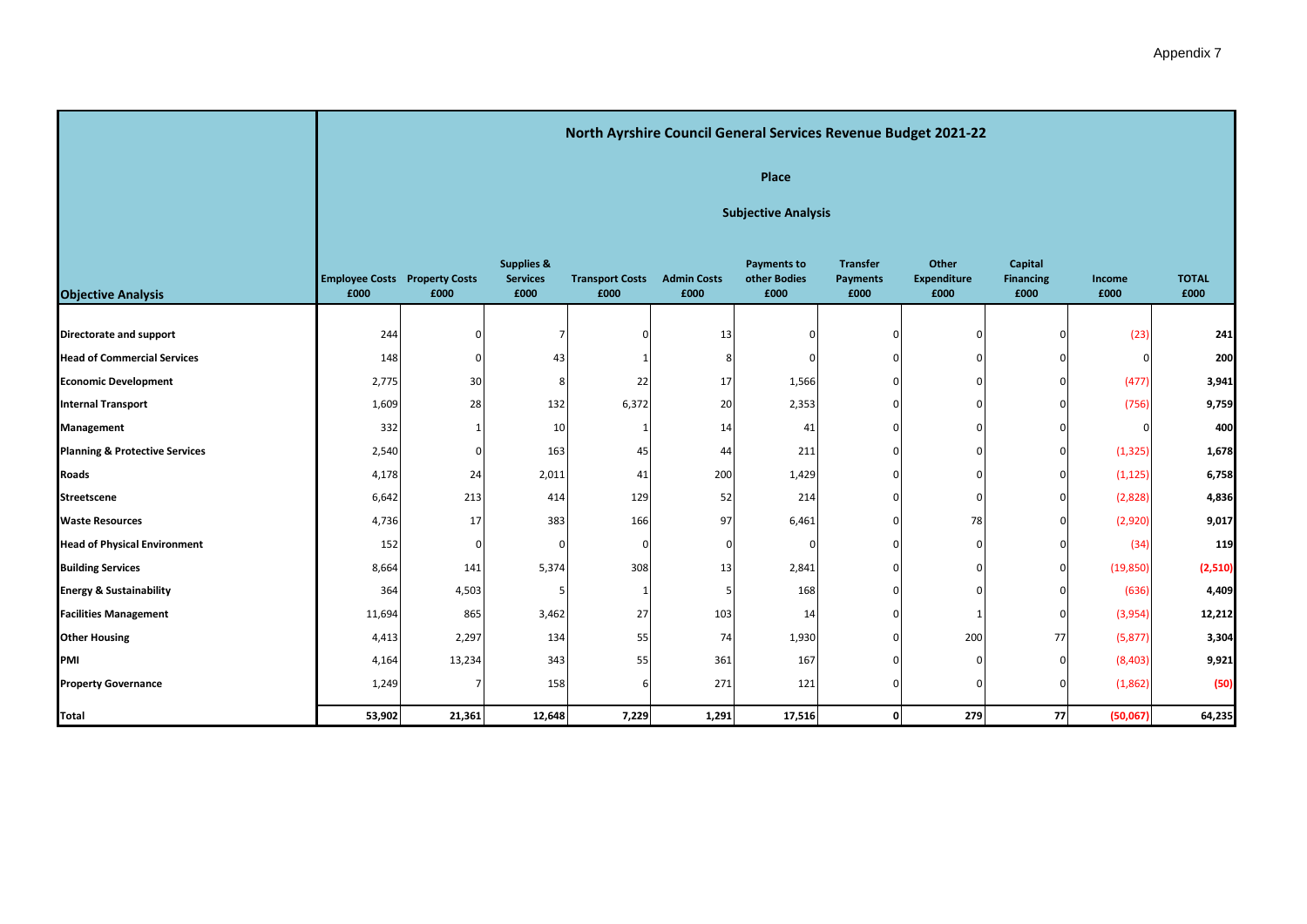|                                           |                                              |                            |                                                  |                                |                            |                                            |                                            | North Ayrshire Council General Services Revenue Budget 2021-22 |                                     |                |                      |  |  |
|-------------------------------------------|----------------------------------------------|----------------------------|--------------------------------------------------|--------------------------------|----------------------------|--------------------------------------------|--------------------------------------------|----------------------------------------------------------------|-------------------------------------|----------------|----------------------|--|--|
|                                           |                                              |                            |                                                  |                                |                            | Place                                      |                                            |                                                                |                                     |                |                      |  |  |
|                                           |                                              | <b>Subjective Analysis</b> |                                                  |                                |                            |                                            |                                            |                                                                |                                     |                |                      |  |  |
| <b>Objective Analysis</b>                 | <b>Employee Costs Property Costs</b><br>£000 | £000                       | <b>Supplies &amp;</b><br><b>Services</b><br>£000 | <b>Transport Costs</b><br>£000 | <b>Admin Costs</b><br>£000 | <b>Payments to</b><br>other Bodies<br>£000 | <b>Transfer</b><br><b>Payments</b><br>£000 | Other<br><b>Expenditure</b><br>£000                            | Capital<br><b>Financing</b><br>£000 | Income<br>£000 | <b>TOTAL</b><br>£000 |  |  |
| Directorate and support                   | 244                                          |                            |                                                  | C                              | 13                         |                                            | 0                                          | n                                                              |                                     | (23)           | 241                  |  |  |
| <b>Head of Commercial Services</b>        | 148                                          |                            | 43                                               |                                | 8                          |                                            | $\Omega$                                   |                                                                |                                     |                | 200                  |  |  |
| <b>Economic Development</b>               | 2,775                                        | 30                         | 8                                                | 22                             | 17                         | 1,566                                      | $\Omega$                                   |                                                                | $\Omega$                            | (477)          | 3,941                |  |  |
| <b>Internal Transport</b>                 | 1,609                                        | 28                         | 132                                              | 6,372                          | 20                         | 2,353                                      | $\mathbf{0}$                               | $\Omega$                                                       | $\Omega$                            | (756)          | 9,759                |  |  |
| Management                                | 332                                          |                            | 10                                               | -1                             | 14                         | 41                                         | $\mathbf{0}$                               |                                                                | U                                   |                | 400                  |  |  |
| <b>Planning &amp; Protective Services</b> | 2,540                                        | <sup>0</sup>               | 163                                              | 45                             | 44                         | 211                                        | $\Omega$                                   |                                                                | $\Omega$                            | (1, 325)       | 1,678                |  |  |
| <b>Roads</b>                              | 4,178                                        | 24                         | 2,011                                            | 41                             | 200                        | 1,429                                      | $\Omega$                                   |                                                                | $\Omega$                            | (1, 125)       | 6,758                |  |  |
| Streetscene                               | 6,642                                        | 213                        | 414                                              | 129                            | 52                         | 214                                        | $\Omega$                                   |                                                                | $\Omega$                            | (2,828)        | 4,836                |  |  |
| <b>Waste Resources</b>                    | 4,736                                        | 17                         | 383                                              | 166                            | 97                         | 6,461                                      | $\mathbf{0}$                               | 78                                                             | $\Omega$                            | (2,920)        | 9,017                |  |  |
| <b>Head of Physical Environment</b>       | 152                                          | $\Omega$                   | $\Omega$                                         | $\Omega$                       | $\Omega$                   | $\Omega$                                   | $\Omega$                                   | $\Omega$                                                       | $\Omega$                            | (34)           | 119                  |  |  |
| <b>Building Services</b>                  | 8,664                                        | 141                        | 5,374                                            | 308                            | 13                         | 2,841                                      | $\mathbf{0}$                               | n                                                              | $\Omega$                            | (19, 850)      | (2,510)              |  |  |
| <b>Energy &amp; Sustainability</b>        | 364                                          | 4,503                      |                                                  | -1                             | .5                         | 168                                        | $\Omega$                                   |                                                                | $\Omega$                            | (636)          | 4,409                |  |  |
| <b>Facilities Management</b>              | 11,694                                       | 865                        | 3,462                                            | 27                             | 103                        | 14                                         | $\Omega$                                   |                                                                | $\Omega$                            | (3,954)        | 12,212               |  |  |
| <b>Other Housing</b>                      | 4,413                                        | 2,297                      | 134                                              | 55                             | 74                         | 1,930                                      | $\Omega$                                   | 200                                                            | 77                                  | (5, 877)       | 3,304                |  |  |
| PMI                                       | 4,164                                        | 13,234                     | 343                                              | 55                             | 361                        | 167                                        | $\Omega$                                   | $\Omega$                                                       | $\Omega$                            | (8,403)        | 9,921                |  |  |
| <b>Property Governance</b>                | 1,249                                        |                            | 158                                              |                                | 271                        | 121                                        | $\Omega$                                   | $\Omega$                                                       | $\Omega$                            | (1,862)        | (50)                 |  |  |
| Total                                     | 53,902                                       | 21,361                     | 12,648                                           | 7,229                          | 1,291                      | 17,516                                     | $\mathbf{0}$                               | 279                                                            | 77                                  | (50,067)       | 64,235               |  |  |